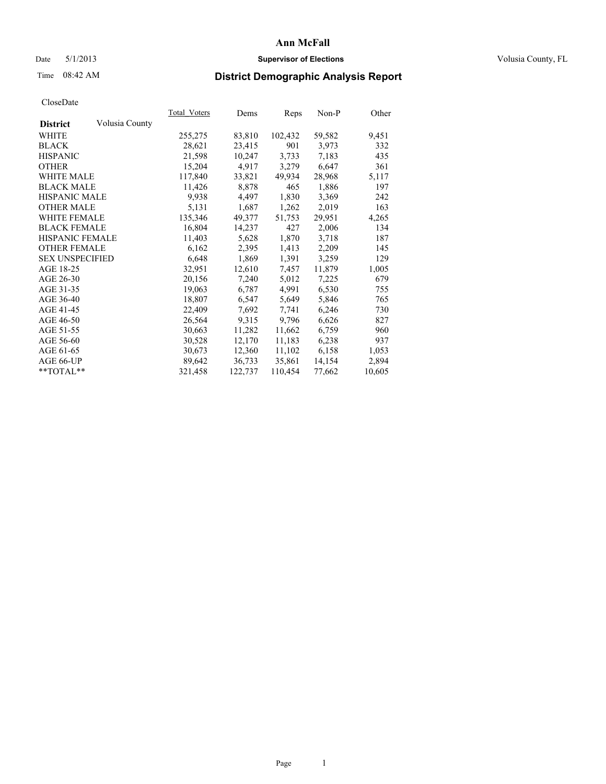### Date 5/1/2013 **Supervisor of Elections Supervisor of Elections** Volusia County, FL

## Time 08:42 AM **District Demographic Analysis Report**

|                        |                | Total Voters | Dems    | <b>Reps</b> | Non-P  | Other  |
|------------------------|----------------|--------------|---------|-------------|--------|--------|
| <b>District</b>        | Volusia County |              |         |             |        |        |
| WHITE                  |                | 255,275      | 83,810  | 102,432     | 59,582 | 9,451  |
| <b>BLACK</b>           |                | 28,621       | 23,415  | 901         | 3,973  | 332    |
| <b>HISPANIC</b>        |                | 21,598       | 10,247  | 3,733       | 7,183  | 435    |
| <b>OTHER</b>           |                | 15,204       | 4,917   | 3,279       | 6,647  | 361    |
| <b>WHITE MALE</b>      |                | 117,840      | 33,821  | 49,934      | 28,968 | 5,117  |
| <b>BLACK MALE</b>      |                | 11,426       | 8,878   | 465         | 1,886  | 197    |
| <b>HISPANIC MALE</b>   |                | 9.938        | 4,497   | 1,830       | 3,369  | 242    |
| <b>OTHER MALE</b>      |                | 5,131        | 1,687   | 1,262       | 2,019  | 163    |
| <b>WHITE FEMALE</b>    |                | 135,346      | 49,377  | 51,753      | 29,951 | 4,265  |
| <b>BLACK FEMALE</b>    |                | 16,804       | 14,237  | 427         | 2,006  | 134    |
| <b>HISPANIC FEMALE</b> |                | 11,403       | 5,628   | 1,870       | 3,718  | 187    |
| <b>OTHER FEMALE</b>    |                | 6,162        | 2,395   | 1,413       | 2,209  | 145    |
| <b>SEX UNSPECIFIED</b> |                | 6,648        | 1,869   | 1,391       | 3,259  | 129    |
| AGE 18-25              |                | 32,951       | 12,610  | 7,457       | 11,879 | 1,005  |
| AGE 26-30              |                | 20,156       | 7,240   | 5,012       | 7,225  | 679    |
| AGE 31-35              |                | 19,063       | 6,787   | 4,991       | 6,530  | 755    |
| AGE 36-40              |                | 18,807       | 6,547   | 5,649       | 5,846  | 765    |
| AGE 41-45              |                | 22,409       | 7,692   | 7,741       | 6,246  | 730    |
| AGE 46-50              |                | 26,564       | 9,315   | 9,796       | 6,626  | 827    |
| AGE 51-55              |                | 30,663       | 11,282  | 11,662      | 6,759  | 960    |
| AGE 56-60              |                | 30,528       | 12,170  | 11,183      | 6,238  | 937    |
| AGE 61-65              |                | 30,673       | 12,360  | 11,102      | 6,158  | 1,053  |
| AGE 66-UP              |                | 89,642       | 36,733  | 35,861      | 14,154 | 2,894  |
| $*$ TOTAL $*$          |                | 321,458      | 122,737 | 110,454     | 77,662 | 10,605 |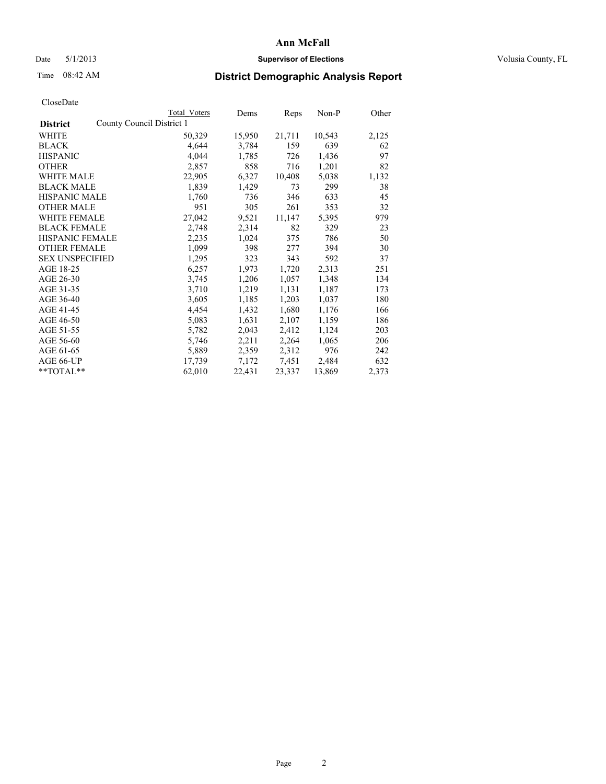### Date 5/1/2013 **Supervisor of Elections Supervisor of Elections** Volusia County, FL

## Time 08:42 AM **District Demographic Analysis Report**

|                        |                           | <b>Total Voters</b> | Dems   | Reps   | Non-P  | Other |
|------------------------|---------------------------|---------------------|--------|--------|--------|-------|
| <b>District</b>        | County Council District 1 |                     |        |        |        |       |
| WHITE                  |                           | 50,329              | 15,950 | 21,711 | 10,543 | 2,125 |
| <b>BLACK</b>           |                           | 4,644               | 3,784  | 159    | 639    | 62    |
| <b>HISPANIC</b>        |                           | 4,044               | 1,785  | 726    | 1,436  | 97    |
| <b>OTHER</b>           |                           | 2,857               | 858    | 716    | 1,201  | 82    |
| WHITE MALE             |                           | 22,905              | 6,327  | 10,408 | 5,038  | 1,132 |
| <b>BLACK MALE</b>      |                           | 1,839               | 1,429  | 73     | 299    | 38    |
| <b>HISPANIC MALE</b>   |                           | 1,760               | 736    | 346    | 633    | 45    |
| <b>OTHER MALE</b>      |                           | 951                 | 305    | 261    | 353    | 32    |
| <b>WHITE FEMALE</b>    |                           | 27,042              | 9,521  | 11,147 | 5,395  | 979   |
| <b>BLACK FEMALE</b>    |                           | 2,748               | 2,314  | 82     | 329    | 23    |
| <b>HISPANIC FEMALE</b> |                           | 2,235               | 1,024  | 375    | 786    | 50    |
| <b>OTHER FEMALE</b>    |                           | 1,099               | 398    | 277    | 394    | 30    |
| <b>SEX UNSPECIFIED</b> |                           | 1,295               | 323    | 343    | 592    | 37    |
| AGE 18-25              |                           | 6,257               | 1,973  | 1,720  | 2,313  | 251   |
| AGE 26-30              |                           | 3,745               | 1,206  | 1,057  | 1,348  | 134   |
| AGE 31-35              |                           | 3,710               | 1,219  | 1,131  | 1,187  | 173   |
| AGE 36-40              |                           | 3,605               | 1,185  | 1,203  | 1,037  | 180   |
| AGE 41-45              |                           | 4,454               | 1,432  | 1,680  | 1,176  | 166   |
| AGE 46-50              |                           | 5,083               | 1,631  | 2,107  | 1,159  | 186   |
| AGE 51-55              |                           | 5,782               | 2,043  | 2,412  | 1,124  | 203   |
| AGE 56-60              |                           | 5,746               | 2,211  | 2,264  | 1,065  | 206   |
| AGE 61-65              |                           | 5,889               | 2,359  | 2,312  | 976    | 242   |
| AGE 66-UP              |                           | 17,739              | 7,172  | 7,451  | 2,484  | 632   |
| **TOTAL**              |                           | 62,010              | 22,431 | 23,337 | 13,869 | 2,373 |
|                        |                           |                     |        |        |        |       |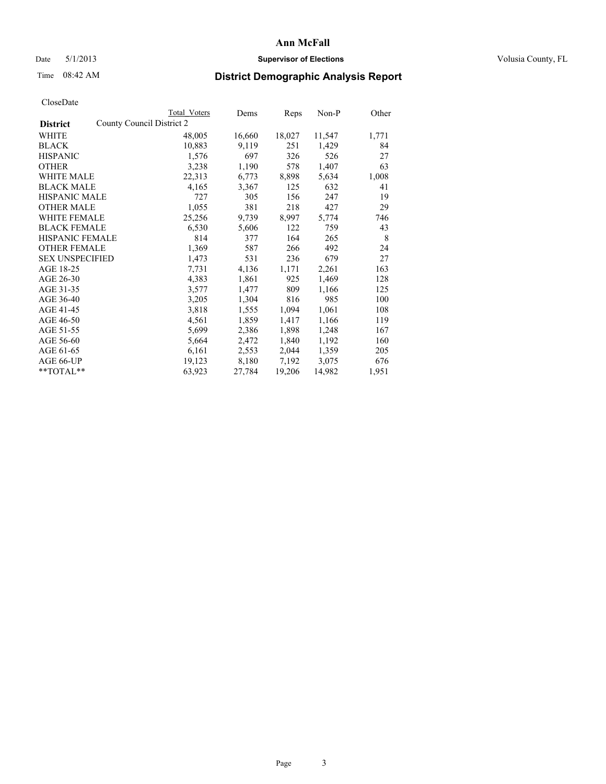### Date 5/1/2013 **Supervisor of Elections Supervisor of Elections** Volusia County, FL

## Time 08:42 AM **District Demographic Analysis Report**

|                                              | <b>Total Voters</b> | Dems   | Reps   | Non-P  | Other |
|----------------------------------------------|---------------------|--------|--------|--------|-------|
| County Council District 2<br><b>District</b> |                     |        |        |        |       |
| WHITE                                        | 48,005              | 16,660 | 18,027 | 11,547 | 1,771 |
| <b>BLACK</b>                                 | 10,883              | 9,119  | 251    | 1,429  | 84    |
| <b>HISPANIC</b>                              | 1,576               | 697    | 326    | 526    | 27    |
| <b>OTHER</b>                                 | 3,238               | 1,190  | 578    | 1,407  | 63    |
| WHITE MALE                                   | 22,313              | 6,773  | 8,898  | 5,634  | 1,008 |
| <b>BLACK MALE</b>                            | 4,165               | 3,367  | 125    | 632    | 41    |
| <b>HISPANIC MALE</b>                         | 727                 | 305    | 156    | 247    | 19    |
| <b>OTHER MALE</b>                            | 1,055               | 381    | 218    | 427    | 29    |
| <b>WHITE FEMALE</b>                          | 25,256              | 9,739  | 8,997  | 5,774  | 746   |
| <b>BLACK FEMALE</b>                          | 6,530               | 5,606  | 122    | 759    | 43    |
| HISPANIC FEMALE                              | 814                 | 377    | 164    | 265    | 8     |
| <b>OTHER FEMALE</b>                          | 1,369               | 587    | 266    | 492    | 24    |
| <b>SEX UNSPECIFIED</b>                       | 1,473               | 531    | 236    | 679    | 27    |
| AGE 18-25                                    | 7,731               | 4,136  | 1,171  | 2,261  | 163   |
| AGE 26-30                                    | 4,383               | 1,861  | 925    | 1,469  | 128   |
| AGE 31-35                                    | 3,577               | 1,477  | 809    | 1,166  | 125   |
| AGE 36-40                                    | 3,205               | 1,304  | 816    | 985    | 100   |
| AGE 41-45                                    | 3,818               | 1,555  | 1,094  | 1,061  | 108   |
| AGE 46-50                                    | 4,561               | 1,859  | 1,417  | 1,166  | 119   |
| AGE 51-55                                    | 5,699               | 2,386  | 1,898  | 1,248  | 167   |
| AGE 56-60                                    | 5,664               | 2,472  | 1,840  | 1,192  | 160   |
| AGE 61-65                                    | 6,161               | 2,553  | 2,044  | 1,359  | 205   |
| AGE 66-UP                                    | 19,123              | 8,180  | 7,192  | 3,075  | 676   |
| $*$ $TOTAL**$                                | 63,923              | 27,784 | 19,206 | 14,982 | 1,951 |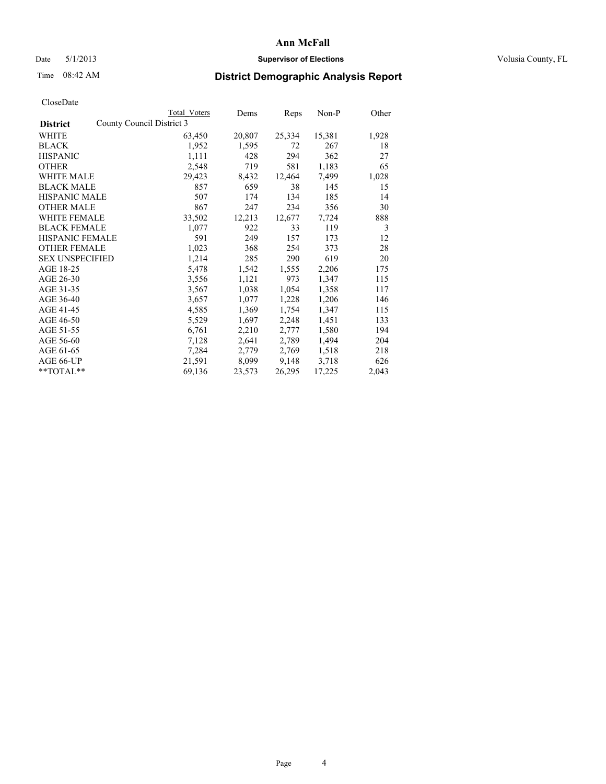### Date 5/1/2013 **Supervisor of Elections Supervisor of Elections** Volusia County, FL

## Time 08:42 AM **District Demographic Analysis Report**

|                                              | Total Voters | Dems   | Reps   | $Non-P$ | Other |
|----------------------------------------------|--------------|--------|--------|---------|-------|
| County Council District 3<br><b>District</b> |              |        |        |         |       |
| WHITE                                        | 63,450       | 20,807 | 25,334 | 15,381  | 1,928 |
| <b>BLACK</b>                                 | 1,952        | 1,595  | 72     | 267     | 18    |
| <b>HISPANIC</b>                              | 1,111        | 428    | 294    | 362     | 27    |
| <b>OTHER</b>                                 | 2,548        | 719    | 581    | 1,183   | 65    |
| <b>WHITE MALE</b>                            | 29,423       | 8,432  | 12,464 | 7.499   | 1,028 |
| <b>BLACK MALE</b>                            | 857          | 659    | 38     | 145     | 15    |
| <b>HISPANIC MALE</b>                         | 507          | 174    | 134    | 185     | 14    |
| <b>OTHER MALE</b>                            | 867          | 247    | 234    | 356     | 30    |
| <b>WHITE FEMALE</b>                          | 33,502       | 12,213 | 12,677 | 7.724   | 888   |
| <b>BLACK FEMALE</b>                          | 1,077        | 922    | 33     | 119     | 3     |
| <b>HISPANIC FEMALE</b>                       | 591          | 249    | 157    | 173     | 12    |
| <b>OTHER FEMALE</b>                          | 1,023        | 368    | 254    | 373     | 28    |
| <b>SEX UNSPECIFIED</b>                       | 1,214        | 285    | 290    | 619     | 20    |
| AGE 18-25                                    | 5,478        | 1,542  | 1,555  | 2,206   | 175   |
| AGE 26-30                                    | 3,556        | 1,121  | 973    | 1,347   | 115   |
| AGE 31-35                                    | 3,567        | 1,038  | 1,054  | 1,358   | 117   |
| AGE 36-40                                    | 3,657        | 1,077  | 1,228  | 1,206   | 146   |
| AGE 41-45                                    | 4,585        | 1,369  | 1,754  | 1,347   | 115   |
| AGE 46-50                                    | 5,529        | 1,697  | 2,248  | 1,451   | 133   |
| AGE 51-55                                    | 6,761        | 2,210  | 2,777  | 1,580   | 194   |
| AGE 56-60                                    | 7,128        | 2,641  | 2,789  | 1,494   | 204   |
| AGE 61-65                                    | 7,284        | 2,779  | 2,769  | 1,518   | 218   |
| AGE 66-UP                                    | 21,591       | 8,099  | 9,148  | 3,718   | 626   |
| $*$ $TOTAI.**$                               | 69,136       | 23,573 | 26,295 | 17,225  | 2,043 |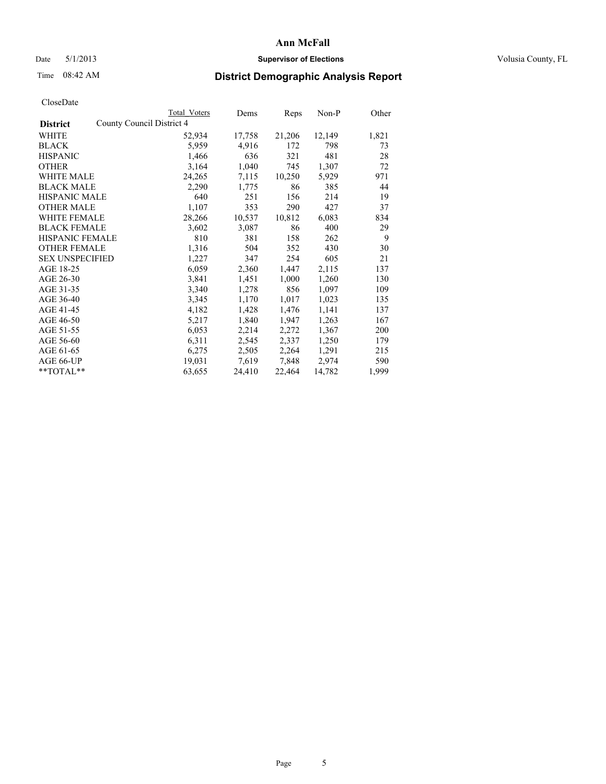### Date 5/1/2013 **Supervisor of Elections Supervisor of Elections** Volusia County, FL

## Time 08:42 AM **District Demographic Analysis Report**

|                        |                           | Total Voters | Dems   | <b>Reps</b> | Non-P  | Other |
|------------------------|---------------------------|--------------|--------|-------------|--------|-------|
| <b>District</b>        | County Council District 4 |              |        |             |        |       |
| WHITE                  |                           | 52,934       | 17,758 | 21,206      | 12,149 | 1,821 |
| <b>BLACK</b>           |                           | 5,959        | 4,916  | 172         | 798    | 73    |
| <b>HISPANIC</b>        |                           | 1,466        | 636    | 321         | 481    | 28    |
| <b>OTHER</b>           |                           | 3,164        | 1,040  | 745         | 1,307  | 72    |
| WHITE MALE             |                           | 24,265       | 7,115  | 10,250      | 5,929  | 971   |
| <b>BLACK MALE</b>      |                           | 2,290        | 1,775  | 86          | 385    | 44    |
| <b>HISPANIC MALE</b>   |                           | 640          | 251    | 156         | 214    | 19    |
| <b>OTHER MALE</b>      |                           | 1,107        | 353    | 290         | 427    | 37    |
| <b>WHITE FEMALE</b>    |                           | 28,266       | 10,537 | 10,812      | 6,083  | 834   |
| <b>BLACK FEMALE</b>    |                           | 3,602        | 3,087  | 86          | 400    | 29    |
| <b>HISPANIC FEMALE</b> |                           | 810          | 381    | 158         | 262    | 9     |
| <b>OTHER FEMALE</b>    |                           | 1,316        | 504    | 352         | 430    | 30    |
| <b>SEX UNSPECIFIED</b> |                           | 1,227        | 347    | 254         | 605    | 21    |
| AGE 18-25              |                           | 6,059        | 2,360  | 1,447       | 2,115  | 137   |
| AGE 26-30              |                           | 3,841        | 1,451  | 1,000       | 1,260  | 130   |
| AGE 31-35              |                           | 3,340        | 1,278  | 856         | 1,097  | 109   |
| AGE 36-40              |                           | 3,345        | 1,170  | 1,017       | 1,023  | 135   |
| AGE 41-45              |                           | 4,182        | 1,428  | 1,476       | 1,141  | 137   |
| AGE 46-50              |                           | 5,217        | 1,840  | 1,947       | 1,263  | 167   |
| AGE 51-55              |                           | 6,053        | 2,214  | 2,272       | 1,367  | 200   |
| AGE 56-60              |                           | 6,311        | 2,545  | 2,337       | 1,250  | 179   |
| AGE 61-65              |                           | 6,275        | 2,505  | 2,264       | 1,291  | 215   |
| AGE 66-UP              |                           | 19,031       | 7,619  | 7,848       | 2,974  | 590   |
| $*$ $TOTAL**$          |                           | 63,655       | 24,410 | 22,464      | 14,782 | 1,999 |
|                        |                           |              |        |             |        |       |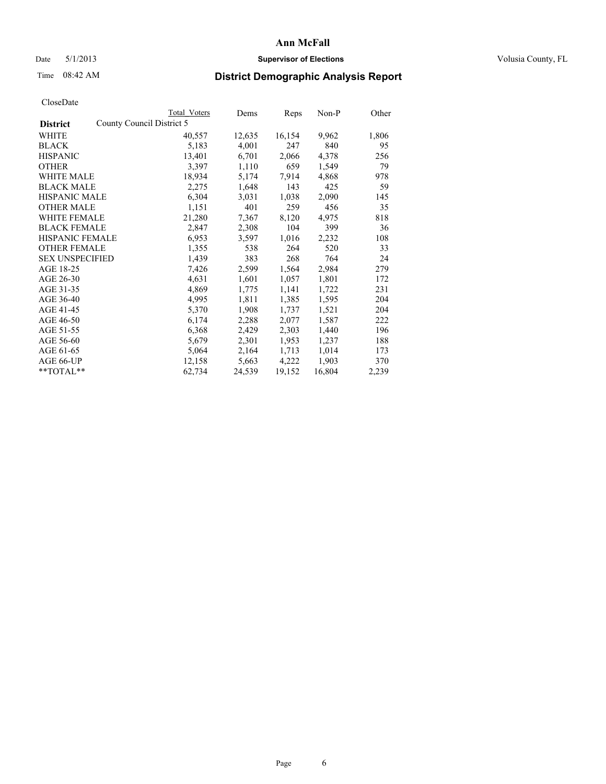### Date 5/1/2013 **Supervisor of Elections Supervisor of Elections** Volusia County, FL

## Time 08:42 AM **District Demographic Analysis Report**

|                                              | Total Voters | Dems   | Reps   | $Non-P$ | Other |
|----------------------------------------------|--------------|--------|--------|---------|-------|
| County Council District 5<br><b>District</b> |              |        |        |         |       |
| WHITE                                        | 40,557       | 12,635 | 16,154 | 9,962   | 1,806 |
| <b>BLACK</b>                                 | 5,183        | 4,001  | 247    | 840     | 95    |
| <b>HISPANIC</b>                              | 13,401       | 6,701  | 2,066  | 4,378   | 256   |
| <b>OTHER</b>                                 | 3,397        | 1,110  | 659    | 1,549   | 79    |
| WHITE MALE                                   | 18,934       | 5,174  | 7.914  | 4,868   | 978   |
| <b>BLACK MALE</b>                            | 2,275        | 1,648  | 143    | 425     | 59    |
| <b>HISPANIC MALE</b>                         | 6,304        | 3,031  | 1,038  | 2,090   | 145   |
| <b>OTHER MALE</b>                            | 1,151        | 401    | 259    | 456     | 35    |
| <b>WHITE FEMALE</b>                          | 21,280       | 7,367  | 8,120  | 4,975   | 818   |
| <b>BLACK FEMALE</b>                          | 2,847        | 2,308  | 104    | 399     | 36    |
| HISPANIC FEMALE                              | 6,953        | 3,597  | 1,016  | 2,232   | 108   |
| <b>OTHER FEMALE</b>                          | 1,355        | 538    | 264    | 520     | 33    |
| <b>SEX UNSPECIFIED</b>                       | 1,439        | 383    | 268    | 764     | 24    |
| AGE 18-25                                    | 7,426        | 2,599  | 1,564  | 2,984   | 279   |
| AGE 26-30                                    | 4,631        | 1,601  | 1,057  | 1,801   | 172   |
| AGE 31-35                                    | 4,869        | 1,775  | 1,141  | 1,722   | 231   |
| AGE 36-40                                    | 4,995        | 1,811  | 1,385  | 1,595   | 204   |
| AGE 41-45                                    | 5,370        | 1,908  | 1,737  | 1,521   | 204   |
| AGE 46-50                                    | 6,174        | 2,288  | 2,077  | 1,587   | 222   |
| AGE 51-55                                    | 6,368        | 2,429  | 2,303  | 1,440   | 196   |
| AGE 56-60                                    | 5,679        | 2,301  | 1,953  | 1,237   | 188   |
| AGE 61-65                                    | 5,064        | 2,164  | 1,713  | 1,014   | 173   |
| AGE 66-UP                                    | 12,158       | 5,663  | 4,222  | 1,903   | 370   |
| $*$ TOTAL $*$                                | 62,734       | 24,539 | 19,152 | 16,804  | 2,239 |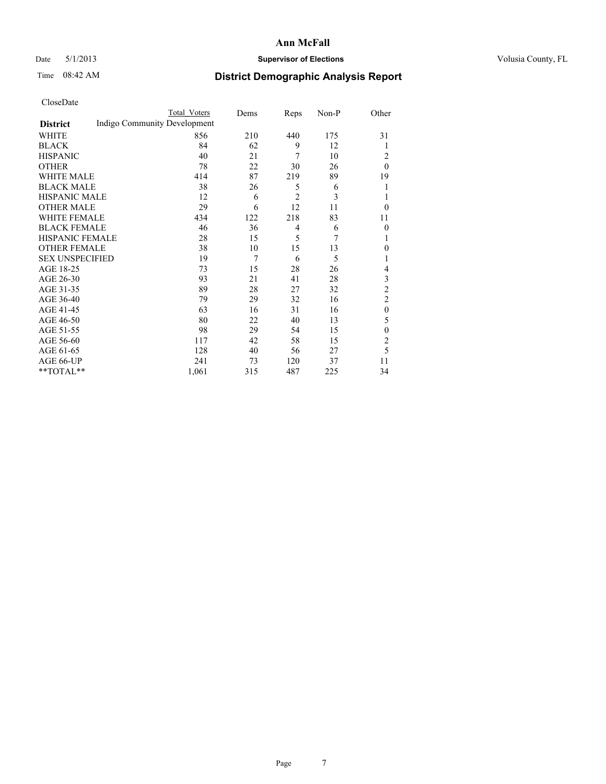### Date 5/1/2013 **Supervisor of Elections Supervisor of Elections** Volusia County, FL

# Time 08:42 AM **District Demographic Analysis Report**

|                        |                              | <b>Total Voters</b> | Dems | Reps           | Non-P | Other            |
|------------------------|------------------------------|---------------------|------|----------------|-------|------------------|
| <b>District</b>        | Indigo Community Development |                     |      |                |       |                  |
| WHITE                  |                              | 856                 | 210  | 440            | 175   | 31               |
| <b>BLACK</b>           |                              | 84                  | 62   | 9              | 12    | 1                |
| <b>HISPANIC</b>        |                              | 40                  | 21   | 7              | 10    | 2                |
| <b>OTHER</b>           |                              | 78                  | 22   | 30             | 26    | $\theta$         |
| WHITE MALE             |                              | 414                 | 87   | 219            | 89    | 19               |
| <b>BLACK MALE</b>      |                              | 38                  | 26   | 5              | 6     | 1                |
| <b>HISPANIC MALE</b>   |                              | 12                  | 6    | $\overline{2}$ | 3     | 1                |
| <b>OTHER MALE</b>      |                              | 29                  | 6    | 12             | 11    | $\theta$         |
| WHITE FEMALE           |                              | 434                 | 122  | 218            | 83    | 11               |
| <b>BLACK FEMALE</b>    |                              | 46                  | 36   | $\overline{4}$ | 6     | $\overline{0}$   |
| <b>HISPANIC FEMALE</b> |                              | 28                  | 15   | 5              | 7     | 1                |
| <b>OTHER FEMALE</b>    |                              | 38                  | 10   | 15             | 13    | $\theta$         |
| <b>SEX UNSPECIFIED</b> |                              | 19                  | 7    | 6              | 5     | 1                |
| AGE 18-25              |                              | 73                  | 15   | 28             | 26    | 4                |
| AGE 26-30              |                              | 93                  | 21   | 41             | 28    | 3                |
| AGE 31-35              |                              | 89                  | 28   | 27             | 32    | $\overline{c}$   |
| AGE 36-40              |                              | 79                  | 29   | 32             | 16    | $\overline{2}$   |
| AGE 41-45              |                              | 63                  | 16   | 31             | 16    | $\boldsymbol{0}$ |
| AGE 46-50              |                              | 80                  | 22   | 40             | 13    | 5                |
| AGE 51-55              |                              | 98                  | 29   | 54             | 15    | $\theta$         |
| AGE 56-60              |                              | 117                 | 42   | 58             | 15    | $\overline{2}$   |
| AGE 61-65              |                              | 128                 | 40   | 56             | 27    | 5                |
| AGE 66-UP              |                              | 241                 | 73   | 120            | 37    | 11               |
| **TOTAL**              |                              | 1,061               | 315  | 487            | 225   | 34               |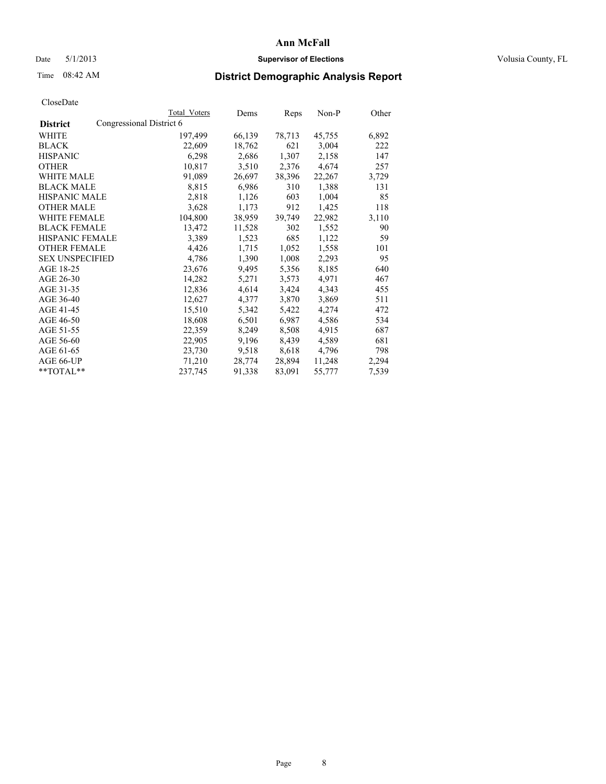### Date 5/1/2013 **Supervisor of Elections Supervisor of Elections** Volusia County, FL

## Time 08:42 AM **District Demographic Analysis Report**

|                        |                          | <b>Total Voters</b> | Dems   | Reps   | Non-P  | Other |
|------------------------|--------------------------|---------------------|--------|--------|--------|-------|
| <b>District</b>        | Congressional District 6 |                     |        |        |        |       |
| WHITE                  |                          | 197,499             | 66,139 | 78,713 | 45,755 | 6,892 |
| <b>BLACK</b>           |                          | 22,609              | 18,762 | 621    | 3,004  | 222   |
| <b>HISPANIC</b>        |                          | 6,298               | 2,686  | 1,307  | 2,158  | 147   |
| <b>OTHER</b>           |                          | 10,817              | 3,510  | 2,376  | 4,674  | 257   |
| WHITE MALE             |                          | 91,089              | 26,697 | 38,396 | 22,267 | 3,729 |
| <b>BLACK MALE</b>      |                          | 8,815               | 6,986  | 310    | 1,388  | 131   |
| <b>HISPANIC MALE</b>   |                          | 2,818               | 1,126  | 603    | 1,004  | 85    |
| <b>OTHER MALE</b>      |                          | 3,628               | 1,173  | 912    | 1,425  | 118   |
| <b>WHITE FEMALE</b>    |                          | 104,800             | 38,959 | 39,749 | 22,982 | 3,110 |
| <b>BLACK FEMALE</b>    |                          | 13,472              | 11,528 | 302    | 1,552  | 90    |
| <b>HISPANIC FEMALE</b> |                          | 3,389               | 1,523  | 685    | 1,122  | 59    |
| <b>OTHER FEMALE</b>    |                          | 4,426               | 1,715  | 1,052  | 1,558  | 101   |
| <b>SEX UNSPECIFIED</b> |                          | 4,786               | 1,390  | 1,008  | 2,293  | 95    |
| AGE 18-25              |                          | 23,676              | 9,495  | 5,356  | 8,185  | 640   |
| AGE 26-30              |                          | 14,282              | 5,271  | 3,573  | 4,971  | 467   |
| AGE 31-35              |                          | 12,836              | 4,614  | 3,424  | 4,343  | 455   |
| AGE 36-40              |                          | 12,627              | 4,377  | 3,870  | 3,869  | 511   |
| AGE 41-45              |                          | 15,510              | 5,342  | 5,422  | 4,274  | 472   |
| AGE 46-50              |                          | 18,608              | 6,501  | 6,987  | 4,586  | 534   |
| AGE 51-55              |                          | 22,359              | 8,249  | 8,508  | 4,915  | 687   |
| AGE 56-60              |                          | 22,905              | 9,196  | 8,439  | 4,589  | 681   |
| AGE 61-65              |                          | 23,730              | 9,518  | 8,618  | 4,796  | 798   |
| AGE 66-UP              |                          | 71,210              | 28,774 | 28,894 | 11,248 | 2,294 |
| **TOTAL**              |                          | 237,745             | 91,338 | 83,091 | 55,777 | 7,539 |
|                        |                          |                     |        |        |        |       |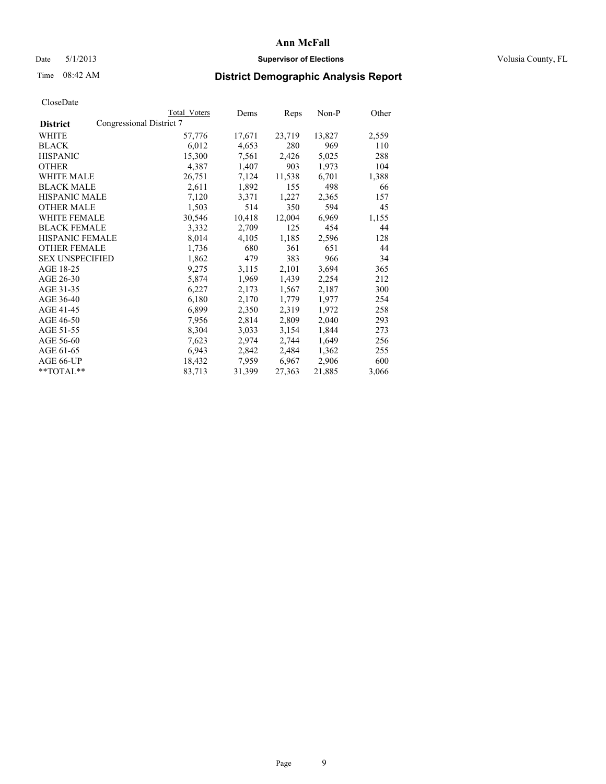### Date 5/1/2013 **Supervisor of Elections Supervisor of Elections** Volusia County, FL

## Time 08:42 AM **District Demographic Analysis Report**

|                                             | Total Voters | Dems   | Reps   | Non-P  | Other |
|---------------------------------------------|--------------|--------|--------|--------|-------|
| Congressional District 7<br><b>District</b> |              |        |        |        |       |
| WHITE                                       | 57,776       | 17,671 | 23,719 | 13,827 | 2,559 |
| <b>BLACK</b>                                | 6,012        | 4,653  | 280    | 969    | 110   |
| <b>HISPANIC</b>                             | 15,300       | 7,561  | 2,426  | 5,025  | 288   |
| <b>OTHER</b>                                | 4,387        | 1,407  | 903    | 1,973  | 104   |
| WHITE MALE                                  | 26,751       | 7,124  | 11,538 | 6,701  | 1,388 |
| <b>BLACK MALE</b>                           | 2,611        | 1,892  | 155    | 498    | 66    |
| <b>HISPANIC MALE</b>                        | 7,120        | 3,371  | 1,227  | 2,365  | 157   |
| <b>OTHER MALE</b>                           | 1,503        | 514    | 350    | 594    | 45    |
| WHITE FEMALE                                | 30,546       | 10,418 | 12,004 | 6,969  | 1,155 |
| <b>BLACK FEMALE</b>                         | 3,332        | 2,709  | 125    | 454    | 44    |
| <b>HISPANIC FEMALE</b>                      | 8,014        | 4,105  | 1,185  | 2,596  | 128   |
| <b>OTHER FEMALE</b>                         | 1,736        | 680    | 361    | 651    | 44    |
| <b>SEX UNSPECIFIED</b>                      | 1,862        | 479    | 383    | 966    | 34    |
| AGE 18-25                                   | 9,275        | 3,115  | 2,101  | 3,694  | 365   |
| AGE 26-30                                   | 5,874        | 1,969  | 1,439  | 2,254  | 212   |
| AGE 31-35                                   | 6,227        | 2,173  | 1,567  | 2,187  | 300   |
| AGE 36-40                                   | 6,180        | 2,170  | 1,779  | 1,977  | 254   |
| AGE 41-45                                   | 6,899        | 2,350  | 2,319  | 1,972  | 258   |
| AGE 46-50                                   | 7,956        | 2,814  | 2,809  | 2,040  | 293   |
| AGE 51-55                                   | 8,304        | 3,033  | 3,154  | 1,844  | 273   |
| AGE 56-60                                   | 7,623        | 2,974  | 2,744  | 1,649  | 256   |
| AGE 61-65                                   | 6,943        | 2,842  | 2,484  | 1,362  | 255   |
| AGE 66-UP                                   | 18,432       | 7,959  | 6,967  | 2,906  | 600   |
| **TOTAL**                                   | 83,713       | 31,399 | 27,363 | 21,885 | 3,066 |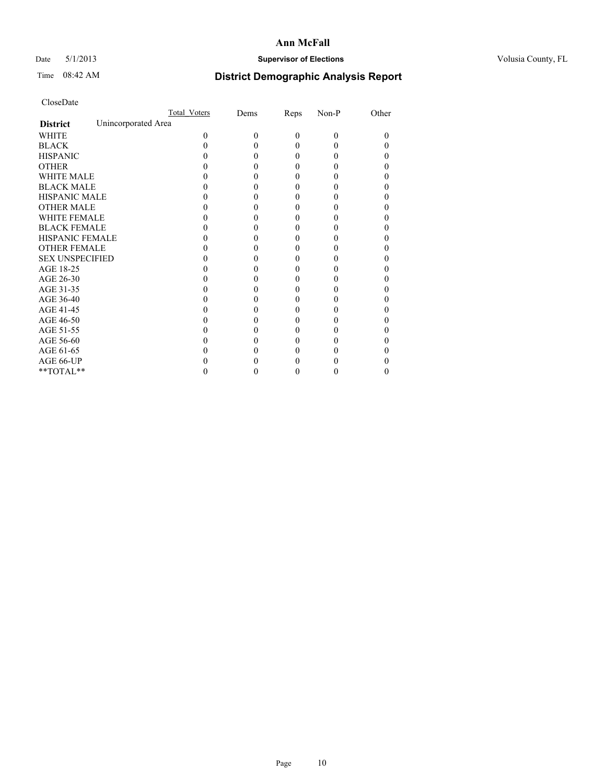### Date 5/1/2013 **Supervisor of Elections Supervisor of Elections** Volusia County, FL

# Time 08:42 AM **District Demographic Analysis Report**

|                        | Total Voters        | Dems | Reps     | Non-P    | Other |
|------------------------|---------------------|------|----------|----------|-------|
| <b>District</b>        | Unincorporated Area |      |          |          |       |
| <b>WHITE</b>           | 0                   | 0    | $\theta$ | $\theta$ | 0     |
| <b>BLACK</b>           |                     |      | 0        | 0        |       |
| <b>HISPANIC</b>        |                     |      | 0        | 0        |       |
| <b>OTHER</b>           |                     |      |          |          |       |
| WHITE MALE             |                     |      |          |          |       |
| <b>BLACK MALE</b>      |                     |      | 0        |          |       |
| <b>HISPANIC MALE</b>   |                     |      |          |          |       |
| <b>OTHER MALE</b>      |                     |      | 0        |          |       |
| <b>WHITE FEMALE</b>    |                     |      |          |          |       |
| <b>BLACK FEMALE</b>    |                     |      | 0        |          |       |
| <b>HISPANIC FEMALE</b> |                     |      |          |          |       |
| <b>OTHER FEMALE</b>    |                     |      |          |          |       |
| <b>SEX UNSPECIFIED</b> |                     |      |          |          |       |
| AGE 18-25              |                     |      |          |          |       |
| AGE 26-30              |                     |      | 0        |          |       |
| AGE 31-35              |                     |      |          |          |       |
| AGE 36-40              |                     |      | 0        |          |       |
| AGE 41-45              |                     |      |          |          |       |
| AGE 46-50              |                     |      | 0        |          |       |
| AGE 51-55              |                     |      |          |          |       |
| AGE 56-60              |                     |      |          |          |       |
| AGE 61-65              |                     |      |          |          |       |
| AGE 66-UP              |                     |      |          |          |       |
| $**TOTAL**$            |                     |      | 0        | 0        | 0     |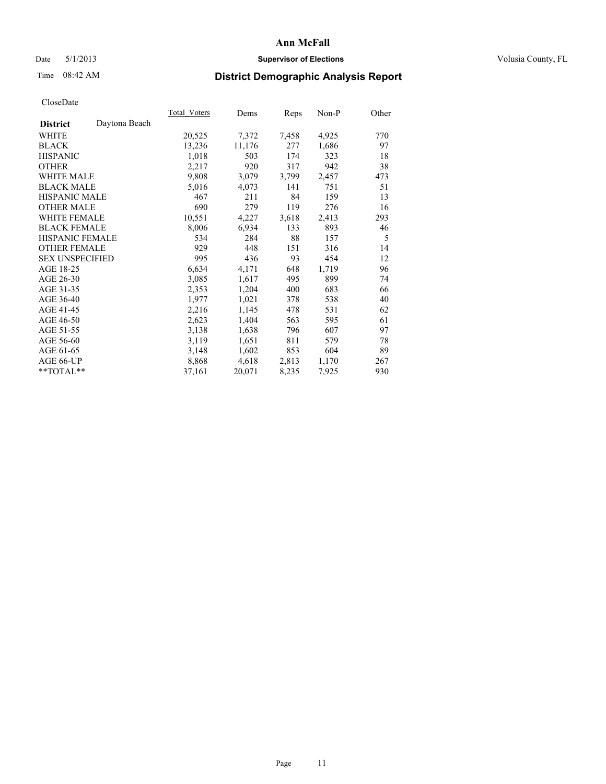### Date 5/1/2013 **Supervisor of Elections Supervisor of Elections** Volusia County, FL

# Time 08:42 AM **District Demographic Analysis Report**

|                        |               | Total Voters | Dems   | Reps  | Non-P | Other |
|------------------------|---------------|--------------|--------|-------|-------|-------|
| <b>District</b>        | Daytona Beach |              |        |       |       |       |
| WHITE                  |               | 20,525       | 7,372  | 7,458 | 4,925 | 770   |
| <b>BLACK</b>           |               | 13,236       | 11,176 | 277   | 1,686 | 97    |
| <b>HISPANIC</b>        |               | 1,018        | 503    | 174   | 323   | 18    |
| <b>OTHER</b>           |               | 2,217        | 920    | 317   | 942   | 38    |
| <b>WHITE MALE</b>      |               | 9,808        | 3,079  | 3,799 | 2,457 | 473   |
| <b>BLACK MALE</b>      |               | 5,016        | 4,073  | 141   | 751   | 51    |
| <b>HISPANIC MALE</b>   |               | 467          | 211    | 84    | 159   | 13    |
| <b>OTHER MALE</b>      |               | 690          | 279    | 119   | 276   | 16    |
| <b>WHITE FEMALE</b>    |               | 10,551       | 4,227  | 3,618 | 2,413 | 293   |
| <b>BLACK FEMALE</b>    |               | 8,006        | 6,934  | 133   | 893   | 46    |
| HISPANIC FEMALE        |               | 534          | 284    | 88    | 157   | 5     |
| <b>OTHER FEMALE</b>    |               | 929          | 448    | 151   | 316   | 14    |
| <b>SEX UNSPECIFIED</b> |               | 995          | 436    | 93    | 454   | 12    |
| AGE 18-25              |               | 6,634        | 4,171  | 648   | 1,719 | 96    |
| AGE 26-30              |               | 3,085        | 1,617  | 495   | 899   | 74    |
| AGE 31-35              |               | 2,353        | 1,204  | 400   | 683   | 66    |
| AGE 36-40              |               | 1,977        | 1,021  | 378   | 538   | 40    |
| AGE 41-45              |               | 2,216        | 1,145  | 478   | 531   | 62    |
| AGE 46-50              |               | 2,623        | 1,404  | 563   | 595   | 61    |
| AGE 51-55              |               | 3,138        | 1,638  | 796   | 607   | 97    |
| AGE 56-60              |               | 3,119        | 1,651  | 811   | 579   | 78    |
| AGE 61-65              |               | 3,148        | 1,602  | 853   | 604   | 89    |
| AGE 66-UP              |               | 8,868        | 4,618  | 2,813 | 1,170 | 267   |
| **TOTAL**              |               | 37,161       | 20,071 | 8,235 | 7,925 | 930   |
|                        |               |              |        |       |       |       |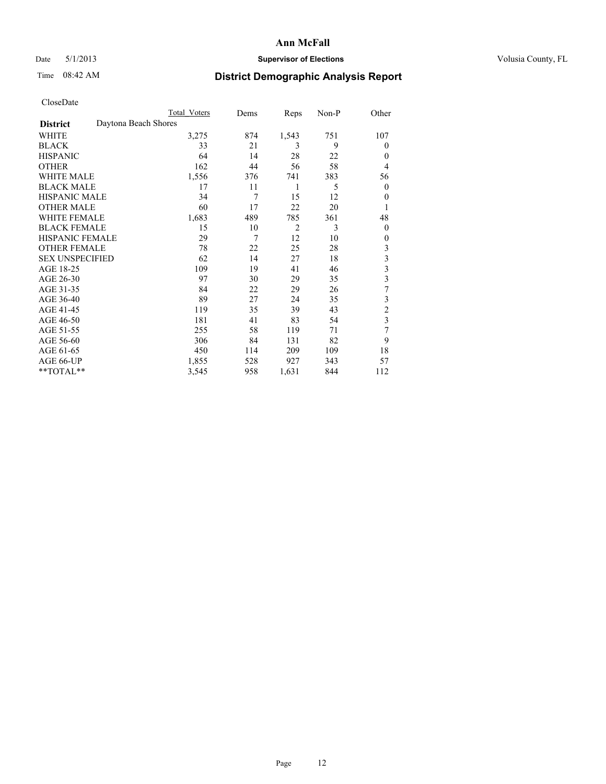## Date 5/1/2013 **Supervisor of Elections Supervisor of Elections** Volusia County, FL

# Time 08:42 AM **District Demographic Analysis Report**

|                        | <b>Total Voters</b>  | Dems | Reps           | Non-P | Other            |
|------------------------|----------------------|------|----------------|-------|------------------|
| <b>District</b>        | Daytona Beach Shores |      |                |       |                  |
| WHITE                  | 3,275                | 874  | 1,543          | 751   | 107              |
| <b>BLACK</b>           | 33                   | 21   | 3              | 9     | $\theta$         |
| <b>HISPANIC</b>        | 64                   | 14   | 28             | 22    | $\theta$         |
| <b>OTHER</b>           | 162                  | 44   | 56             | 58    | $\overline{4}$   |
| <b>WHITE MALE</b>      | 1,556                | 376  | 741            | 383   | 56               |
| <b>BLACK MALE</b>      | 17                   | 11   | 1              | 5     | $\boldsymbol{0}$ |
| <b>HISPANIC MALE</b>   | 34                   | 7    | 15             | 12    | $\theta$         |
| <b>OTHER MALE</b>      | 60                   | 17   | 22             | 20    | 1                |
| <b>WHITE FEMALE</b>    | 1,683                | 489  | 785            | 361   | 48               |
| <b>BLACK FEMALE</b>    | 15                   | 10   | $\overline{2}$ | 3     | $\overline{0}$   |
| <b>HISPANIC FEMALE</b> | 29                   | 7    | 12             | 10    | $\theta$         |
| <b>OTHER FEMALE</b>    | 78                   | 22   | 25             | 28    | 3                |
| <b>SEX UNSPECIFIED</b> | 62                   | 14   | 27             | 18    | 3                |
| AGE 18-25              | 109                  | 19   | 41             | 46    | 3                |
| AGE 26-30              | 97                   | 30   | 29             | 35    | 3                |
| AGE 31-35              | 84                   | 22   | 29             | 26    | 7                |
| AGE 36-40              | 89                   | 27   | 24             | 35    | 3                |
| AGE 41-45              | 119                  | 35   | 39             | 43    | $\overline{c}$   |
| AGE 46-50              | 181                  | 41   | 83             | 54    | 3                |
| AGE 51-55              | 255                  | 58   | 119            | 71    | 7                |
| AGE 56-60              | 306                  | 84   | 131            | 82    | 9                |
| AGE 61-65              | 450                  | 114  | 209            | 109   | 18               |
| AGE 66-UP              | 1,855                | 528  | 927            | 343   | 57               |
| $*$ TOTAL $*$          | 3,545                | 958  | 1,631          | 844   | 112              |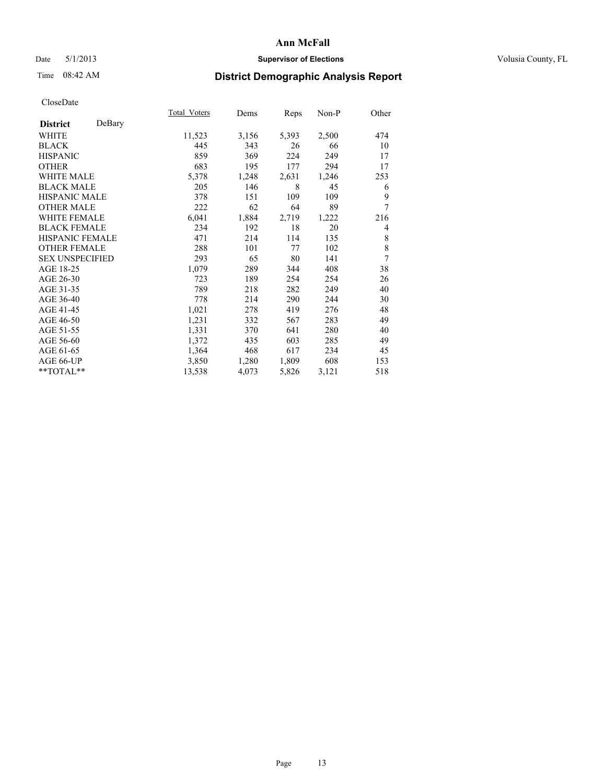## Date 5/1/2013 **Supervisor of Elections Supervisor of Elections** Volusia County, FL

# Time 08:42 AM **District Demographic Analysis Report**

|                        |        | Total Voters | Dems  | Reps  | Non-P | Other |
|------------------------|--------|--------------|-------|-------|-------|-------|
| <b>District</b>        | DeBary |              |       |       |       |       |
| WHITE                  |        | 11,523       | 3,156 | 5,393 | 2,500 | 474   |
| <b>BLACK</b>           |        | 445          | 343   | 26    | 66    | 10    |
| <b>HISPANIC</b>        |        | 859          | 369   | 224   | 249   | 17    |
| <b>OTHER</b>           |        | 683          | 195   | 177   | 294   | 17    |
| WHITE MALE             |        | 5,378        | 1,248 | 2,631 | 1,246 | 253   |
| <b>BLACK MALE</b>      |        | 205          | 146   | 8     | 45    | 6     |
| <b>HISPANIC MALE</b>   |        | 378          | 151   | 109   | 109   | 9     |
| <b>OTHER MALE</b>      |        | 222          | 62    | 64    | 89    | 7     |
| <b>WHITE FEMALE</b>    |        | 6,041        | 1,884 | 2,719 | 1,222 | 216   |
| <b>BLACK FEMALE</b>    |        | 234          | 192   | 18    | 20    | 4     |
| <b>HISPANIC FEMALE</b> |        | 471          | 214   | 114   | 135   | 8     |
| <b>OTHER FEMALE</b>    |        | 288          | 101   | 77    | 102   | 8     |
| <b>SEX UNSPECIFIED</b> |        | 293          | 65    | 80    | 141   | 7     |
| AGE 18-25              |        | 1,079        | 289   | 344   | 408   | 38    |
| AGE 26-30              |        | 723          | 189   | 254   | 254   | 26    |
| AGE 31-35              |        | 789          | 218   | 282   | 249   | 40    |
| AGE 36-40              |        | 778          | 214   | 290   | 244   | 30    |
| AGE 41-45              |        | 1,021        | 278   | 419   | 276   | 48    |
| AGE 46-50              |        | 1,231        | 332   | 567   | 283   | 49    |
| AGE 51-55              |        | 1,331        | 370   | 641   | 280   | 40    |
| AGE 56-60              |        | 1,372        | 435   | 603   | 285   | 49    |
| AGE 61-65              |        | 1,364        | 468   | 617   | 234   | 45    |
| AGE 66-UP              |        | 3,850        | 1,280 | 1,809 | 608   | 153   |
| **TOTAL**              |        | 13,538       | 4,073 | 5,826 | 3,121 | 518   |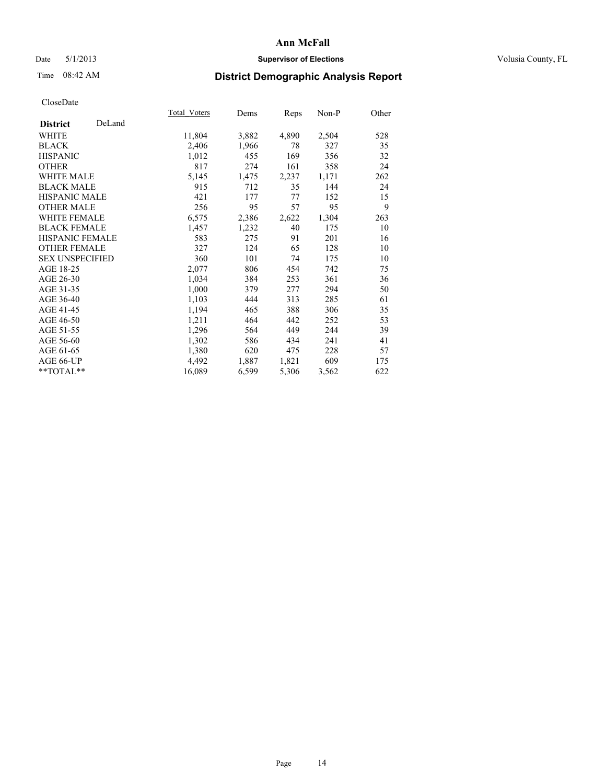### Date 5/1/2013 **Supervisor of Elections Supervisor of Elections** Volusia County, FL

# Time 08:42 AM **District Demographic Analysis Report**

|                           | Total Voters | Dems  | <b>Reps</b> | Non-P | Other |
|---------------------------|--------------|-------|-------------|-------|-------|
| DeLand<br><b>District</b> |              |       |             |       |       |
| <b>WHITE</b>              | 11,804       | 3,882 | 4,890       | 2,504 | 528   |
| <b>BLACK</b>              | 2,406        | 1,966 | 78          | 327   | 35    |
| <b>HISPANIC</b>           | 1,012        | 455   | 169         | 356   | 32    |
| <b>OTHER</b>              | 817          | 274   | 161         | 358   | 24    |
| <b>WHITE MALE</b>         | 5,145        | 1,475 | 2,237       | 1,171 | 262   |
| <b>BLACK MALE</b>         | 915          | 712   | 35          | 144   | 24    |
| HISPANIC MALE             | 421          | 177   | 77          | 152   | 15    |
| <b>OTHER MALE</b>         | 256          | 95    | 57          | 95    | 9     |
| <b>WHITE FEMALE</b>       | 6,575        | 2,386 | 2,622       | 1,304 | 263   |
| <b>BLACK FEMALE</b>       | 1,457        | 1,232 | 40          | 175   | 10    |
| <b>HISPANIC FEMALE</b>    | 583          | 275   | 91          | 201   | 16    |
| <b>OTHER FEMALE</b>       | 327          | 124   | 65          | 128   | 10    |
| <b>SEX UNSPECIFIED</b>    | 360          | 101   | 74          | 175   | 10    |
| AGE 18-25                 | 2,077        | 806   | 454         | 742   | 75    |
| AGE 26-30                 | 1,034        | 384   | 253         | 361   | 36    |
| AGE 31-35                 | 1,000        | 379   | 277         | 294   | 50    |
| AGE 36-40                 | 1,103        | 444   | 313         | 285   | 61    |
| AGE 41-45                 | 1,194        | 465   | 388         | 306   | 35    |
| AGE 46-50                 | 1,211        | 464   | 442         | 252   | 53    |
| AGE 51-55                 | 1,296        | 564   | 449         | 244   | 39    |
| AGE 56-60                 | 1,302        | 586   | 434         | 241   | 41    |
| AGE 61-65                 | 1,380        | 620   | 475         | 228   | 57    |
| AGE 66-UP                 | 4,492        | 1,887 | 1,821       | 609   | 175   |
| **TOTAL**                 | 16,089       | 6,599 | 5,306       | 3,562 | 622   |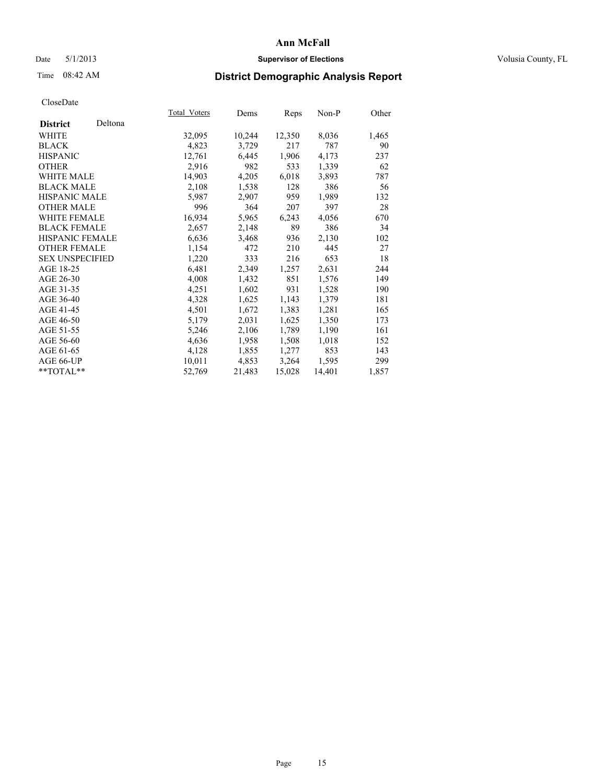### Date 5/1/2013 **Supervisor of Elections Supervisor of Elections** Volusia County, FL

# Time 08:42 AM **District Demographic Analysis Report**

|                        |         | Total Voters | Dems   | Reps   | Non-P  | Other |
|------------------------|---------|--------------|--------|--------|--------|-------|
| <b>District</b>        | Deltona |              |        |        |        |       |
| <b>WHITE</b>           |         | 32,095       | 10,244 | 12,350 | 8,036  | 1,465 |
| <b>BLACK</b>           |         | 4,823        | 3,729  | 217    | 787    | 90    |
| <b>HISPANIC</b>        |         | 12,761       | 6,445  | 1,906  | 4,173  | 237   |
| <b>OTHER</b>           |         | 2,916        | 982    | 533    | 1,339  | 62    |
| <b>WHITE MALE</b>      |         | 14,903       | 4,205  | 6,018  | 3,893  | 787   |
| <b>BLACK MALE</b>      |         | 2,108        | 1,538  | 128    | 386    | 56    |
| <b>HISPANIC MALE</b>   |         | 5,987        | 2,907  | 959    | 1,989  | 132   |
| <b>OTHER MALE</b>      |         | 996          | 364    | 207    | 397    | 28    |
| <b>WHITE FEMALE</b>    |         | 16,934       | 5,965  | 6,243  | 4,056  | 670   |
| <b>BLACK FEMALE</b>    |         | 2,657        | 2,148  | 89     | 386    | 34    |
| HISPANIC FEMALE        |         | 6,636        | 3,468  | 936    | 2,130  | 102   |
| <b>OTHER FEMALE</b>    |         | 1,154        | 472    | 210    | 445    | 27    |
| <b>SEX UNSPECIFIED</b> |         | 1,220        | 333    | 216    | 653    | 18    |
| AGE 18-25              |         | 6,481        | 2,349  | 1,257  | 2,631  | 244   |
| AGE 26-30              |         | 4,008        | 1,432  | 851    | 1,576  | 149   |
| AGE 31-35              |         | 4,251        | 1,602  | 931    | 1,528  | 190   |
| AGE 36-40              |         | 4,328        | 1,625  | 1,143  | 1,379  | 181   |
| AGE 41-45              |         | 4,501        | 1,672  | 1,383  | 1,281  | 165   |
| AGE 46-50              |         | 5,179        | 2,031  | 1,625  | 1,350  | 173   |
| AGE 51-55              |         | 5,246        | 2,106  | 1,789  | 1,190  | 161   |
| AGE 56-60              |         | 4,636        | 1,958  | 1,508  | 1,018  | 152   |
| AGE 61-65              |         | 4,128        | 1,855  | 1,277  | 853    | 143   |
| AGE 66-UP              |         | 10,011       | 4,853  | 3,264  | 1,595  | 299   |
| $*$ $TOTAL**$          |         | 52,769       | 21,483 | 15,028 | 14,401 | 1,857 |
|                        |         |              |        |        |        |       |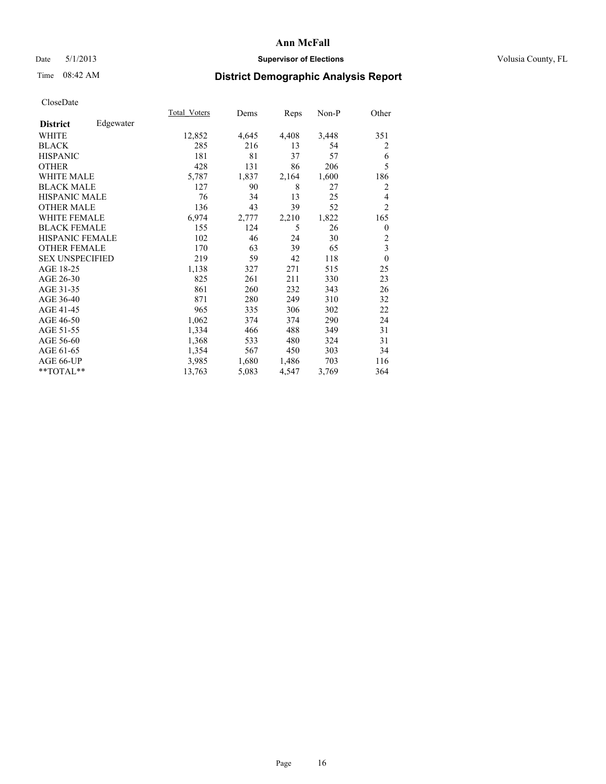## Date 5/1/2013 **Supervisor of Elections Supervisor of Elections** Volusia County, FL

# Time 08:42 AM **District Demographic Analysis Report**

|                        |           | Total Voters | Dems  | Reps  | Non-P | Other          |
|------------------------|-----------|--------------|-------|-------|-------|----------------|
| <b>District</b>        | Edgewater |              |       |       |       |                |
| WHITE                  |           | 12,852       | 4,645 | 4,408 | 3,448 | 351            |
| <b>BLACK</b>           |           | 285          | 216   | 13    | 54    | 2              |
| <b>HISPANIC</b>        |           | 181          | 81    | 37    | 57    | 6              |
| <b>OTHER</b>           |           | 428          | 131   | 86    | 206   | 5              |
| <b>WHITE MALE</b>      |           | 5,787        | 1,837 | 2,164 | 1,600 | 186            |
| <b>BLACK MALE</b>      |           | 127          | 90    | 8     | 27    | $\overline{2}$ |
| <b>HISPANIC MALE</b>   |           | 76           | 34    | 13    | 25    | 4              |
| <b>OTHER MALE</b>      |           | 136          | 43    | 39    | 52    | $\overline{2}$ |
| <b>WHITE FEMALE</b>    |           | 6,974        | 2,777 | 2,210 | 1,822 | 165            |
| <b>BLACK FEMALE</b>    |           | 155          | 124   | 5     | 26    | $\overline{0}$ |
| <b>HISPANIC FEMALE</b> |           | 102          | 46    | 24    | 30    | $\overline{c}$ |
| <b>OTHER FEMALE</b>    |           | 170          | 63    | 39    | 65    | 3              |
| <b>SEX UNSPECIFIED</b> |           | 219          | 59    | 42    | 118   | $\theta$       |
| AGE 18-25              |           | 1,138        | 327   | 271   | 515   | 25             |
| AGE 26-30              |           | 825          | 261   | 211   | 330   | 23             |
| AGE 31-35              |           | 861          | 260   | 232   | 343   | 26             |
| AGE 36-40              |           | 871          | 280   | 249   | 310   | 32             |
| AGE 41-45              |           | 965          | 335   | 306   | 302   | 22             |
| AGE 46-50              |           | 1,062        | 374   | 374   | 290   | 24             |
| AGE 51-55              |           | 1,334        | 466   | 488   | 349   | 31             |
| AGE 56-60              |           | 1,368        | 533   | 480   | 324   | 31             |
| AGE 61-65              |           | 1,354        | 567   | 450   | 303   | 34             |
| AGE 66-UP              |           | 3,985        | 1,680 | 1,486 | 703   | 116            |
| **TOTAL**              |           | 13,763       | 5,083 | 4,547 | 3,769 | 364            |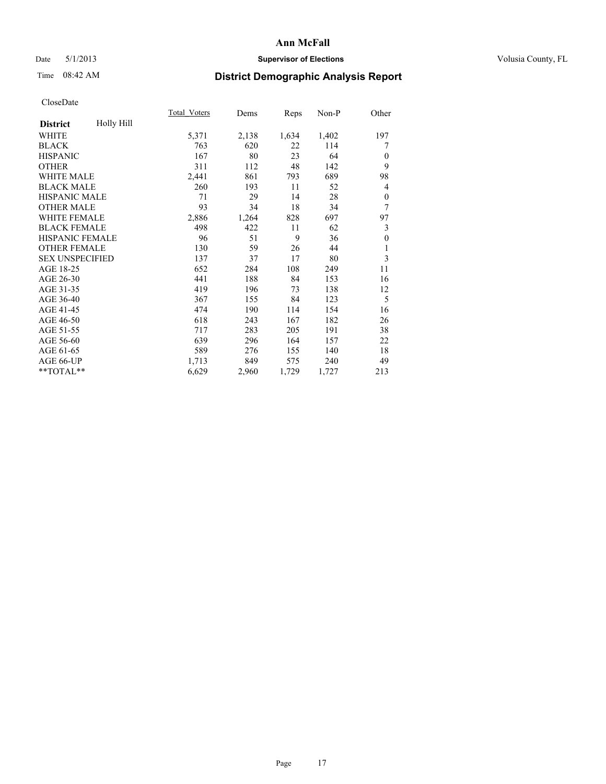### Date 5/1/2013 **Supervisor of Elections Supervisor of Elections** Volusia County, FL

# Time 08:42 AM **District Demographic Analysis Report**

|                        |            | <b>Total Voters</b> | Dems  | Reps  | Non-P | Other        |
|------------------------|------------|---------------------|-------|-------|-------|--------------|
| <b>District</b>        | Holly Hill |                     |       |       |       |              |
| WHITE                  |            | 5,371               | 2,138 | 1,634 | 1,402 | 197          |
| <b>BLACK</b>           |            | 763                 | 620   | 22    | 114   | 7            |
| <b>HISPANIC</b>        |            | 167                 | 80    | 23    | 64    | $\mathbf{0}$ |
| <b>OTHER</b>           |            | 311                 | 112   | 48    | 142   | 9            |
| <b>WHITE MALE</b>      |            | 2,441               | 861   | 793   | 689   | 98           |
| <b>BLACK MALE</b>      |            | 260                 | 193   | 11    | 52    | 4            |
| <b>HISPANIC MALE</b>   |            | 71                  | 29    | 14    | 28    | $\theta$     |
| <b>OTHER MALE</b>      |            | 93                  | 34    | 18    | 34    | 7            |
| <b>WHITE FEMALE</b>    |            | 2,886               | 1,264 | 828   | 697   | 97           |
| <b>BLACK FEMALE</b>    |            | 498                 | 422   | 11    | 62    | 3            |
| <b>HISPANIC FEMALE</b> |            | 96                  | 51    | 9     | 36    | $\theta$     |
| <b>OTHER FEMALE</b>    |            | 130                 | 59    | 26    | 44    | 1            |
| <b>SEX UNSPECIFIED</b> |            | 137                 | 37    | 17    | 80    | 3            |
| AGE 18-25              |            | 652                 | 284   | 108   | 249   | 11           |
| AGE 26-30              |            | 441                 | 188   | 84    | 153   | 16           |
| AGE 31-35              |            | 419                 | 196   | 73    | 138   | 12           |
| AGE 36-40              |            | 367                 | 155   | 84    | 123   | 5            |
| AGE 41-45              |            | 474                 | 190   | 114   | 154   | 16           |
| AGE 46-50              |            | 618                 | 243   | 167   | 182   | 26           |
| AGE 51-55              |            | 717                 | 283   | 205   | 191   | 38           |
| AGE 56-60              |            | 639                 | 296   | 164   | 157   | 22           |
| AGE 61-65              |            | 589                 | 276   | 155   | 140   | 18           |
| AGE 66-UP              |            | 1,713               | 849   | 575   | 240   | 49           |
| **TOTAL**              |            | 6,629               | 2,960 | 1,729 | 1,727 | 213          |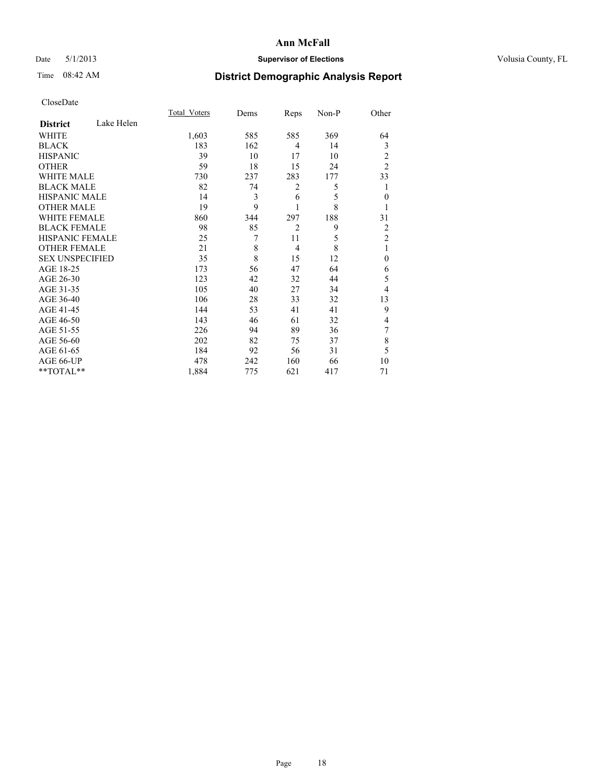## Date 5/1/2013 **Supervisor of Elections Supervisor of Elections** Volusia County, FL

# Time 08:42 AM **District Demographic Analysis Report**

|                        |            | Total Voters | Dems | Reps           | Non-P | Other          |
|------------------------|------------|--------------|------|----------------|-------|----------------|
| <b>District</b>        | Lake Helen |              |      |                |       |                |
| WHITE                  |            | 1,603        | 585  | 585            | 369   | 64             |
| <b>BLACK</b>           |            | 183          | 162  | 4              | 14    | 3              |
| <b>HISPANIC</b>        |            | 39           | 10   | 17             | 10    | 2              |
| <b>OTHER</b>           |            | 59           | 18   | 15             | 24    | $\overline{2}$ |
| WHITE MALE             |            | 730          | 237  | 283            | 177   | 33             |
| <b>BLACK MALE</b>      |            | 82           | 74   | 2              | 5     | 1              |
| <b>HISPANIC MALE</b>   |            | 14           | 3    | 6              | 5     | $\mathbf{0}$   |
| <b>OTHER MALE</b>      |            | 19           | 9    | 1              | 8     |                |
| WHITE FEMALE           |            | 860          | 344  | 297            | 188   | 31             |
| <b>BLACK FEMALE</b>    |            | 98           | 85   | $\overline{2}$ | 9     | 2              |
| HISPANIC FEMALE        |            | 25           | 7    | 11             | 5     | $\overline{2}$ |
| <b>OTHER FEMALE</b>    |            | 21           | 8    | $\overline{4}$ | 8     | 1              |
| <b>SEX UNSPECIFIED</b> |            | 35           | 8    | 15             | 12    | $\theta$       |
| AGE 18-25              |            | 173          | 56   | 47             | 64    | 6              |
| AGE 26-30              |            | 123          | 42   | 32             | 44    | 5              |
| AGE 31-35              |            | 105          | 40   | 27             | 34    | 4              |
| AGE 36-40              |            | 106          | 28   | 33             | 32    | 13             |
| AGE 41-45              |            | 144          | 53   | 41             | 41    | 9              |
| AGE 46-50              |            | 143          | 46   | 61             | 32    | 4              |
| AGE 51-55              |            | 226          | 94   | 89             | 36    | 7              |
| AGE 56-60              |            | 202          | 82   | 75             | 37    | 8              |
| AGE 61-65              |            | 184          | 92   | 56             | 31    | 5              |
| AGE 66-UP              |            | 478          | 242  | 160            | 66    | 10             |
| **TOTAL**              |            | 1,884        | 775  | 621            | 417   | 71             |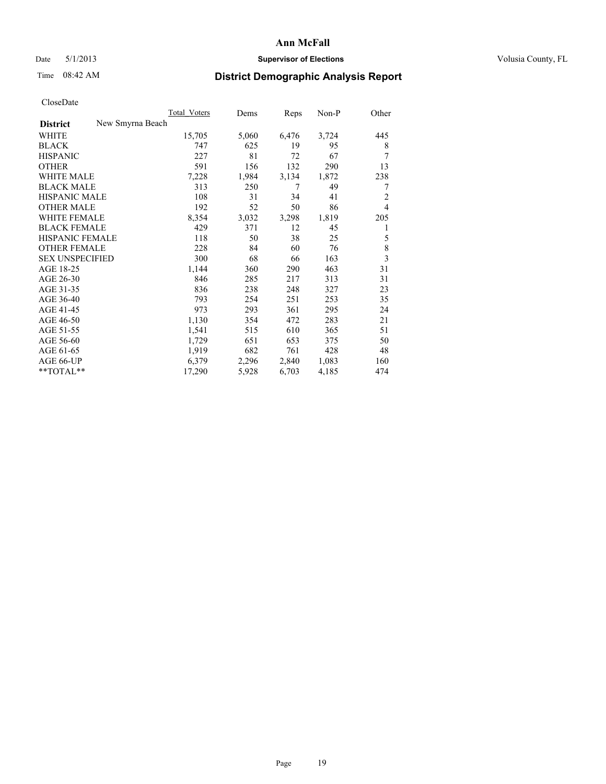### Date 5/1/2013 **Supervisor of Elections Supervisor of Elections** Volusia County, FL

# Time 08:42 AM **District Demographic Analysis Report**

|                                     | <b>Total Voters</b> | Dems  | Reps  | Non-P | Other          |
|-------------------------------------|---------------------|-------|-------|-------|----------------|
| New Smyrna Beach<br><b>District</b> |                     |       |       |       |                |
| <b>WHITE</b>                        | 15,705              | 5,060 | 6,476 | 3,724 | 445            |
| <b>BLACK</b>                        | 747                 | 625   | 19    | 95    | 8              |
| <b>HISPANIC</b>                     | 227                 | 81    | 72    | 67    | 7              |
| <b>OTHER</b>                        | 591                 | 156   | 132   | 290   | 13             |
| <b>WHITE MALE</b>                   | 7,228               | 1,984 | 3,134 | 1,872 | 238            |
| <b>BLACK MALE</b>                   | 313                 | 250   | 7     | 49    | 7              |
| <b>HISPANIC MALE</b>                | 108                 | 31    | 34    | 41    | $\overline{c}$ |
| <b>OTHER MALE</b>                   | 192                 | 52    | 50    | 86    | $\overline{4}$ |
| <b>WHITE FEMALE</b>                 | 8,354               | 3,032 | 3,298 | 1,819 | 205            |
| <b>BLACK FEMALE</b>                 | 429                 | 371   | 12    | 45    | 1              |
| <b>HISPANIC FEMALE</b>              | 118                 | 50    | 38    | 25    | 5              |
| <b>OTHER FEMALE</b>                 | 228                 | 84    | 60    | 76    | 8              |
| <b>SEX UNSPECIFIED</b>              | 300                 | 68    | 66    | 163   | $\overline{3}$ |
| AGE 18-25                           | 1,144               | 360   | 290   | 463   | 31             |
| AGE 26-30                           | 846                 | 285   | 217   | 313   | 31             |
| AGE 31-35                           | 836                 | 238   | 248   | 327   | 23             |
| AGE 36-40                           | 793                 | 254   | 251   | 253   | 35             |
| AGE 41-45                           | 973                 | 293   | 361   | 295   | 24             |
| AGE 46-50                           | 1,130               | 354   | 472   | 283   | 21             |
| AGE 51-55                           | 1,541               | 515   | 610   | 365   | 51             |
| AGE 56-60                           | 1,729               | 651   | 653   | 375   | 50             |
| AGE 61-65                           | 1,919               | 682   | 761   | 428   | 48             |
| AGE 66-UP                           | 6,379               | 2,296 | 2,840 | 1,083 | 160            |
| **TOTAL**                           | 17,290              | 5,928 | 6,703 | 4,185 | 474            |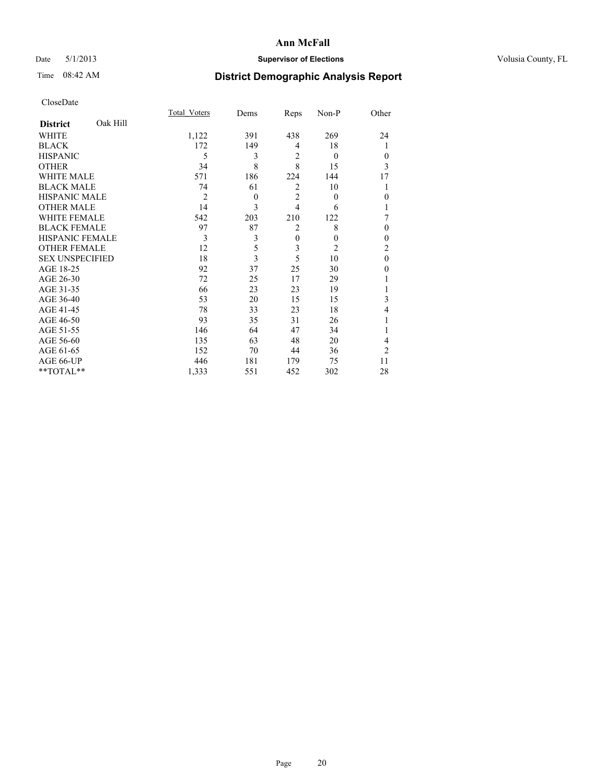## Date 5/1/2013 **Supervisor of Elections Supervisor of Elections** Volusia County, FL

# Time 08:42 AM **District Demographic Analysis Report**

|                        |          | <b>Total Voters</b> | Dems     | Reps           | Non-P          | Other            |
|------------------------|----------|---------------------|----------|----------------|----------------|------------------|
| <b>District</b>        | Oak Hill |                     |          |                |                |                  |
| <b>WHITE</b>           |          | 1,122               | 391      | 438            | 269            | 24               |
| <b>BLACK</b>           |          | 172                 | 149      | 4              | 18             |                  |
| <b>HISPANIC</b>        |          | 5                   | 3        | $\overline{2}$ | $\theta$       | $\theta$         |
| <b>OTHER</b>           |          | 34                  | 8        | 8              | 15             | 3                |
| WHITE MALE             |          | 571                 | 186      | 224            | 144            | 17               |
| <b>BLACK MALE</b>      |          | 74                  | 61       | $\overline{2}$ | 10             |                  |
| <b>HISPANIC MALE</b>   |          | $\overline{2}$      | $\theta$ | $\overline{2}$ | $\overline{0}$ | $\boldsymbol{0}$ |
| <b>OTHER MALE</b>      |          | 14                  | 3        | $\overline{4}$ | 6              |                  |
| WHITE FEMALE           |          | 542                 | 203      | 210            | 122            | 7                |
| <b>BLACK FEMALE</b>    |          | 97                  | 87       | $\overline{2}$ | 8              | $\theta$         |
| <b>HISPANIC FEMALE</b> |          | 3                   | 3        | $\mathbf{0}$   | $\theta$       | $\theta$         |
| <b>OTHER FEMALE</b>    |          | 12                  | 5        | 3              | $\overline{2}$ | $\overline{c}$   |
| <b>SEX UNSPECIFIED</b> |          | 18                  | 3        | 5              | 10             | $\mathbf{0}$     |
| AGE 18-25              |          | 92                  | 37       | 25             | 30             | $\theta$         |
| AGE 26-30              |          | 72                  | 25       | 17             | 29             |                  |
| AGE 31-35              |          | 66                  | 23       | 23             | 19             |                  |
| AGE 36-40              |          | 53                  | 20       | 15             | 15             | 3                |
| AGE 41-45              |          | 78                  | 33       | 23             | 18             | 4                |
| AGE 46-50              |          | 93                  | 35       | 31             | 26             | 1                |
| AGE 51-55              |          | 146                 | 64       | 47             | 34             |                  |
| AGE 56-60              |          | 135                 | 63       | 48             | 20             | 4                |
| AGE 61-65              |          | 152                 | 70       | 44             | 36             | $\overline{2}$   |
| AGE 66-UP              |          | 446                 | 181      | 179            | 75             | 11               |
| **TOTAL**              |          | 1,333               | 551      | 452            | 302            | 28               |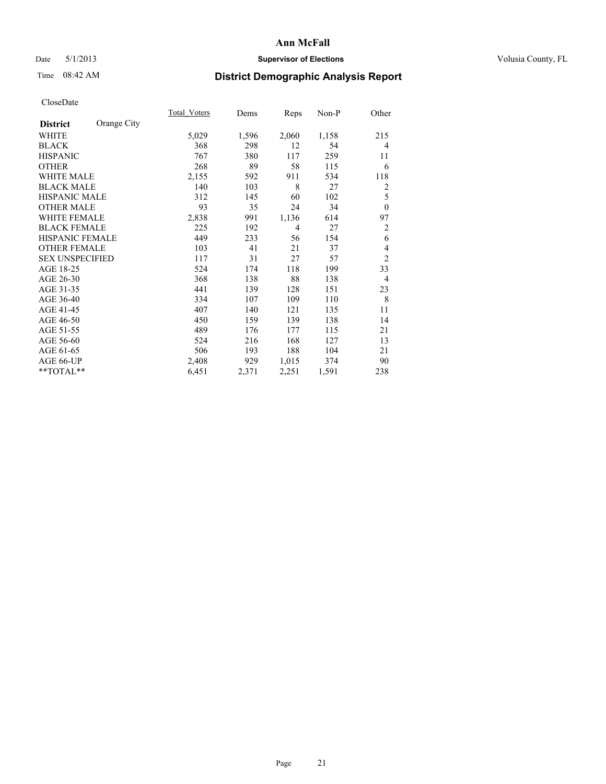## Date 5/1/2013 **Supervisor of Elections Supervisor of Elections** Volusia County, FL

# Time 08:42 AM **District Demographic Analysis Report**

|                        |             | <b>Total Voters</b> | Dems  | Reps           | $Non-P$ | Other          |
|------------------------|-------------|---------------------|-------|----------------|---------|----------------|
| <b>District</b>        | Orange City |                     |       |                |         |                |
| WHITE                  |             | 5,029               | 1,596 | 2,060          | 1,158   | 215            |
| <b>BLACK</b>           |             | 368                 | 298   | 12             | 54      | $\overline{4}$ |
| <b>HISPANIC</b>        |             | 767                 | 380   | 117            | 259     | 11             |
| <b>OTHER</b>           |             | 268                 | 89    | 58             | 115     | 6              |
| <b>WHITE MALE</b>      |             | 2,155               | 592   | 911            | 534     | 118            |
| <b>BLACK MALE</b>      |             | 140                 | 103   | 8              | 27      | 2              |
| HISPANIC MALE          |             | 312                 | 145   | 60             | 102     | 5              |
| <b>OTHER MALE</b>      |             | 93                  | 35    | 24             | 34      | $\mathbf{0}$   |
| <b>WHITE FEMALE</b>    |             | 2,838               | 991   | 1,136          | 614     | 97             |
| <b>BLACK FEMALE</b>    |             | 225                 | 192   | $\overline{4}$ | 27      | $\overline{2}$ |
| <b>HISPANIC FEMALE</b> |             | 449                 | 233   | 56             | 154     | 6              |
| <b>OTHER FEMALE</b>    |             | 103                 | 41    | 21             | 37      | 4              |
| <b>SEX UNSPECIFIED</b> |             | 117                 | 31    | 27             | 57      | $\overline{2}$ |
| AGE 18-25              |             | 524                 | 174   | 118            | 199     | 33             |
| AGE 26-30              |             | 368                 | 138   | 88             | 138     | $\overline{4}$ |
| AGE 31-35              |             | 441                 | 139   | 128            | 151     | 23             |
| AGE 36-40              |             | 334                 | 107   | 109            | 110     | 8              |
| AGE 41-45              |             | 407                 | 140   | 121            | 135     | 11             |
| AGE 46-50              |             | 450                 | 159   | 139            | 138     | 14             |
| AGE 51-55              |             | 489                 | 176   | 177            | 115     | 21             |
| AGE 56-60              |             | 524                 | 216   | 168            | 127     | 13             |
| AGE 61-65              |             | 506                 | 193   | 188            | 104     | 21             |
| AGE 66-UP              |             | 2,408               | 929   | 1,015          | 374     | 90             |
| **TOTAL**              |             | 6,451               | 2,371 | 2,251          | 1,591   | 238            |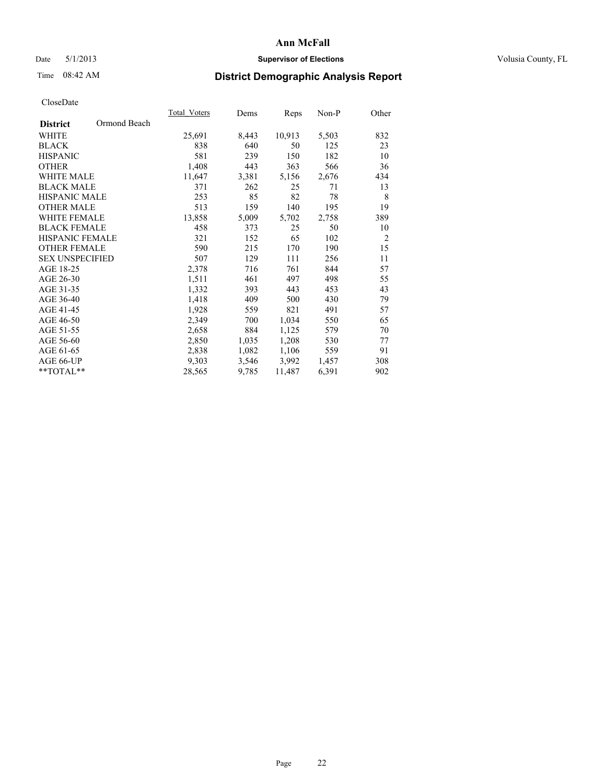## Date 5/1/2013 **Supervisor of Elections Supervisor of Elections** Volusia County, FL

# Time 08:42 AM **District Demographic Analysis Report**

|                        |              | <b>Total Voters</b> | Dems  | Reps   | Non-P | Other          |
|------------------------|--------------|---------------------|-------|--------|-------|----------------|
| <b>District</b>        | Ormond Beach |                     |       |        |       |                |
| WHITE                  |              | 25,691              | 8,443 | 10,913 | 5,503 | 832            |
| <b>BLACK</b>           |              | 838                 | 640   | 50     | 125   | 23             |
| <b>HISPANIC</b>        |              | 581                 | 239   | 150    | 182   | 10             |
| <b>OTHER</b>           |              | 1,408               | 443   | 363    | 566   | 36             |
| WHITE MALE             |              | 11,647              | 3,381 | 5,156  | 2,676 | 434            |
| <b>BLACK MALE</b>      |              | 371                 | 262   | 25     | 71    | 13             |
| <b>HISPANIC MALE</b>   |              | 253                 | 85    | 82     | 78    | 8              |
| <b>OTHER MALE</b>      |              | 513                 | 159   | 140    | 195   | 19             |
| <b>WHITE FEMALE</b>    |              | 13,858              | 5,009 | 5,702  | 2,758 | 389            |
| <b>BLACK FEMALE</b>    |              | 458                 | 373   | 25     | 50    | 10             |
| HISPANIC FEMALE        |              | 321                 | 152   | 65     | 102   | $\overline{2}$ |
| <b>OTHER FEMALE</b>    |              | 590                 | 215   | 170    | 190   | 15             |
| <b>SEX UNSPECIFIED</b> |              | 507                 | 129   | 111    | 256   | 11             |
| AGE 18-25              |              | 2,378               | 716   | 761    | 844   | 57             |
| AGE 26-30              |              | 1,511               | 461   | 497    | 498   | 55             |
| AGE 31-35              |              | 1,332               | 393   | 443    | 453   | 43             |
| AGE 36-40              |              | 1,418               | 409   | 500    | 430   | 79             |
| AGE 41-45              |              | 1,928               | 559   | 821    | 491   | 57             |
| AGE 46-50              |              | 2,349               | 700   | 1,034  | 550   | 65             |
| AGE 51-55              |              | 2,658               | 884   | 1,125  | 579   | 70             |
| AGE 56-60              |              | 2,850               | 1,035 | 1,208  | 530   | 77             |
| AGE 61-65              |              | 2,838               | 1,082 | 1,106  | 559   | 91             |
| AGE 66-UP              |              | 9,303               | 3,546 | 3,992  | 1,457 | 308            |
| **TOTAL**              |              | 28,565              | 9,785 | 11,487 | 6,391 | 902            |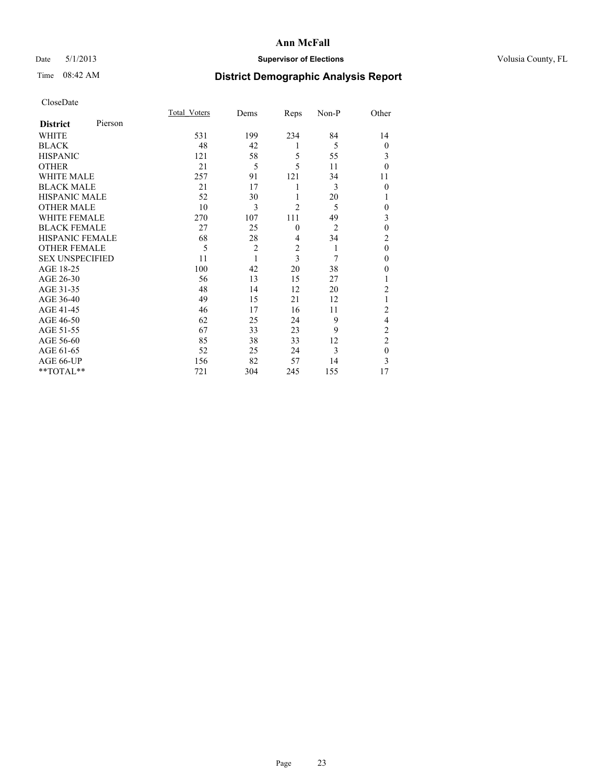## Date 5/1/2013 **Supervisor of Elections Supervisor of Elections** Volusia County, FL

# Time 08:42 AM **District Demographic Analysis Report**

|                        |         | <b>Total Voters</b> | Dems           | Reps           | Non-P          | Other          |
|------------------------|---------|---------------------|----------------|----------------|----------------|----------------|
| <b>District</b>        | Pierson |                     |                |                |                |                |
| WHITE                  |         | 531                 | 199            | 234            | 84             | 14             |
| <b>BLACK</b>           |         | 48                  | 42             | 1              | 5              | $\theta$       |
| <b>HISPANIC</b>        |         | 121                 | 58             | 5              | 55             | 3              |
| <b>OTHER</b>           |         | 21                  | 5              | 5              | 11             | $\theta$       |
| WHITE MALE             |         | 257                 | 91             | 121            | 34             | 11             |
| <b>BLACK MALE</b>      |         | 21                  | 17             | 1              | 3              | $\theta$       |
| <b>HISPANIC MALE</b>   |         | 52                  | 30             | 1              | 20             | 1              |
| <b>OTHER MALE</b>      |         | 10                  | 3              | $\overline{c}$ | 5              | 0              |
| <b>WHITE FEMALE</b>    |         | 270                 | 107            | 111            | 49             | 3              |
| <b>BLACK FEMALE</b>    |         | 27                  | 25             | $\mathbf{0}$   | $\overline{2}$ | $\mathbf{0}$   |
| <b>HISPANIC FEMALE</b> |         | 68                  | 28             | 4              | 34             | $\overline{c}$ |
| <b>OTHER FEMALE</b>    |         | 5                   | $\overline{c}$ | $\overline{c}$ | 1              | $\theta$       |
| <b>SEX UNSPECIFIED</b> |         | 11                  | 1              | $\overline{3}$ | 7              | $\mathbf{0}$   |
| AGE 18-25              |         | 100                 | 42             | 20             | 38             | $\theta$       |
| AGE 26-30              |         | 56                  | 13             | 15             | 27             | 1              |
| AGE 31-35              |         | 48                  | 14             | 12             | 20             | $\overline{c}$ |
| AGE 36-40              |         | 49                  | 15             | 21             | 12             |                |
| AGE 41-45              |         | 46                  | 17             | 16             | 11             | $\overline{c}$ |
| AGE 46-50              |         | 62                  | 25             | 24             | 9              | 4              |
| AGE 51-55              |         | 67                  | 33             | 23             | 9              | $\overline{c}$ |
| AGE 56-60              |         | 85                  | 38             | 33             | 12             | $\overline{c}$ |
| AGE 61-65              |         | 52                  | 25             | 24             | 3              | $\mathbf{0}$   |
| AGE 66-UP              |         | 156                 | 82             | 57             | 14             | 3              |
| **TOTAL**              |         | 721                 | 304            | 245            | 155            | 17             |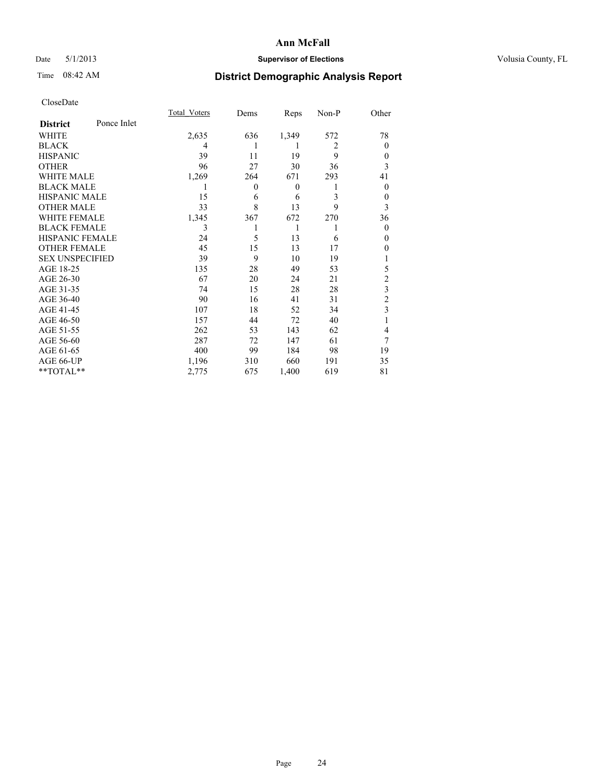## Date 5/1/2013 **Supervisor of Elections Supervisor of Elections** Volusia County, FL

# Time 08:42 AM **District Demographic Analysis Report**

|                        |             | <b>Total Voters</b> | Dems     | Reps             | Non-P          | Other                   |
|------------------------|-------------|---------------------|----------|------------------|----------------|-------------------------|
| <b>District</b>        | Ponce Inlet |                     |          |                  |                |                         |
| WHITE                  |             | 2,635               | 636      | 1,349            | 572            | 78                      |
| <b>BLACK</b>           |             | 4                   |          | 1                | $\overline{2}$ | $\theta$                |
| <b>HISPANIC</b>        |             | 39                  | 11       | 19               | 9              | $\theta$                |
| <b>OTHER</b>           |             | 96                  | 27       | 30               | 36             | 3                       |
| WHITE MALE             |             | 1,269               | 264      | 671              | 293            | 41                      |
| <b>BLACK MALE</b>      |             | 1                   | $\theta$ | $\boldsymbol{0}$ | 1              | $\overline{0}$          |
| <b>HISPANIC MALE</b>   |             | 15                  | 6        | 6                | 3              | $\theta$                |
| <b>OTHER MALE</b>      |             | 33                  | 8        | 13               | 9              | 3                       |
| <b>WHITE FEMALE</b>    |             | 1,345               | 367      | 672              | 270            | 36                      |
| <b>BLACK FEMALE</b>    |             | 3                   |          | 1                | 1              | $\theta$                |
| <b>HISPANIC FEMALE</b> |             | 24                  | 5        | 13               | 6              | $\theta$                |
| <b>OTHER FEMALE</b>    |             | 45                  | 15       | 13               | 17             | 0                       |
| <b>SEX UNSPECIFIED</b> |             | 39                  | 9        | 10               | 19             |                         |
| AGE 18-25              |             | 135                 | 28       | 49               | 53             | 5                       |
| AGE 26-30              |             | 67                  | 20       | 24               | 21             | $\overline{c}$          |
| AGE 31-35              |             | 74                  | 15       | 28               | 28             | $\overline{\mathbf{3}}$ |
| AGE 36-40              |             | 90                  | 16       | 41               | 31             | $\overline{c}$          |
| AGE 41-45              |             | 107                 | 18       | 52               | 34             | 3                       |
| AGE 46-50              |             | 157                 | 44       | 72               | 40             |                         |
| AGE 51-55              |             | 262                 | 53       | 143              | 62             | 4                       |
| AGE 56-60              |             | 287                 | 72       | 147              | 61             | 7                       |
| AGE 61-65              |             | 400                 | 99       | 184              | 98             | 19                      |
| AGE 66-UP              |             | 1,196               | 310      | 660              | 191            | 35                      |
| **TOTAL**              |             | 2,775               | 675      | 1,400            | 619            | 81                      |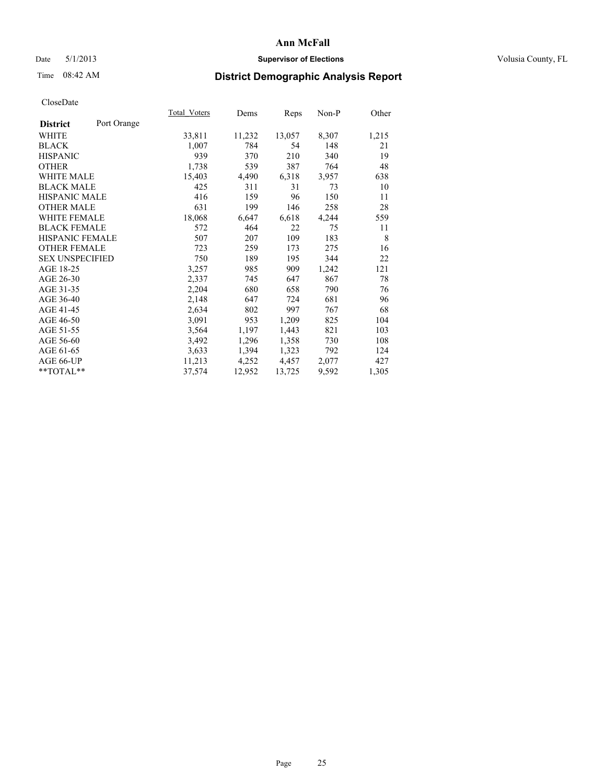### Date 5/1/2013 **Supervisor of Elections Supervisor of Elections** Volusia County, FL

# Time 08:42 AM **District Demographic Analysis Report**

|                                | Total Voters | Dems   | Reps   | $Non-P$ | Other |
|--------------------------------|--------------|--------|--------|---------|-------|
| Port Orange<br><b>District</b> |              |        |        |         |       |
| WHITE                          | 33,811       | 11,232 | 13,057 | 8,307   | 1,215 |
| <b>BLACK</b>                   | 1,007        | 784    | 54     | 148     | 21    |
| <b>HISPANIC</b>                | 939          | 370    | 210    | 340     | 19    |
| <b>OTHER</b>                   | 1,738        | 539    | 387    | 764     | 48    |
| WHITE MALE                     | 15,403       | 4,490  | 6,318  | 3,957   | 638   |
| <b>BLACK MALE</b>              | 425          | 311    | 31     | 73      | 10    |
| <b>HISPANIC MALE</b>           | 416          | 159    | 96     | 150     | 11    |
| <b>OTHER MALE</b>              | 631          | 199    | 146    | 258     | 28    |
| WHITE FEMALE                   | 18,068       | 6,647  | 6,618  | 4,244   | 559   |
| <b>BLACK FEMALE</b>            | 572          | 464    | 22     | 75      | 11    |
| HISPANIC FEMALE                | 507          | 207    | 109    | 183     | 8     |
| <b>OTHER FEMALE</b>            | 723          | 259    | 173    | 275     | 16    |
| <b>SEX UNSPECIFIED</b>         | 750          | 189    | 195    | 344     | 22    |
| AGE 18-25                      | 3,257        | 985    | 909    | 1,242   | 121   |
| AGE 26-30                      | 2,337        | 745    | 647    | 867     | 78    |
| AGE 31-35                      | 2,204        | 680    | 658    | 790     | 76    |
| AGE 36-40                      | 2,148        | 647    | 724    | 681     | 96    |
| AGE 41-45                      | 2,634        | 802    | 997    | 767     | 68    |
| AGE 46-50                      | 3,091        | 953    | 1,209  | 825     | 104   |
| AGE 51-55                      | 3,564        | 1,197  | 1,443  | 821     | 103   |
| AGE 56-60                      | 3,492        | 1,296  | 1,358  | 730     | 108   |
| AGE 61-65                      | 3,633        | 1,394  | 1,323  | 792     | 124   |
| AGE 66-UP                      | 11,213       | 4,252  | 4,457  | 2,077   | 427   |
| **TOTAL**                      | 37,574       | 12,952 | 13,725 | 9,592   | 1,305 |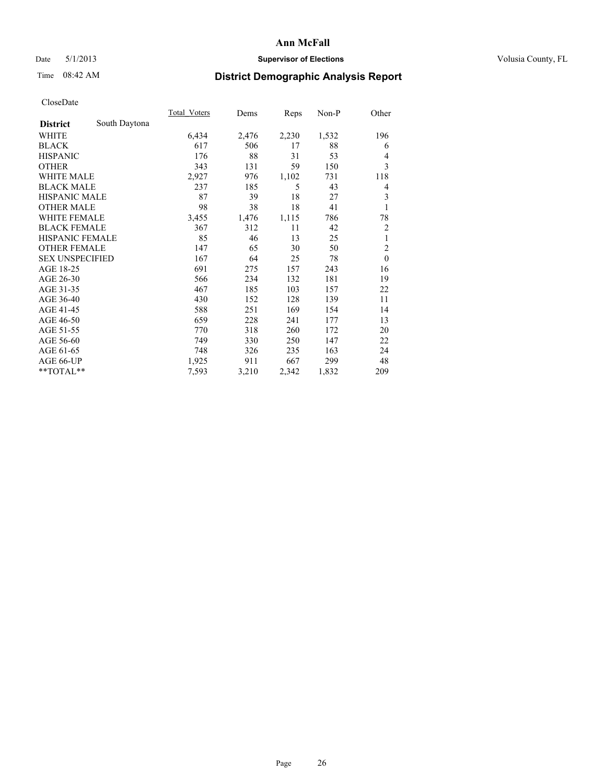## Date 5/1/2013 **Supervisor of Elections Supervisor of Elections** Volusia County, FL

# Time 08:42 AM **District Demographic Analysis Report**

|                        |               | Total Voters | Dems  | Reps  | $Non-P$ | Other          |
|------------------------|---------------|--------------|-------|-------|---------|----------------|
| <b>District</b>        | South Daytona |              |       |       |         |                |
| WHITE                  |               | 6,434        | 2,476 | 2,230 | 1,532   | 196            |
| <b>BLACK</b>           |               | 617          | 506   | 17    | 88      | 6              |
| <b>HISPANIC</b>        |               | 176          | 88    | 31    | 53      | 4              |
| <b>OTHER</b>           |               | 343          | 131   | 59    | 150     | 3              |
| <b>WHITE MALE</b>      |               | 2,927        | 976   | 1,102 | 731     | 118            |
| <b>BLACK MALE</b>      |               | 237          | 185   | 5     | 43      | 4              |
| <b>HISPANIC MALE</b>   |               | 87           | 39    | 18    | 27      | 3              |
| <b>OTHER MALE</b>      |               | 98           | 38    | 18    | 41      | 1              |
| <b>WHITE FEMALE</b>    |               | 3,455        | 1,476 | 1,115 | 786     | 78             |
| <b>BLACK FEMALE</b>    |               | 367          | 312   | 11    | 42      | $\overline{c}$ |
| <b>HISPANIC FEMALE</b> |               | 85           | 46    | 13    | 25      | $\mathbf{1}$   |
| <b>OTHER FEMALE</b>    |               | 147          | 65    | 30    | 50      | $\overline{c}$ |
| <b>SEX UNSPECIFIED</b> |               | 167          | 64    | 25    | 78      | $\mathbf{0}$   |
| AGE 18-25              |               | 691          | 275   | 157   | 243     | 16             |
| AGE 26-30              |               | 566          | 234   | 132   | 181     | 19             |
| AGE 31-35              |               | 467          | 185   | 103   | 157     | 22             |
| AGE 36-40              |               | 430          | 152   | 128   | 139     | 11             |
| AGE 41-45              |               | 588          | 251   | 169   | 154     | 14             |
| AGE 46-50              |               | 659          | 228   | 241   | 177     | 13             |
| AGE 51-55              |               | 770          | 318   | 260   | 172     | 20             |
| AGE 56-60              |               | 749          | 330   | 250   | 147     | 22             |
| AGE 61-65              |               | 748          | 326   | 235   | 163     | 24             |
| AGE 66-UP              |               | 1,925        | 911   | 667   | 299     | 48             |
| **TOTAL**              |               | 7,593        | 3,210 | 2,342 | 1,832   | 209            |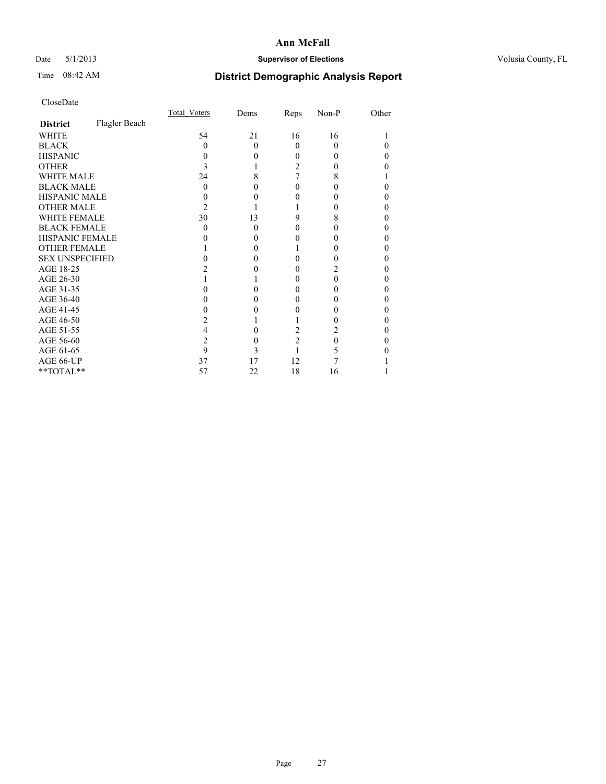## Date 5/1/2013 **Supervisor of Elections Supervisor of Elections** Volusia County, FL

# Time 08:42 AM **District Demographic Analysis Report**

|                        |               | Total Voters | Dems     | Reps           | Non-P | Other |
|------------------------|---------------|--------------|----------|----------------|-------|-------|
| <b>District</b>        | Flagler Beach |              |          |                |       |       |
| <b>WHITE</b>           |               | 54           | 21       | 16             | 16    |       |
| <b>BLACK</b>           |               | 0            | $\Omega$ | $\Omega$       | 0     |       |
| <b>HISPANIC</b>        |               | 0            | 0        | 0              |       | 0     |
| <b>OTHER</b>           |               |              |          | 2              |       |       |
| <b>WHITE MALE</b>      |               | 24           | 8        | 7              | 8     |       |
| <b>BLACK MALE</b>      |               | 0            | 0        | 0              |       | 0     |
| <b>HISPANIC MALE</b>   |               |              |          |                |       | 0     |
| <b>OTHER MALE</b>      |               | 2            |          |                |       | 0     |
| <b>WHITE FEMALE</b>    |               | 30           | 13       | 9              | 8     |       |
| <b>BLACK FEMALE</b>    |               | 0            | $\Omega$ | 0              | 0     | 0     |
| HISPANIC FEMALE        |               |              |          |                |       |       |
| <b>OTHER FEMALE</b>    |               |              | 0        |                |       | 0     |
| <b>SEX UNSPECIFIED</b> |               |              | $\theta$ | 0              |       | 0     |
| AGE 18-25              |               |              |          | 0              |       | 0     |
| AGE 26-30              |               |              |          | 0              | 0     | 0     |
| AGE 31-35              |               |              |          | 0              |       |       |
| AGE 36-40              |               |              | $\theta$ | 0              |       | 0     |
| AGE 41-45              |               |              |          |                |       | 0     |
| AGE 46-50              |               |              |          |                |       | 0     |
| AGE 51-55              |               |              | $\theta$ | 2              | 2     | 0     |
| AGE 56-60              |               | 2            | $\theta$ | $\overline{c}$ | 0     | 0     |
| AGE 61-65              |               | 9            | 3        |                |       |       |
| AGE 66-UP              |               | 37           | 17       | 12             |       |       |
| $**TOTAL**$            |               | 57           | 22       | 18             | 16    |       |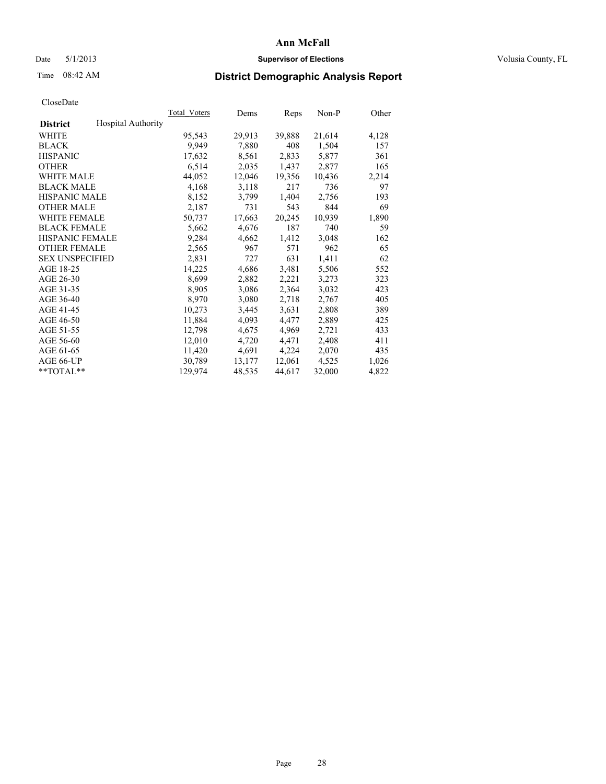### Date 5/1/2013 **Supervisor of Elections Supervisor of Elections** Volusia County, FL

## Time 08:42 AM **District Demographic Analysis Report**

|                        |                           | Total Voters | Dems   | Reps   | Non-P  | Other |
|------------------------|---------------------------|--------------|--------|--------|--------|-------|
| <b>District</b>        | <b>Hospital Authority</b> |              |        |        |        |       |
| <b>WHITE</b>           |                           | 95,543       | 29,913 | 39,888 | 21,614 | 4,128 |
| <b>BLACK</b>           |                           | 9,949        | 7,880  | 408    | 1,504  | 157   |
| <b>HISPANIC</b>        |                           | 17,632       | 8,561  | 2,833  | 5,877  | 361   |
| <b>OTHER</b>           |                           | 6,514        | 2,035  | 1,437  | 2,877  | 165   |
| <b>WHITE MALE</b>      |                           | 44,052       | 12,046 | 19,356 | 10,436 | 2,214 |
| <b>BLACK MALE</b>      |                           | 4,168        | 3,118  | 217    | 736    | 97    |
| <b>HISPANIC MALE</b>   |                           | 8,152        | 3,799  | 1,404  | 2,756  | 193   |
| <b>OTHER MALE</b>      |                           | 2,187        | 731    | 543    | 844    | 69    |
| <b>WHITE FEMALE</b>    |                           | 50,737       | 17,663 | 20,245 | 10,939 | 1,890 |
| <b>BLACK FEMALE</b>    |                           | 5,662        | 4,676  | 187    | 740    | 59    |
| <b>HISPANIC FEMALE</b> |                           | 9,284        | 4,662  | 1,412  | 3,048  | 162   |
| <b>OTHER FEMALE</b>    |                           | 2,565        | 967    | 571    | 962    | 65    |
| <b>SEX UNSPECIFIED</b> |                           | 2,831        | 727    | 631    | 1,411  | 62    |
| AGE 18-25              |                           | 14,225       | 4,686  | 3,481  | 5,506  | 552   |
| AGE 26-30              |                           | 8,699        | 2,882  | 2,221  | 3,273  | 323   |
| AGE 31-35              |                           | 8,905        | 3,086  | 2,364  | 3,032  | 423   |
| AGE 36-40              |                           | 8,970        | 3,080  | 2,718  | 2,767  | 405   |
| AGE 41-45              |                           | 10,273       | 3,445  | 3,631  | 2,808  | 389   |
| AGE 46-50              |                           | 11,884       | 4,093  | 4,477  | 2,889  | 425   |
| AGE 51-55              |                           | 12,798       | 4,675  | 4,969  | 2,721  | 433   |
| AGE 56-60              |                           | 12,010       | 4,720  | 4,471  | 2,408  | 411   |
| AGE 61-65              |                           | 11,420       | 4,691  | 4,224  | 2,070  | 435   |
| AGE 66-UP              |                           | 30,789       | 13,177 | 12,061 | 4,525  | 1,026 |
| $*$ $TOTAL**$          |                           | 129,974      | 48,535 | 44,617 | 32,000 | 4,822 |
|                        |                           |              |        |        |        |       |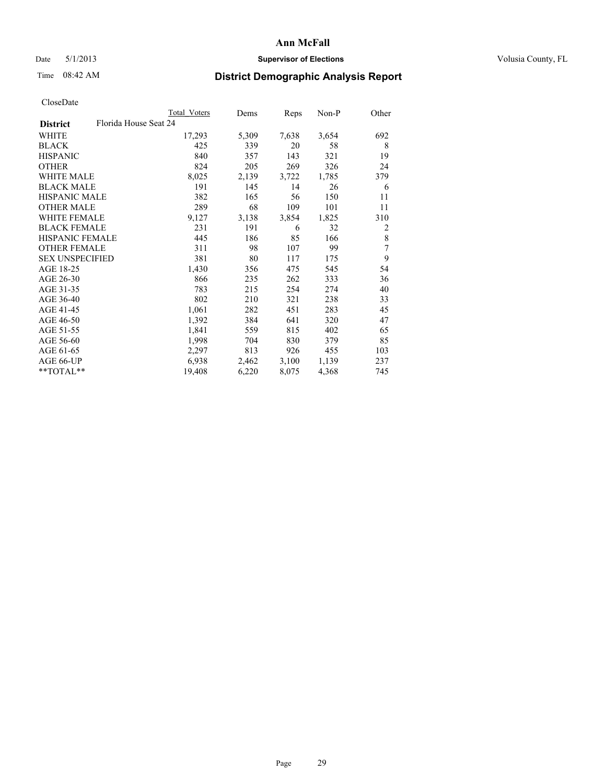## Date 5/1/2013 **Supervisor of Elections Supervisor of Elections** Volusia County, FL

## Time 08:42 AM **District Demographic Analysis Report**

|                                          | <b>Total Voters</b> | Dems  | Reps  | Non-P | Other |
|------------------------------------------|---------------------|-------|-------|-------|-------|
| Florida House Seat 24<br><b>District</b> |                     |       |       |       |       |
| WHITE                                    | 17,293              | 5,309 | 7,638 | 3,654 | 692   |
| <b>BLACK</b>                             | 425                 | 339   | 20    | 58    | 8     |
| <b>HISPANIC</b>                          | 840                 | 357   | 143   | 321   | 19    |
| <b>OTHER</b>                             | 824                 | 205   | 269   | 326   | 24    |
| <b>WHITE MALE</b>                        | 8,025               | 2,139 | 3,722 | 1,785 | 379   |
| <b>BLACK MALE</b>                        | 191                 | 145   | 14    | 26    | 6     |
| <b>HISPANIC MALE</b>                     | 382                 | 165   | 56    | 150   | 11    |
| <b>OTHER MALE</b>                        | 289                 | 68    | 109   | 101   | 11    |
| <b>WHITE FEMALE</b>                      | 9,127               | 3,138 | 3,854 | 1,825 | 310   |
| <b>BLACK FEMALE</b>                      | 231                 | 191   | 6     | 32    | 2     |
| HISPANIC FEMALE                          | 445                 | 186   | 85    | 166   | 8     |
| <b>OTHER FEMALE</b>                      | 311                 | 98    | 107   | 99    | 7     |
| <b>SEX UNSPECIFIED</b>                   | 381                 | 80    | 117   | 175   | 9     |
| AGE 18-25                                | 1,430               | 356   | 475   | 545   | 54    |
| AGE 26-30                                | 866                 | 235   | 262   | 333   | 36    |
| AGE 31-35                                | 783                 | 215   | 254   | 274   | 40    |
| AGE 36-40                                | 802                 | 210   | 321   | 238   | 33    |
| AGE 41-45                                | 1,061               | 282   | 451   | 283   | 45    |
| AGE 46-50                                | 1,392               | 384   | 641   | 320   | 47    |
| AGE 51-55                                | 1,841               | 559   | 815   | 402   | 65    |
| AGE 56-60                                | 1,998               | 704   | 830   | 379   | 85    |
| AGE 61-65                                | 2,297               | 813   | 926   | 455   | 103   |
| AGE 66-UP                                | 6,938               | 2,462 | 3,100 | 1,139 | 237   |
| **TOTAL**                                | 19,408              | 6,220 | 8,075 | 4,368 | 745   |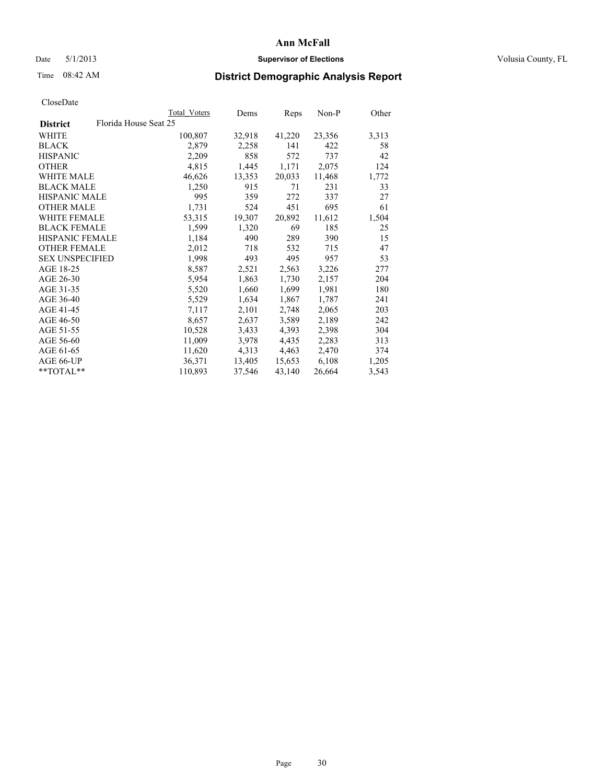### Date 5/1/2013 **Supervisor of Elections Supervisor of Elections** Volusia County, FL

## Time 08:42 AM **District Demographic Analysis Report**

|                                          | Total Voters | Dems   | Reps   | Non-P  | Other |
|------------------------------------------|--------------|--------|--------|--------|-------|
| Florida House Seat 25<br><b>District</b> |              |        |        |        |       |
| <b>WHITE</b>                             | 100,807      | 32,918 | 41,220 | 23,356 | 3,313 |
| <b>BLACK</b>                             | 2,879        | 2,258  | 141    | 422    | 58    |
| <b>HISPANIC</b>                          | 2,209        | 858    | 572    | 737    | 42    |
| <b>OTHER</b>                             | 4,815        | 1,445  | 1,171  | 2,075  | 124   |
| WHITE MALE                               | 46,626       | 13,353 | 20,033 | 11,468 | 1,772 |
| <b>BLACK MALE</b>                        | 1,250        | 915    | 71     | 231    | 33    |
| <b>HISPANIC MALE</b>                     | 995          | 359    | 272    | 337    | 27    |
| <b>OTHER MALE</b>                        | 1,731        | 524    | 451    | 695    | 61    |
| <b>WHITE FEMALE</b>                      | 53,315       | 19,307 | 20,892 | 11,612 | 1,504 |
| <b>BLACK FEMALE</b>                      | 1,599        | 1,320  | 69     | 185    | 25    |
| <b>HISPANIC FEMALE</b>                   | 1,184        | 490    | 289    | 390    | 15    |
| <b>OTHER FEMALE</b>                      | 2,012        | 718    | 532    | 715    | 47    |
| <b>SEX UNSPECIFIED</b>                   | 1,998        | 493    | 495    | 957    | 53    |
| AGE 18-25                                | 8,587        | 2,521  | 2,563  | 3,226  | 277   |
| AGE 26-30                                | 5,954        | 1,863  | 1,730  | 2,157  | 204   |
| AGE 31-35                                | 5,520        | 1,660  | 1,699  | 1,981  | 180   |
| AGE 36-40                                | 5,529        | 1,634  | 1,867  | 1,787  | 241   |
| AGE 41-45                                | 7,117        | 2,101  | 2,748  | 2,065  | 203   |
| AGE 46-50                                | 8,657        | 2,637  | 3,589  | 2,189  | 242   |
| AGE 51-55                                | 10,528       | 3,433  | 4,393  | 2,398  | 304   |
| AGE 56-60                                | 11,009       | 3,978  | 4,435  | 2,283  | 313   |
| AGE 61-65                                | 11,620       | 4,313  | 4,463  | 2,470  | 374   |
| AGE 66-UP                                | 36,371       | 13,405 | 15,653 | 6,108  | 1,205 |
| $*$ $TOTAL**$                            | 110,893      | 37,546 | 43,140 | 26,664 | 3,543 |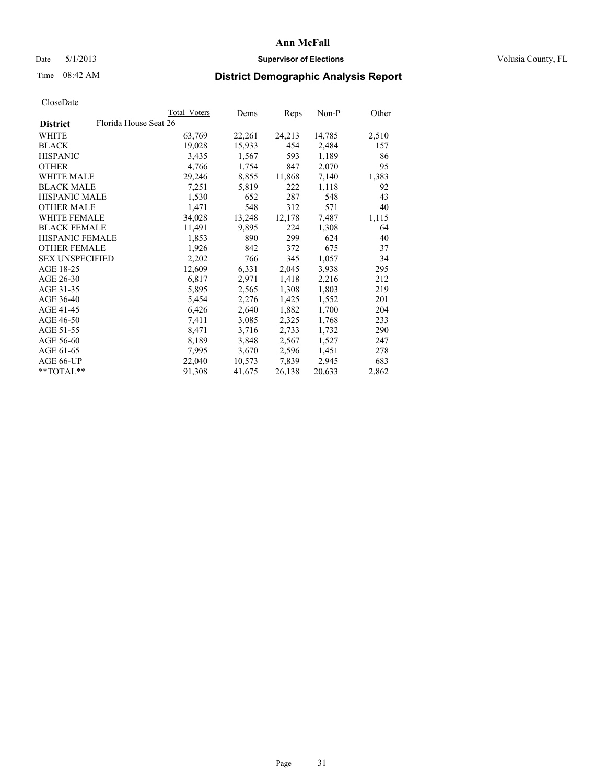### Date 5/1/2013 **Supervisor of Elections Supervisor of Elections** Volusia County, FL

## Time 08:42 AM **District Demographic Analysis Report**

|                                          | Total Voters | Dems   | <b>Reps</b> | Non-P  | Other |
|------------------------------------------|--------------|--------|-------------|--------|-------|
| Florida House Seat 26<br><b>District</b> |              |        |             |        |       |
| WHITE                                    | 63,769       | 22,261 | 24,213      | 14,785 | 2,510 |
| <b>BLACK</b>                             | 19,028       | 15,933 | 454         | 2,484  | 157   |
| <b>HISPANIC</b>                          | 3,435        | 1,567  | 593         | 1,189  | 86    |
| <b>OTHER</b>                             | 4,766        | 1,754  | 847         | 2,070  | 95    |
| WHITE MALE                               | 29,246       | 8,855  | 11,868      | 7,140  | 1,383 |
| <b>BLACK MALE</b>                        | 7,251        | 5,819  | 222         | 1,118  | 92    |
| <b>HISPANIC MALE</b>                     | 1,530        | 652    | 287         | 548    | 43    |
| <b>OTHER MALE</b>                        | 1,471        | 548    | 312         | 571    | 40    |
| WHITE FEMALE                             | 34,028       | 13,248 | 12,178      | 7,487  | 1,115 |
| <b>BLACK FEMALE</b>                      | 11,491       | 9,895  | 224         | 1,308  | 64    |
| <b>HISPANIC FEMALE</b>                   | 1,853        | 890    | 299         | 624    | 40    |
| <b>OTHER FEMALE</b>                      | 1,926        | 842    | 372         | 675    | 37    |
| <b>SEX UNSPECIFIED</b>                   | 2,202        | 766    | 345         | 1,057  | 34    |
| AGE 18-25                                | 12,609       | 6,331  | 2,045       | 3,938  | 295   |
| AGE 26-30                                | 6,817        | 2,971  | 1,418       | 2,216  | 212   |
| AGE 31-35                                | 5,895        | 2,565  | 1,308       | 1,803  | 219   |
| AGE 36-40                                | 5,454        | 2,276  | 1,425       | 1,552  | 201   |
| AGE 41-45                                | 6,426        | 2,640  | 1,882       | 1,700  | 204   |
| AGE 46-50                                | 7,411        | 3,085  | 2,325       | 1,768  | 233   |
| AGE 51-55                                | 8,471        | 3,716  | 2,733       | 1,732  | 290   |
| AGE 56-60                                | 8,189        | 3,848  | 2,567       | 1,527  | 247   |
| AGE 61-65                                | 7,995        | 3,670  | 2,596       | 1,451  | 278   |
| AGE 66-UP                                | 22,040       | 10,573 | 7,839       | 2,945  | 683   |
| **TOTAL**                                | 91,308       | 41,675 | 26,138      | 20,633 | 2,862 |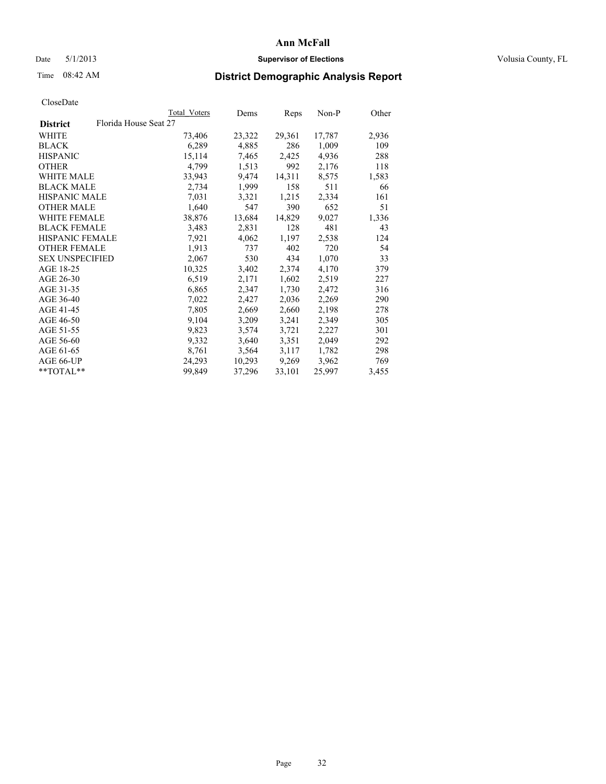### Date 5/1/2013 **Supervisor of Elections Supervisor of Elections** Volusia County, FL

## Time 08:42 AM **District Demographic Analysis Report**

|                        |                       | Total Voters | Dems   | Reps   | Non-P  | Other |
|------------------------|-----------------------|--------------|--------|--------|--------|-------|
| <b>District</b>        | Florida House Seat 27 |              |        |        |        |       |
| <b>WHITE</b>           |                       | 73,406       | 23,322 | 29,361 | 17,787 | 2,936 |
| <b>BLACK</b>           |                       | 6,289        | 4,885  | 286    | 1,009  | 109   |
| <b>HISPANIC</b>        |                       | 15,114       | 7,465  | 2,425  | 4,936  | 288   |
| <b>OTHER</b>           |                       | 4,799        | 1,513  | 992    | 2,176  | 118   |
| <b>WHITE MALE</b>      |                       | 33,943       | 9,474  | 14,311 | 8,575  | 1,583 |
| <b>BLACK MALE</b>      |                       | 2,734        | 1,999  | 158    | 511    | 66    |
| <b>HISPANIC MALE</b>   |                       | 7,031        | 3,321  | 1,215  | 2,334  | 161   |
| <b>OTHER MALE</b>      |                       | 1,640        | 547    | 390    | 652    | 51    |
| <b>WHITE FEMALE</b>    |                       | 38,876       | 13,684 | 14,829 | 9,027  | 1,336 |
| <b>BLACK FEMALE</b>    |                       | 3,483        | 2,831  | 128    | 481    | 43    |
| <b>HISPANIC FEMALE</b> |                       | 7,921        | 4,062  | 1,197  | 2,538  | 124   |
| <b>OTHER FEMALE</b>    |                       | 1,913        | 737    | 402    | 720    | 54    |
| <b>SEX UNSPECIFIED</b> |                       | 2,067        | 530    | 434    | 1,070  | 33    |
| AGE 18-25              |                       | 10,325       | 3,402  | 2,374  | 4,170  | 379   |
| AGE 26-30              |                       | 6,519        | 2,171  | 1,602  | 2,519  | 227   |
| AGE 31-35              |                       | 6,865        | 2,347  | 1,730  | 2,472  | 316   |
| AGE 36-40              |                       | 7,022        | 2,427  | 2,036  | 2,269  | 290   |
| AGE 41-45              |                       | 7,805        | 2,669  | 2,660  | 2,198  | 278   |
| AGE 46-50              |                       | 9,104        | 3,209  | 3,241  | 2,349  | 305   |
| AGE 51-55              |                       | 9,823        | 3,574  | 3,721  | 2,227  | 301   |
| AGE 56-60              |                       | 9,332        | 3,640  | 3,351  | 2,049  | 292   |
| AGE 61-65              |                       | 8,761        | 3,564  | 3,117  | 1,782  | 298   |
| AGE 66-UP              |                       | 24,293       | 10,293 | 9,269  | 3,962  | 769   |
| $*$ $TOTAL**$          |                       | 99,849       | 37,296 | 33,101 | 25,997 | 3,455 |
|                        |                       |              |        |        |        |       |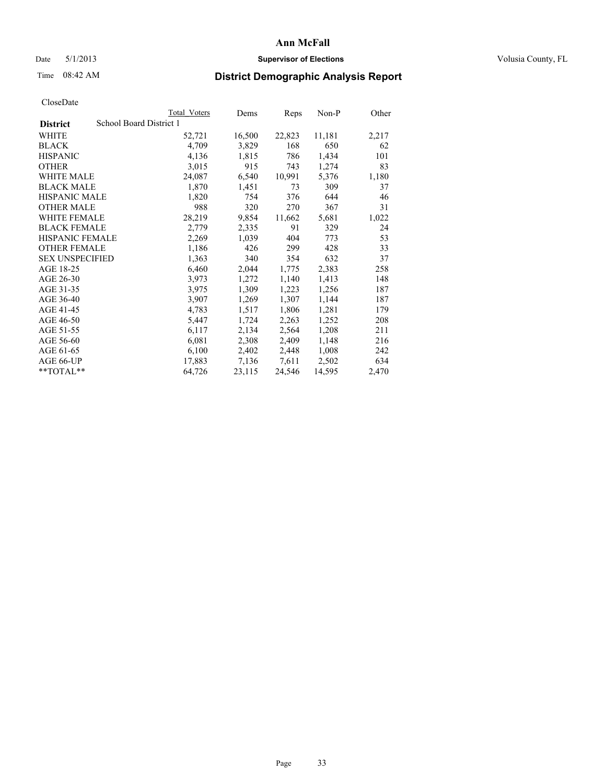### Date 5/1/2013 **Supervisor of Elections Supervisor of Elections** Volusia County, FL

## Time 08:42 AM **District Demographic Analysis Report**

|                        |                         | Total Voters | Dems   | Reps   | $Non-P$ | Other |
|------------------------|-------------------------|--------------|--------|--------|---------|-------|
| <b>District</b>        | School Board District 1 |              |        |        |         |       |
| WHITE                  |                         | 52,721       | 16,500 | 22,823 | 11,181  | 2,217 |
| <b>BLACK</b>           |                         | 4,709        | 3,829  | 168    | 650     | 62    |
| <b>HISPANIC</b>        |                         | 4,136        | 1,815  | 786    | 1,434   | 101   |
| <b>OTHER</b>           |                         | 3,015        | 915    | 743    | 1,274   | 83    |
| WHITE MALE             |                         | 24,087       | 6,540  | 10,991 | 5,376   | 1,180 |
| <b>BLACK MALE</b>      |                         | 1,870        | 1,451  | 73     | 309     | 37    |
| <b>HISPANIC MALE</b>   |                         | 1,820        | 754    | 376    | 644     | 46    |
| <b>OTHER MALE</b>      |                         | 988          | 320    | 270    | 367     | 31    |
| <b>WHITE FEMALE</b>    |                         | 28,219       | 9,854  | 11,662 | 5,681   | 1,022 |
| <b>BLACK FEMALE</b>    |                         | 2,779        | 2,335  | 91     | 329     | 24    |
| <b>HISPANIC FEMALE</b> |                         | 2,269        | 1,039  | 404    | 773     | 53    |
| <b>OTHER FEMALE</b>    |                         | 1,186        | 426    | 299    | 428     | 33    |
| <b>SEX UNSPECIFIED</b> |                         | 1,363        | 340    | 354    | 632     | 37    |
| AGE 18-25              |                         | 6,460        | 2,044  | 1,775  | 2,383   | 258   |
| AGE 26-30              |                         | 3,973        | 1,272  | 1,140  | 1,413   | 148   |
| AGE 31-35              |                         | 3,975        | 1,309  | 1,223  | 1,256   | 187   |
| AGE 36-40              |                         | 3,907        | 1,269  | 1,307  | 1,144   | 187   |
| AGE 41-45              |                         | 4,783        | 1,517  | 1,806  | 1,281   | 179   |
| AGE 46-50              |                         | 5,447        | 1,724  | 2,263  | 1,252   | 208   |
| AGE 51-55              |                         | 6,117        | 2,134  | 2,564  | 1,208   | 211   |
| AGE 56-60              |                         | 6,081        | 2,308  | 2,409  | 1,148   | 216   |
| AGE 61-65              |                         | 6,100        | 2,402  | 2,448  | 1,008   | 242   |
| AGE 66-UP              |                         | 17,883       | 7,136  | 7,611  | 2,502   | 634   |
| $*$ $TOTAL**$          |                         | 64,726       | 23,115 | 24,546 | 14,595  | 2,470 |
|                        |                         |              |        |        |         |       |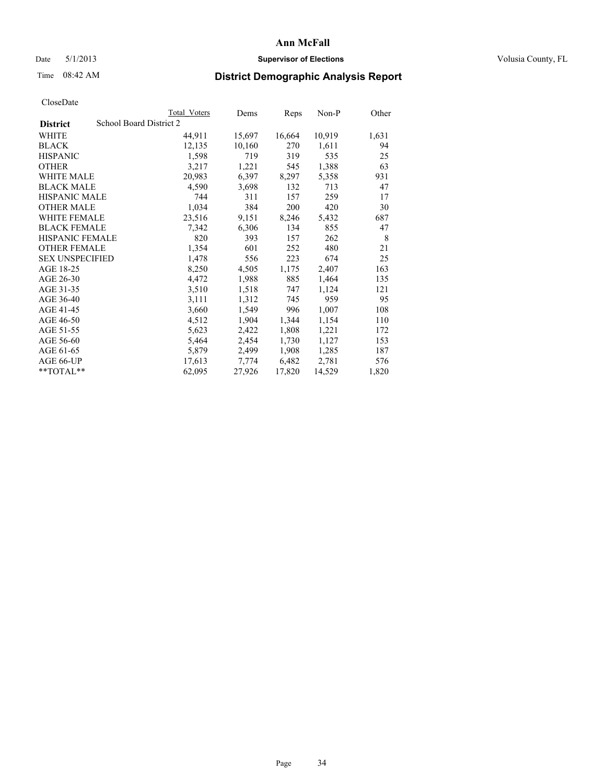## Date 5/1/2013 **Supervisor of Elections Supervisor of Elections** Volusia County, FL

## Time 08:42 AM **District Demographic Analysis Report**

|                        |                         | Total Voters | Dems   | Reps   | Non-P  | Other |
|------------------------|-------------------------|--------------|--------|--------|--------|-------|
| <b>District</b>        | School Board District 2 |              |        |        |        |       |
| <b>WHITE</b>           |                         | 44,911       | 15,697 | 16,664 | 10,919 | 1,631 |
| <b>BLACK</b>           |                         | 12,135       | 10,160 | 270    | 1,611  | 94    |
| <b>HISPANIC</b>        |                         | 1,598        | 719    | 319    | 535    | 25    |
| <b>OTHER</b>           |                         | 3,217        | 1,221  | 545    | 1,388  | 63    |
| <b>WHITE MALE</b>      |                         | 20,983       | 6,397  | 8,297  | 5,358  | 931   |
| <b>BLACK MALE</b>      |                         | 4,590        | 3,698  | 132    | 713    | 47    |
| <b>HISPANIC MALE</b>   |                         | 744          | 311    | 157    | 259    | 17    |
| <b>OTHER MALE</b>      |                         | 1,034        | 384    | 200    | 420    | 30    |
| <b>WHITE FEMALE</b>    |                         | 23,516       | 9,151  | 8,246  | 5,432  | 687   |
| <b>BLACK FEMALE</b>    |                         | 7,342        | 6,306  | 134    | 855    | 47    |
| <b>HISPANIC FEMALE</b> |                         | 820          | 393    | 157    | 262    | 8     |
| <b>OTHER FEMALE</b>    |                         | 1,354        | 601    | 252    | 480    | 21    |
| <b>SEX UNSPECIFIED</b> |                         | 1,478        | 556    | 223    | 674    | 25    |
| AGE 18-25              |                         | 8,250        | 4,505  | 1,175  | 2,407  | 163   |
| AGE 26-30              |                         | 4,472        | 1,988  | 885    | 1,464  | 135   |
| AGE 31-35              |                         | 3,510        | 1,518  | 747    | 1,124  | 121   |
| AGE 36-40              |                         | 3,111        | 1,312  | 745    | 959    | 95    |
| AGE 41-45              |                         | 3,660        | 1,549  | 996    | 1,007  | 108   |
| AGE 46-50              |                         | 4,512        | 1,904  | 1,344  | 1,154  | 110   |
| AGE 51-55              |                         | 5,623        | 2,422  | 1,808  | 1,221  | 172   |
| AGE 56-60              |                         | 5,464        | 2,454  | 1,730  | 1,127  | 153   |
| AGE 61-65              |                         | 5,879        | 2,499  | 1,908  | 1,285  | 187   |
| AGE 66-UP              |                         | 17,613       | 7,774  | 6,482  | 2,781  | 576   |
| $*$ $TOTAL**$          |                         | 62,095       | 27,926 | 17,820 | 14,529 | 1,820 |
|                        |                         |              |        |        |        |       |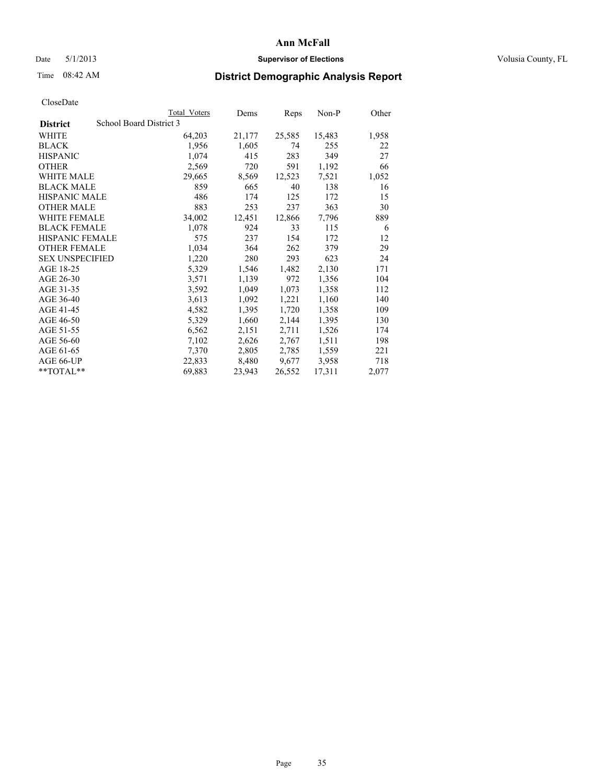### Date 5/1/2013 **Supervisor of Elections Supervisor of Elections** Volusia County, FL

## Time 08:42 AM **District Demographic Analysis Report**

|                                            | Total Voters | Dems   | <b>Reps</b> | Non-P  | Other |
|--------------------------------------------|--------------|--------|-------------|--------|-------|
| School Board District 3<br><b>District</b> |              |        |             |        |       |
| WHITE                                      | 64,203       | 21,177 | 25,585      | 15,483 | 1,958 |
| <b>BLACK</b>                               | 1,956        | 1,605  | 74          | 255    | 22    |
| <b>HISPANIC</b>                            | 1,074        | 415    | 283         | 349    | 27    |
| <b>OTHER</b>                               | 2,569        | 720    | 591         | 1,192  | 66    |
| <b>WHITE MALE</b>                          | 29,665       | 8,569  | 12,523      | 7,521  | 1,052 |
| <b>BLACK MALE</b>                          | 859          | 665    | 40          | 138    | 16    |
| <b>HISPANIC MALE</b>                       | 486          | 174    | 125         | 172    | 15    |
| <b>OTHER MALE</b>                          | 883          | 253    | 237         | 363    | 30    |
| <b>WHITE FEMALE</b>                        | 34,002       | 12,451 | 12,866      | 7.796  | 889   |
| <b>BLACK FEMALE</b>                        | 1,078        | 924    | 33          | 115    | 6     |
| <b>HISPANIC FEMALE</b>                     | 575          | 237    | 154         | 172    | 12    |
| <b>OTHER FEMALE</b>                        | 1,034        | 364    | 262         | 379    | 29    |
| <b>SEX UNSPECIFIED</b>                     | 1,220        | 280    | 293         | 623    | 24    |
| AGE 18-25                                  | 5,329        | 1,546  | 1,482       | 2,130  | 171   |
| AGE 26-30                                  | 3,571        | 1,139  | 972         | 1,356  | 104   |
| AGE 31-35                                  | 3,592        | 1,049  | 1,073       | 1,358  | 112   |
| AGE 36-40                                  | 3,613        | 1,092  | 1,221       | 1,160  | 140   |
| AGE 41-45                                  | 4,582        | 1,395  | 1,720       | 1,358  | 109   |
| AGE 46-50                                  | 5,329        | 1,660  | 2,144       | 1,395  | 130   |
| AGE 51-55                                  | 6,562        | 2,151  | 2,711       | 1,526  | 174   |
| AGE 56-60                                  | 7,102        | 2,626  | 2,767       | 1,511  | 198   |
| AGE 61-65                                  | 7,370        | 2,805  | 2,785       | 1,559  | 221   |
| AGE 66-UP                                  | 22,833       | 8,480  | 9,677       | 3,958  | 718   |
| $*$ $TOTAL**$                              | 69,883       | 23,943 | 26,552      | 17,311 | 2,077 |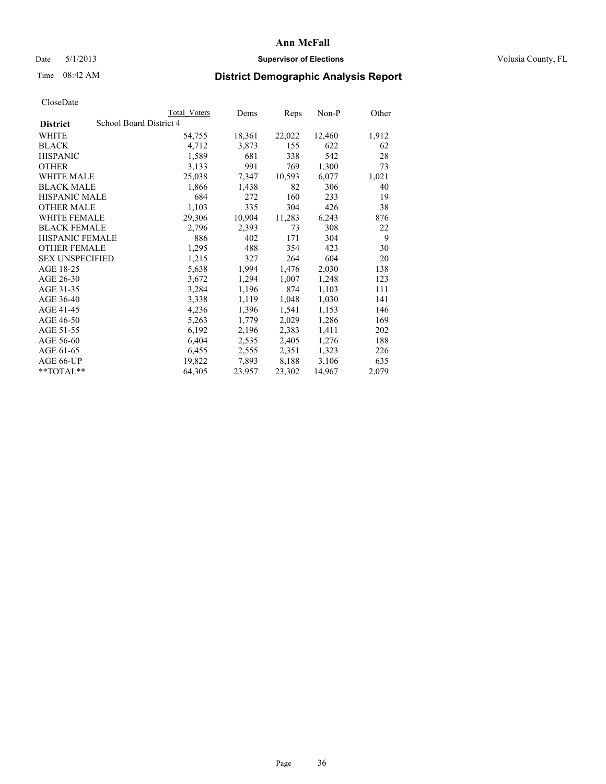### Date 5/1/2013 **Supervisor of Elections Supervisor of Elections** Volusia County, FL

## Time 08:42 AM **District Demographic Analysis Report**

|                        |                         | Total Voters | Dems   | Reps   | Non-P  | Other |
|------------------------|-------------------------|--------------|--------|--------|--------|-------|
| <b>District</b>        | School Board District 4 |              |        |        |        |       |
| <b>WHITE</b>           |                         | 54,755       | 18,361 | 22,022 | 12,460 | 1,912 |
| <b>BLACK</b>           |                         | 4,712        | 3,873  | 155    | 622    | 62    |
| <b>HISPANIC</b>        |                         | 1,589        | 681    | 338    | 542    | 28    |
| <b>OTHER</b>           |                         | 3,133        | 991    | 769    | 1,300  | 73    |
| <b>WHITE MALE</b>      |                         | 25,038       | 7,347  | 10,593 | 6,077  | 1,021 |
| <b>BLACK MALE</b>      |                         | 1,866        | 1,438  | 82     | 306    | 40    |
| <b>HISPANIC MALE</b>   |                         | 684          | 272    | 160    | 233    | 19    |
| <b>OTHER MALE</b>      |                         | 1,103        | 335    | 304    | 426    | 38    |
| <b>WHITE FEMALE</b>    |                         | 29,306       | 10,904 | 11,283 | 6,243  | 876   |
| <b>BLACK FEMALE</b>    |                         | 2,796        | 2,393  | 73     | 308    | 22    |
| <b>HISPANIC FEMALE</b> |                         | 886          | 402    | 171    | 304    | 9     |
| <b>OTHER FEMALE</b>    |                         | 1,295        | 488    | 354    | 423    | 30    |
| <b>SEX UNSPECIFIED</b> |                         | 1,215        | 327    | 264    | 604    | 20    |
| AGE 18-25              |                         | 5,638        | 1,994  | 1,476  | 2,030  | 138   |
| AGE 26-30              |                         | 3,672        | 1,294  | 1,007  | 1,248  | 123   |
| AGE 31-35              |                         | 3,284        | 1,196  | 874    | 1,103  | 111   |
| AGE 36-40              |                         | 3,338        | 1,119  | 1,048  | 1,030  | 141   |
| AGE 41-45              |                         | 4,236        | 1,396  | 1,541  | 1,153  | 146   |
| AGE 46-50              |                         | 5,263        | 1,779  | 2,029  | 1,286  | 169   |
| AGE 51-55              |                         | 6,192        | 2,196  | 2,383  | 1,411  | 202   |
| AGE 56-60              |                         | 6,404        | 2,535  | 2,405  | 1,276  | 188   |
| AGE 61-65              |                         | 6,455        | 2,555  | 2,351  | 1,323  | 226   |
| AGE 66-UP              |                         | 19,822       | 7,893  | 8,188  | 3,106  | 635   |
| $*$ $TOTAL**$          |                         | 64,305       | 23,957 | 23,302 | 14,967 | 2,079 |
|                        |                         |              |        |        |        |       |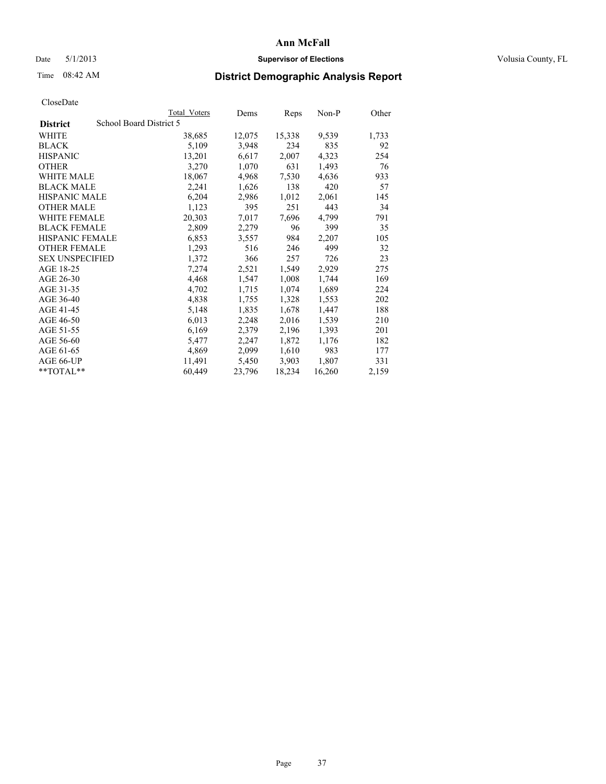## Date 5/1/2013 **Supervisor of Elections Supervisor of Elections** Volusia County, FL

# Time 08:42 AM **District Demographic Analysis Report**

|                        |                         | <b>Total Voters</b> | Dems   | Reps   | $Non-P$ | Other |
|------------------------|-------------------------|---------------------|--------|--------|---------|-------|
| <b>District</b>        | School Board District 5 |                     |        |        |         |       |
| WHITE                  |                         | 38,685              | 12,075 | 15,338 | 9,539   | 1,733 |
| <b>BLACK</b>           |                         | 5,109               | 3,948  | 234    | 835     | 92    |
| <b>HISPANIC</b>        |                         | 13,201              | 6,617  | 2,007  | 4,323   | 254   |
| <b>OTHER</b>           |                         | 3,270               | 1,070  | 631    | 1,493   | 76    |
| WHITE MALE             |                         | 18,067              | 4,968  | 7,530  | 4,636   | 933   |
| <b>BLACK MALE</b>      |                         | 2,241               | 1,626  | 138    | 420     | 57    |
| <b>HISPANIC MALE</b>   |                         | 6,204               | 2,986  | 1,012  | 2,061   | 145   |
| <b>OTHER MALE</b>      |                         | 1,123               | 395    | 251    | 443     | 34    |
| <b>WHITE FEMALE</b>    |                         | 20,303              | 7,017  | 7,696  | 4,799   | 791   |
| <b>BLACK FEMALE</b>    |                         | 2,809               | 2,279  | 96     | 399     | 35    |
| HISPANIC FEMALE        |                         | 6,853               | 3,557  | 984    | 2,207   | 105   |
| <b>OTHER FEMALE</b>    |                         | 1,293               | 516    | 246    | 499     | 32    |
| <b>SEX UNSPECIFIED</b> |                         | 1,372               | 366    | 257    | 726     | 23    |
| AGE 18-25              |                         | 7,274               | 2,521  | 1,549  | 2,929   | 275   |
| AGE 26-30              |                         | 4,468               | 1,547  | 1,008  | 1,744   | 169   |
| AGE 31-35              |                         | 4,702               | 1,715  | 1,074  | 1,689   | 224   |
| AGE 36-40              |                         | 4,838               | 1,755  | 1,328  | 1,553   | 202   |
| AGE 41-45              |                         | 5,148               | 1,835  | 1,678  | 1,447   | 188   |
| AGE 46-50              |                         | 6,013               | 2,248  | 2,016  | 1,539   | 210   |
| AGE 51-55              |                         | 6,169               | 2,379  | 2,196  | 1,393   | 201   |
| AGE 56-60              |                         | 5,477               | 2,247  | 1,872  | 1,176   | 182   |
| AGE 61-65              |                         | 4,869               | 2,099  | 1,610  | 983     | 177   |
| AGE 66-UP              |                         | 11,491              | 5,450  | 3,903  | 1,807   | 331   |
| $*$ $TOTAL**$          |                         | 60,449              | 23,796 | 18,234 | 16,260  | 2,159 |
|                        |                         |                     |        |        |         |       |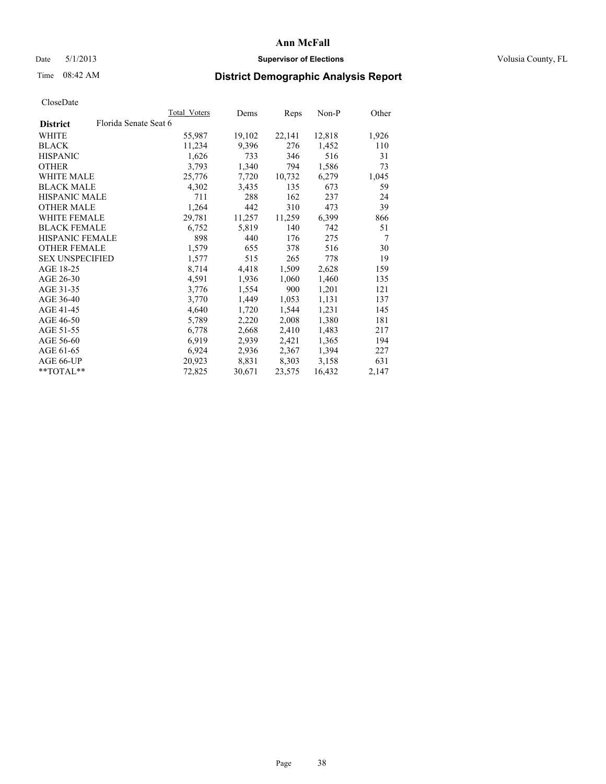## Date 5/1/2013 **Supervisor of Elections Supervisor of Elections** Volusia County, FL

# Time 08:42 AM **District Demographic Analysis Report**

| Total Voters | Dems                  | Reps   | Non-P  | Other |
|--------------|-----------------------|--------|--------|-------|
|              |                       |        |        |       |
| 55,987       | 19,102                | 22,141 | 12,818 | 1,926 |
| 11,234       | 9,396                 | 276    | 1,452  | 110   |
| 1,626        | 733                   | 346    | 516    | 31    |
| 3,793        | 1,340                 | 794    | 1,586  | 73    |
| 25,776       | 7,720                 | 10,732 | 6,279  | 1,045 |
| 4,302        | 3,435                 | 135    | 673    | 59    |
| 711          | 288                   | 162    | 237    | 24    |
| 1,264        | 442                   | 310    | 473    | 39    |
| 29,781       | 11,257                | 11,259 | 6,399  | 866   |
| 6,752        | 5,819                 | 140    | 742    | 51    |
| 898          | 440                   | 176    | 275    | 7     |
| 1,579        | 655                   | 378    | 516    | 30    |
| 1,577        | 515                   | 265    | 778    | 19    |
| 8,714        | 4,418                 | 1,509  | 2,628  | 159   |
| 4,591        | 1,936                 | 1,060  | 1,460  | 135   |
| 3,776        | 1,554                 | 900    | 1,201  | 121   |
| 3,770        | 1,449                 | 1,053  | 1,131  | 137   |
| 4,640        | 1,720                 | 1,544  | 1,231  | 145   |
| 5,789        | 2,220                 | 2,008  | 1,380  | 181   |
| 6,778        | 2,668                 | 2,410  | 1,483  | 217   |
| 6.919        | 2,939                 | 2,421  | 1,365  | 194   |
| 6,924        | 2,936                 | 2,367  | 1,394  | 227   |
| 20,923       | 8,831                 | 8,303  | 3,158  | 631   |
| 72,825       | 30,671                | 23,575 | 16,432 | 2,147 |
|              | Florida Senate Seat 6 |        |        |       |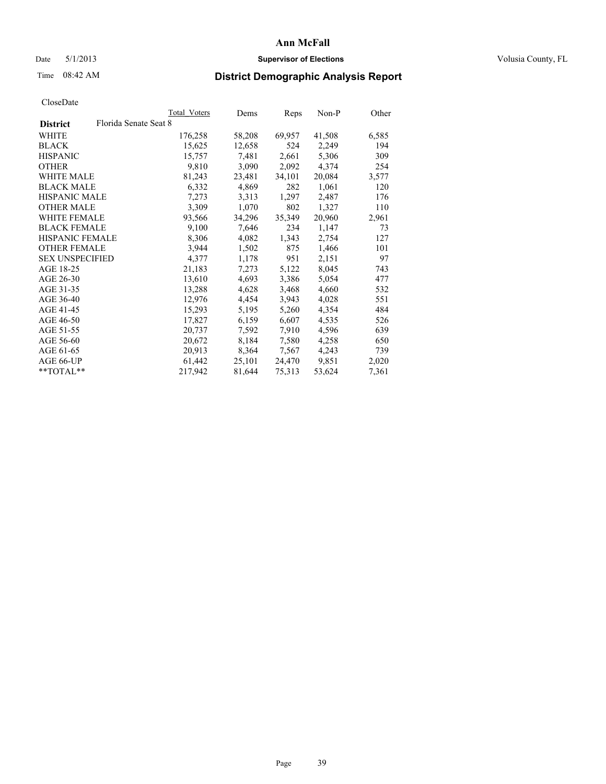## Date 5/1/2013 **Supervisor of Elections Supervisor of Elections** Volusia County, FL

# Time 08:42 AM **District Demographic Analysis Report**

|                        |                       | Total Voters | Dems   | Reps   | Non-P  | Other |
|------------------------|-----------------------|--------------|--------|--------|--------|-------|
| <b>District</b>        | Florida Senate Seat 8 |              |        |        |        |       |
| <b>WHITE</b>           |                       | 176,258      | 58,208 | 69,957 | 41,508 | 6,585 |
| <b>BLACK</b>           |                       | 15,625       | 12,658 | 524    | 2,249  | 194   |
| <b>HISPANIC</b>        |                       | 15,757       | 7.481  | 2,661  | 5,306  | 309   |
| <b>OTHER</b>           |                       | 9,810        | 3,090  | 2,092  | 4,374  | 254   |
| <b>WHITE MALE</b>      |                       | 81,243       | 23,481 | 34,101 | 20,084 | 3,577 |
| <b>BLACK MALE</b>      |                       | 6,332        | 4,869  | 282    | 1,061  | 120   |
| <b>HISPANIC MALE</b>   |                       | 7,273        | 3.313  | 1,297  | 2,487  | 176   |
| <b>OTHER MALE</b>      |                       | 3,309        | 1,070  | 802    | 1,327  | 110   |
| <b>WHITE FEMALE</b>    |                       | 93,566       | 34,296 | 35,349 | 20,960 | 2,961 |
| <b>BLACK FEMALE</b>    |                       | 9,100        | 7,646  | 234    | 1,147  | 73    |
| <b>HISPANIC FEMALE</b> |                       | 8,306        | 4,082  | 1,343  | 2,754  | 127   |
| <b>OTHER FEMALE</b>    |                       | 3,944        | 1,502  | 875    | 1,466  | 101   |
| <b>SEX UNSPECIFIED</b> |                       | 4,377        | 1,178  | 951    | 2,151  | 97    |
| AGE 18-25              |                       | 21,183       | 7,273  | 5,122  | 8,045  | 743   |
| AGE 26-30              |                       | 13,610       | 4,693  | 3,386  | 5,054  | 477   |
| AGE 31-35              |                       | 13,288       | 4,628  | 3,468  | 4,660  | 532   |
| AGE 36-40              |                       | 12,976       | 4,454  | 3,943  | 4,028  | 551   |
| AGE 41-45              |                       | 15,293       | 5,195  | 5,260  | 4,354  | 484   |
| AGE 46-50              |                       | 17,827       | 6,159  | 6,607  | 4,535  | 526   |
| AGE 51-55              |                       | 20,737       | 7,592  | 7,910  | 4,596  | 639   |
| AGE 56-60              |                       | 20,672       | 8,184  | 7,580  | 4,258  | 650   |
| AGE 61-65              |                       | 20,913       | 8,364  | 7,567  | 4,243  | 739   |
| AGE 66-UP              |                       | 61,442       | 25,101 | 24,470 | 9,851  | 2,020 |
| $*$ $TOTAL**$          |                       | 217,942      | 81,644 | 75,313 | 53,624 | 7,361 |
|                        |                       |              |        |        |        |       |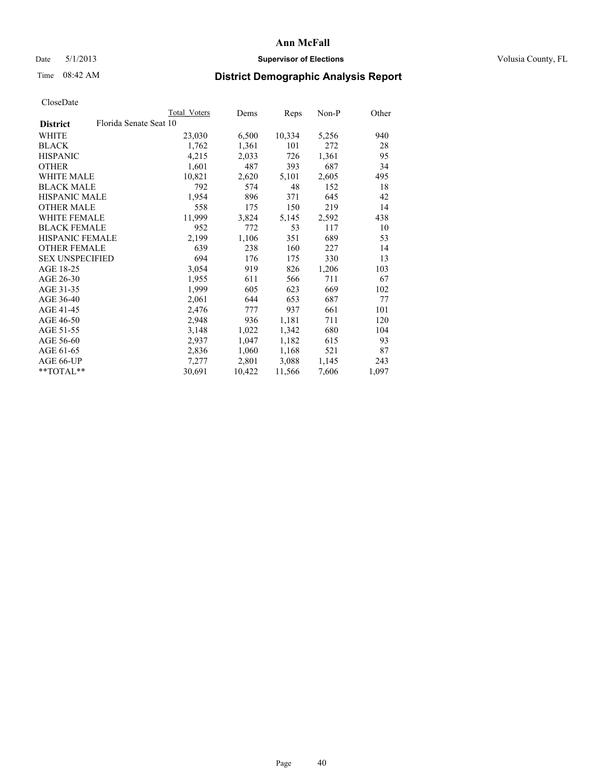## Date 5/1/2013 **Supervisor of Elections Supervisor of Elections** Volusia County, FL

# Time 08:42 AM **District Demographic Analysis Report**

|                                           | Total Voters | Dems   | Reps   | Non-P | Other |
|-------------------------------------------|--------------|--------|--------|-------|-------|
| Florida Senate Seat 10<br><b>District</b> |              |        |        |       |       |
| WHITE                                     | 23,030       | 6,500  | 10,334 | 5,256 | 940   |
| <b>BLACK</b>                              | 1,762        | 1,361  | 101    | 272   | 28    |
| <b>HISPANIC</b>                           | 4,215        | 2,033  | 726    | 1,361 | 95    |
| <b>OTHER</b>                              | 1,601        | 487    | 393    | 687   | 34    |
| WHITE MALE                                | 10,821       | 2,620  | 5,101  | 2,605 | 495   |
| <b>BLACK MALE</b>                         | 792          | 574    | 48     | 152   | 18    |
| <b>HISPANIC MALE</b>                      | 1,954        | 896    | 371    | 645   | 42    |
| <b>OTHER MALE</b>                         | 558          | 175    | 150    | 219   | 14    |
| <b>WHITE FEMALE</b>                       | 11,999       | 3,824  | 5,145  | 2,592 | 438   |
| <b>BLACK FEMALE</b>                       | 952          | 772    | 53     | 117   | 10    |
| <b>HISPANIC FEMALE</b>                    | 2,199        | 1,106  | 351    | 689   | 53    |
| <b>OTHER FEMALE</b>                       | 639          | 238    | 160    | 227   | 14    |
| <b>SEX UNSPECIFIED</b>                    | 694          | 176    | 175    | 330   | 13    |
| AGE 18-25                                 | 3,054        | 919    | 826    | 1,206 | 103   |
| AGE 26-30                                 | 1,955        | 611    | 566    | 711   | 67    |
| AGE 31-35                                 | 1,999        | 605    | 623    | 669   | 102   |
| AGE 36-40                                 | 2,061        | 644    | 653    | 687   | 77    |
| AGE 41-45                                 | 2,476        | 777    | 937    | 661   | 101   |
| AGE 46-50                                 | 2,948        | 936    | 1,181  | 711   | 120   |
| AGE 51-55                                 | 3,148        | 1,022  | 1,342  | 680   | 104   |
| AGE 56-60                                 | 2,937        | 1,047  | 1,182  | 615   | 93    |
| AGE 61-65                                 | 2,836        | 1,060  | 1,168  | 521   | 87    |
| AGE 66-UP                                 | 7,277        | 2,801  | 3,088  | 1,145 | 243   |
| $*$ TOTAL $*$                             | 30,691       | 10,422 | 11,566 | 7,606 | 1,097 |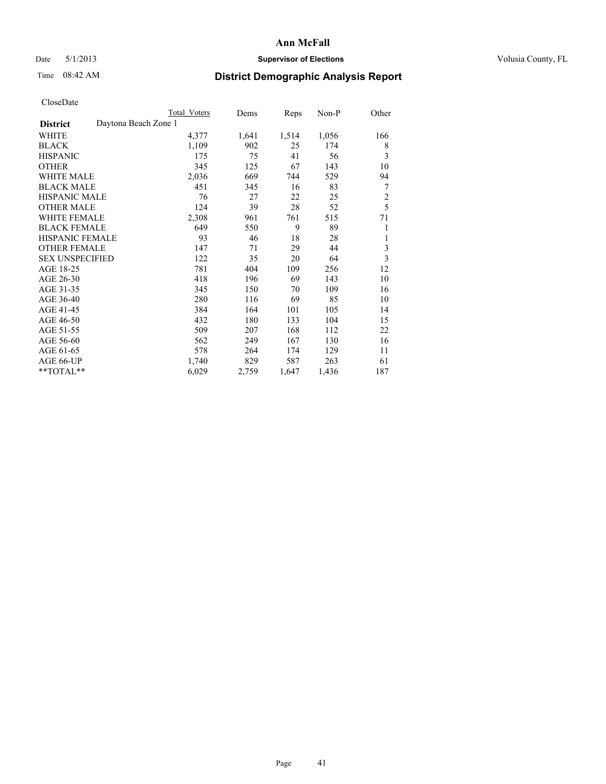# Date 5/1/2013 **Supervisor of Elections Supervisor of Elections** Volusia County, FL

# Time 08:42 AM **District Demographic Analysis Report**

|                                         | <b>Total Voters</b> | Dems  | Reps  | $Non-P$ | Other          |
|-----------------------------------------|---------------------|-------|-------|---------|----------------|
| Daytona Beach Zone 1<br><b>District</b> |                     |       |       |         |                |
| WHITE                                   | 4,377               | 1,641 | 1,514 | 1,056   | 166            |
| <b>BLACK</b>                            | 1,109               | 902   | 25    | 174     | 8              |
| <b>HISPANIC</b>                         | 175                 | 75    | 41    | 56      | 3              |
| <b>OTHER</b>                            | 345                 | 125   | 67    | 143     | 10             |
| <b>WHITE MALE</b>                       | 2,036               | 669   | 744   | 529     | 94             |
| <b>BLACK MALE</b>                       | 451                 | 345   | 16    | 83      | 7              |
| <b>HISPANIC MALE</b>                    | 76                  | 27    | 22    | 25      | $\overline{c}$ |
| <b>OTHER MALE</b>                       | 124                 | 39    | 28    | 52      | 5              |
| <b>WHITE FEMALE</b>                     | 2,308               | 961   | 761   | 515     | 71             |
| <b>BLACK FEMALE</b>                     | 649                 | 550   | 9     | 89      | 1              |
| HISPANIC FEMALE                         | 93                  | 46    | 18    | 28      | 1              |
| <b>OTHER FEMALE</b>                     | 147                 | 71    | 29    | 44      | 3              |
| <b>SEX UNSPECIFIED</b>                  | 122                 | 35    | 20    | 64      | 3              |
| AGE 18-25                               | 781                 | 404   | 109   | 256     | 12             |
| AGE 26-30                               | 418                 | 196   | 69    | 143     | 10             |
| AGE 31-35                               | 345                 | 150   | 70    | 109     | 16             |
| AGE 36-40                               | 280                 | 116   | 69    | 85      | 10             |
| AGE 41-45                               | 384                 | 164   | 101   | 105     | 14             |
| AGE 46-50                               | 432                 | 180   | 133   | 104     | 15             |
| AGE 51-55                               | 509                 | 207   | 168   | 112     | 22             |
| AGE 56-60                               | 562                 | 249   | 167   | 130     | 16             |
| AGE 61-65                               | 578                 | 264   | 174   | 129     | 11             |
| AGE 66-UP                               | 1,740               | 829   | 587   | 263     | 61             |
| **TOTAL**                               | 6,029               | 2,759 | 1,647 | 1,436   | 187            |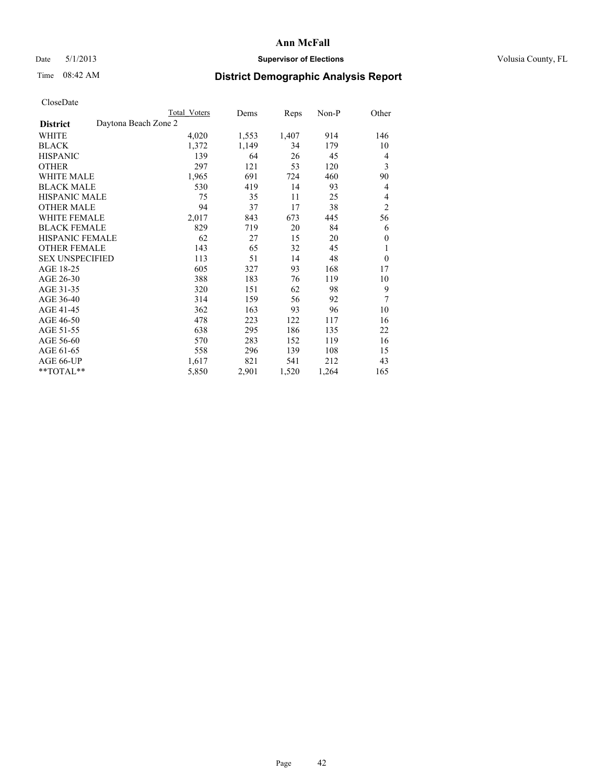# Date 5/1/2013 **Supervisor of Elections Supervisor of Elections** Volusia County, FL

# Time 08:42 AM **District Demographic Analysis Report**

|                                         | Total Voters | Dems  | Reps  | Non-P | Other          |
|-----------------------------------------|--------------|-------|-------|-------|----------------|
| Daytona Beach Zone 2<br><b>District</b> |              |       |       |       |                |
| WHITE                                   | 4,020        | 1,553 | 1,407 | 914   | 146            |
| <b>BLACK</b>                            | 1,372        | 1,149 | 34    | 179   | 10             |
| <b>HISPANIC</b>                         | 139          | 64    | 26    | 45    | 4              |
| <b>OTHER</b>                            | 297          | 121   | 53    | 120   | 3              |
| <b>WHITE MALE</b>                       | 1,965        | 691   | 724   | 460   | 90             |
| <b>BLACK MALE</b>                       | 530          | 419   | 14    | 93    | 4              |
| HISPANIC MALE                           | 75           | 35    | 11    | 25    | 4              |
| <b>OTHER MALE</b>                       | 94           | 37    | 17    | 38    | $\overline{2}$ |
| <b>WHITE FEMALE</b>                     | 2,017        | 843   | 673   | 445   | 56             |
| <b>BLACK FEMALE</b>                     | 829          | 719   | 20    | 84    | 6              |
| <b>HISPANIC FEMALE</b>                  | 62           | 27    | 15    | 20    | $\mathbf{0}$   |
| <b>OTHER FEMALE</b>                     | 143          | 65    | 32    | 45    | 1              |
| <b>SEX UNSPECIFIED</b>                  | 113          | 51    | 14    | 48    | $\mathbf{0}$   |
| AGE 18-25                               | 605          | 327   | 93    | 168   | 17             |
| AGE 26-30                               | 388          | 183   | 76    | 119   | 10             |
| AGE 31-35                               | 320          | 151   | 62    | 98    | 9              |
| AGE 36-40                               | 314          | 159   | 56    | 92    | 7              |
| AGE 41-45                               | 362          | 163   | 93    | 96    | 10             |
| AGE 46-50                               | 478          | 223   | 122   | 117   | 16             |
| AGE 51-55                               | 638          | 295   | 186   | 135   | 22             |
| AGE 56-60                               | 570          | 283   | 152   | 119   | 16             |
| AGE 61-65                               | 558          | 296   | 139   | 108   | 15             |
| AGE 66-UP                               | 1,617        | 821   | 541   | 212   | 43             |
| **TOTAL**                               | 5,850        | 2,901 | 1,520 | 1,264 | 165            |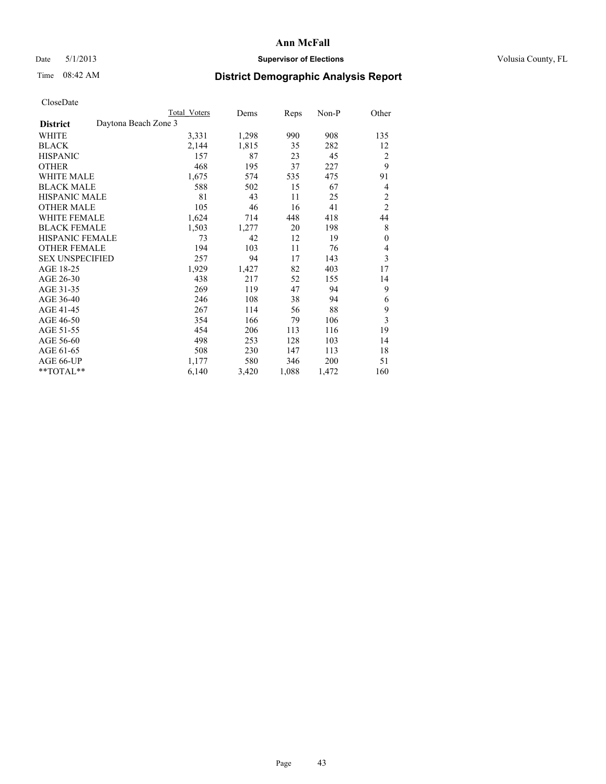# Date 5/1/2013 **Supervisor of Elections Supervisor of Elections** Volusia County, FL

# Time 08:42 AM **District Demographic Analysis Report**

|                                         | Total Voters | Dems  | <b>Reps</b> | Non-P | Other          |
|-----------------------------------------|--------------|-------|-------------|-------|----------------|
| Daytona Beach Zone 3<br><b>District</b> |              |       |             |       |                |
| WHITE                                   | 3,331        | 1,298 | 990         | 908   | 135            |
| <b>BLACK</b>                            | 2,144        | 1,815 | 35          | 282   | 12             |
| <b>HISPANIC</b>                         | 157          | 87    | 23          | 45    | $\overline{2}$ |
| <b>OTHER</b>                            | 468          | 195   | 37          | 227   | 9              |
| <b>WHITE MALE</b>                       | 1,675        | 574   | 535         | 475   | 91             |
| <b>BLACK MALE</b>                       | 588          | 502   | 15          | 67    | 4              |
| <b>HISPANIC MALE</b>                    | 81           | 43    | 11          | 25    | $\overline{c}$ |
| <b>OTHER MALE</b>                       | 105          | 46    | 16          | 41    | $\overline{2}$ |
| <b>WHITE FEMALE</b>                     | 1,624        | 714   | 448         | 418   | 44             |
| <b>BLACK FEMALE</b>                     | 1,503        | 1,277 | 20          | 198   | 8              |
| <b>HISPANIC FEMALE</b>                  | 73           | 42    | 12          | 19    | $\theta$       |
| <b>OTHER FEMALE</b>                     | 194          | 103   | 11          | 76    | 4              |
| <b>SEX UNSPECIFIED</b>                  | 257          | 94    | 17          | 143   | 3              |
| AGE 18-25                               | 1,929        | 1,427 | 82          | 403   | 17             |
| AGE 26-30                               | 438          | 217   | 52          | 155   | 14             |
| AGE 31-35                               | 269          | 119   | 47          | 94    | 9              |
| AGE 36-40                               | 246          | 108   | 38          | 94    | 6              |
| AGE 41-45                               | 267          | 114   | 56          | 88    | 9              |
| AGE 46-50                               | 354          | 166   | 79          | 106   | 3              |
| AGE 51-55                               | 454          | 206   | 113         | 116   | 19             |
| AGE 56-60                               | 498          | 253   | 128         | 103   | 14             |
| AGE 61-65                               | 508          | 230   | 147         | 113   | 18             |
| AGE 66-UP                               | 1,177        | 580   | 346         | 200   | 51             |
| **TOTAL**                               | 6,140        | 3,420 | 1,088       | 1,472 | 160            |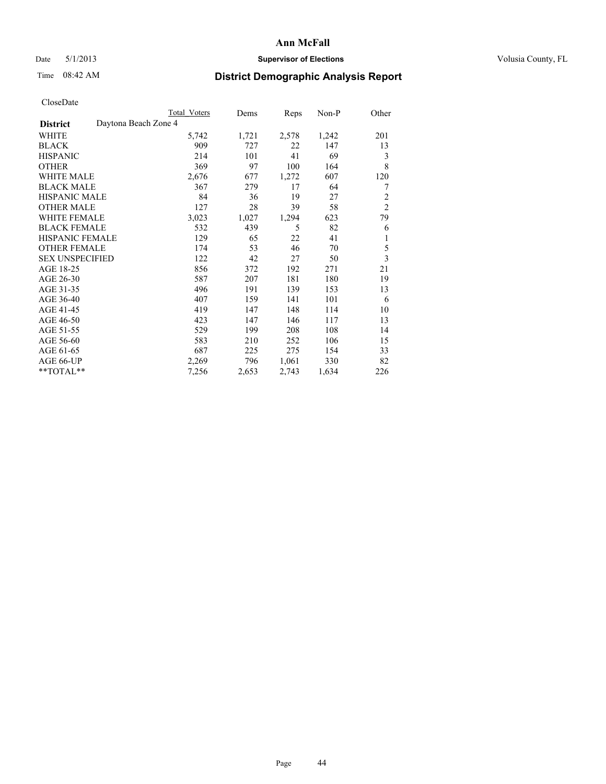## Date 5/1/2013 **Supervisor of Elections Supervisor of Elections** Volusia County, FL

# Time 08:42 AM **District Demographic Analysis Report**

|                                         | <b>Total Voters</b> | Dems  | Reps  | Non-P | Other          |
|-----------------------------------------|---------------------|-------|-------|-------|----------------|
| Daytona Beach Zone 4<br><b>District</b> |                     |       |       |       |                |
| WHITE                                   | 5,742               | 1,721 | 2,578 | 1,242 | 201            |
| <b>BLACK</b>                            | 909                 | 727   | 22    | 147   | 13             |
| <b>HISPANIC</b>                         | 214                 | 101   | 41    | 69    | 3              |
| <b>OTHER</b>                            | 369                 | 97    | 100   | 164   | 8              |
| <b>WHITE MALE</b>                       | 2,676               | 677   | 1,272 | 607   | 120            |
| <b>BLACK MALE</b>                       | 367                 | 279   | 17    | 64    | 7              |
| HISPANIC MALE                           | 84                  | 36    | 19    | 27    | $\overline{c}$ |
| <b>OTHER MALE</b>                       | 127                 | 28    | 39    | 58    | $\overline{2}$ |
| <b>WHITE FEMALE</b>                     | 3,023               | 1,027 | 1,294 | 623   | 79             |
| <b>BLACK FEMALE</b>                     | 532                 | 439   | 5     | 82    | 6              |
| <b>HISPANIC FEMALE</b>                  | 129                 | 65    | 22    | 41    | 1              |
| <b>OTHER FEMALE</b>                     | 174                 | 53    | 46    | 70    | 5              |
| <b>SEX UNSPECIFIED</b>                  | 122                 | 42    | 27    | 50    | $\overline{3}$ |
| AGE 18-25                               | 856                 | 372   | 192   | 271   | 21             |
| AGE 26-30                               | 587                 | 207   | 181   | 180   | 19             |
| AGE 31-35                               | 496                 | 191   | 139   | 153   | 13             |
| AGE 36-40                               | 407                 | 159   | 141   | 101   | 6              |
| AGE 41-45                               | 419                 | 147   | 148   | 114   | 10             |
| AGE 46-50                               | 423                 | 147   | 146   | 117   | 13             |
| AGE 51-55                               | 529                 | 199   | 208   | 108   | 14             |
| AGE 56-60                               | 583                 | 210   | 252   | 106   | 15             |
| AGE 61-65                               | 687                 | 225   | 275   | 154   | 33             |
| AGE 66-UP                               | 2,269               | 796   | 1,061 | 330   | 82             |
| **TOTAL**                               | 7,256               | 2,653 | 2,743 | 1,634 | 226            |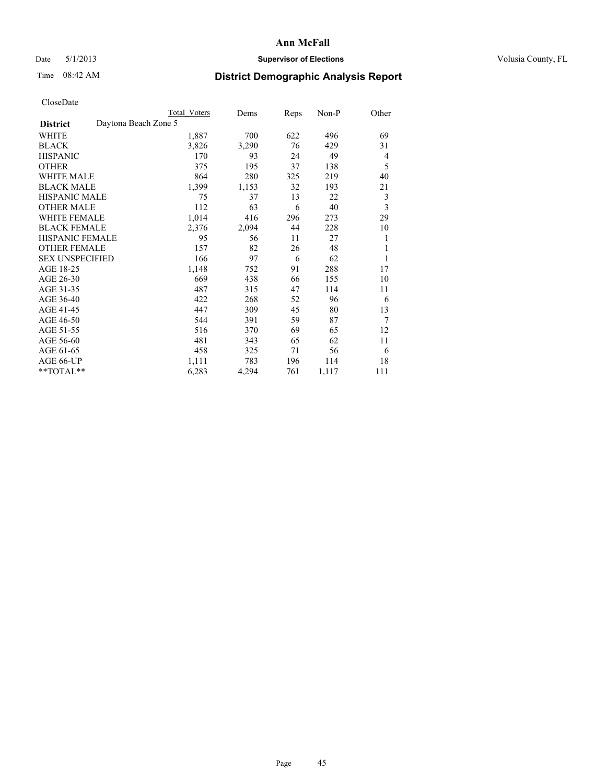# Date 5/1/2013 **Supervisor of Elections Supervisor of Elections** Volusia County, FL

# Time 08:42 AM **District Demographic Analysis Report**

|                                         | Total Voters | Dems  | <b>Reps</b> | Non-P | Other                   |
|-----------------------------------------|--------------|-------|-------------|-------|-------------------------|
| Daytona Beach Zone 5<br><b>District</b> |              |       |             |       |                         |
| WHITE                                   | 1,887        | 700   | 622         | 496   | 69                      |
| <b>BLACK</b>                            | 3,826        | 3,290 | 76          | 429   | 31                      |
| <b>HISPANIC</b>                         | 170          | 93    | 24          | 49    | 4                       |
| <b>OTHER</b>                            | 375          | 195   | 37          | 138   | 5                       |
| <b>WHITE MALE</b>                       | 864          | 280   | 325         | 219   | 40                      |
| <b>BLACK MALE</b>                       | 1,399        | 1,153 | 32          | 193   | 21                      |
| <b>HISPANIC MALE</b>                    | 75           | 37    | 13          | 22    | 3                       |
| <b>OTHER MALE</b>                       | 112          | 63    | 6           | 40    | $\overline{\mathbf{3}}$ |
| <b>WHITE FEMALE</b>                     | 1,014        | 416   | 296         | 273   | 29                      |
| <b>BLACK FEMALE</b>                     | 2,376        | 2,094 | 44          | 228   | 10                      |
| <b>HISPANIC FEMALE</b>                  | 95           | 56    | 11          | 27    | 1                       |
| <b>OTHER FEMALE</b>                     | 157          | 82    | 26          | 48    | 1                       |
| <b>SEX UNSPECIFIED</b>                  | 166          | 97    | 6           | 62    | 1                       |
| AGE 18-25                               | 1,148        | 752   | 91          | 288   | 17                      |
| AGE 26-30                               | 669          | 438   | 66          | 155   | 10                      |
| AGE 31-35                               | 487          | 315   | 47          | 114   | 11                      |
| AGE 36-40                               | 422          | 268   | 52          | 96    | 6                       |
| AGE 41-45                               | 447          | 309   | 45          | 80    | 13                      |
| AGE 46-50                               | 544          | 391   | 59          | 87    | 7                       |
| AGE 51-55                               | 516          | 370   | 69          | 65    | 12                      |
| AGE 56-60                               | 481          | 343   | 65          | 62    | 11                      |
| AGE 61-65                               | 458          | 325   | 71          | 56    | 6                       |
| AGE 66-UP                               | 1,111        | 783   | 196         | 114   | 18                      |
| **TOTAL**                               | 6,283        | 4,294 | 761         | 1,117 | 111                     |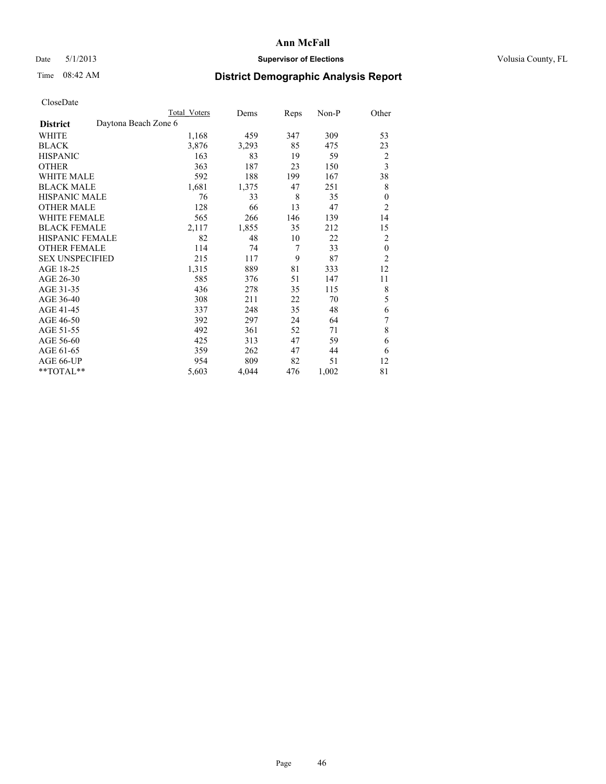# Date 5/1/2013 **Supervisor of Elections Supervisor of Elections** Volusia County, FL

# Time 08:42 AM **District Demographic Analysis Report**

|                                         | <b>Total Voters</b> | Dems  | Reps           | Non-P | Other                   |
|-----------------------------------------|---------------------|-------|----------------|-------|-------------------------|
| Daytona Beach Zone 6<br><b>District</b> |                     |       |                |       |                         |
| WHITE                                   | 1,168               | 459   | 347            | 309   | 53                      |
| <b>BLACK</b>                            | 3,876               | 3,293 | 85             | 475   | 23                      |
| <b>HISPANIC</b>                         | 163                 | 83    | 19             | 59    | $\overline{2}$          |
| <b>OTHER</b>                            | 363                 | 187   | 23             | 150   | $\overline{\mathbf{3}}$ |
| WHITE MALE                              | 592                 | 188   | 199            | 167   | 38                      |
| <b>BLACK MALE</b>                       | 1,681               | 1,375 | 47             | 251   | 8                       |
| HISPANIC MALE                           | 76                  | 33    | 8              | 35    | $\mathbf{0}$            |
| <b>OTHER MALE</b>                       | 128                 | 66    | 13             | 47    | $\overline{2}$          |
| WHITE FEMALE                            | 565                 | 266   | 146            | 139   | 14                      |
| <b>BLACK FEMALE</b>                     | 2,117               | 1,855 | 35             | 212   | 15                      |
| <b>HISPANIC FEMALE</b>                  | 82                  | 48    | 10             | 22    | $\overline{2}$          |
| <b>OTHER FEMALE</b>                     | 114                 | 74    | $\overline{7}$ | 33    | $\boldsymbol{0}$        |
| <b>SEX UNSPECIFIED</b>                  | 215                 | 117   | 9              | 87    | $\overline{2}$          |
| AGE 18-25                               | 1,315               | 889   | 81             | 333   | 12                      |
| AGE 26-30                               | 585                 | 376   | 51             | 147   | 11                      |
| AGE 31-35                               | 436                 | 278   | 35             | 115   | 8                       |
| AGE 36-40                               | 308                 | 211   | 22             | 70    | 5                       |
| AGE 41-45                               | 337                 | 248   | 35             | 48    | 6                       |
| AGE 46-50                               | 392                 | 297   | 24             | 64    | 7                       |
| AGE 51-55                               | 492                 | 361   | 52             | 71    | 8                       |
| AGE 56-60                               | 425                 | 313   | 47             | 59    | 6                       |
| AGE 61-65                               | 359                 | 262   | 47             | 44    | 6                       |
| AGE 66-UP                               | 954                 | 809   | 82             | 51    | 12                      |
| **TOTAL**                               | 5,603               | 4,044 | 476            | 1,002 | 81                      |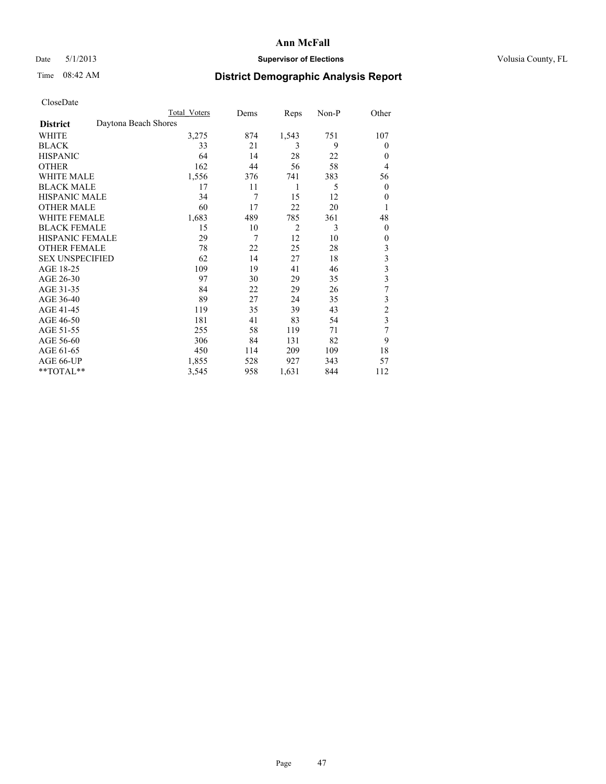# Date 5/1/2013 **Supervisor of Elections Supervisor of Elections** Volusia County, FL

# Time 08:42 AM **District Demographic Analysis Report**

|                        | <b>Total Voters</b>  | Dems | Reps           | Non-P | Other                   |
|------------------------|----------------------|------|----------------|-------|-------------------------|
| <b>District</b>        | Daytona Beach Shores |      |                |       |                         |
| WHITE                  | 3,275                | 874  | 1,543          | 751   | 107                     |
| <b>BLACK</b>           | 33                   | 21   | 3              | 9     | $\Omega$                |
| <b>HISPANIC</b>        | 64                   | 14   | 28             | 22    | $\Omega$                |
| <b>OTHER</b>           | 162                  | 44   | 56             | 58    | $\overline{4}$          |
| WHITE MALE             | 1,556                | 376  | 741            | 383   | 56                      |
| <b>BLACK MALE</b>      | 17                   | 11   | 1              | 5     | $\overline{0}$          |
| <b>HISPANIC MALE</b>   | 34                   | 7    | 15             | 12    | $\overline{0}$          |
| <b>OTHER MALE</b>      | 60                   | 17   | 22             | 20    | 1                       |
| <b>WHITE FEMALE</b>    | 1,683                | 489  | 785            | 361   | 48                      |
| <b>BLACK FEMALE</b>    | 15                   | 10   | $\overline{2}$ | 3     | $\overline{0}$          |
| <b>HISPANIC FEMALE</b> | 29                   | 7    | 12             | 10    | $\Omega$                |
| <b>OTHER FEMALE</b>    | 78                   | 22   | 25             | 28    | 3                       |
| <b>SEX UNSPECIFIED</b> | 62                   | 14   | 27             | 18    | 3                       |
| AGE 18-25              | 109                  | 19   | 41             | 46    | $\overline{\mathbf{3}}$ |
| AGE 26-30              | 97                   | 30   | 29             | 35    | $\overline{\mathbf{3}}$ |
| AGE 31-35              | 84                   | 22   | 29             | 26    | 7                       |
| AGE 36-40              | 89                   | 27   | 24             | 35    | $\mathfrak{Z}$          |
| AGE 41-45              | 119                  | 35   | 39             | 43    | $\overline{c}$          |
| AGE 46-50              | 181                  | 41   | 83             | 54    | 3                       |
| AGE 51-55              | 255                  | 58   | 119            | 71    | 7                       |
| AGE 56-60              | 306                  | 84   | 131            | 82    | 9                       |
| AGE 61-65              | 450                  | 114  | 209            | 109   | 18                      |
| AGE 66-UP              | 1,855                | 528  | 927            | 343   | 57                      |
| **TOTAL**              | 3,545                | 958  | 1,631          | 844   | 112                     |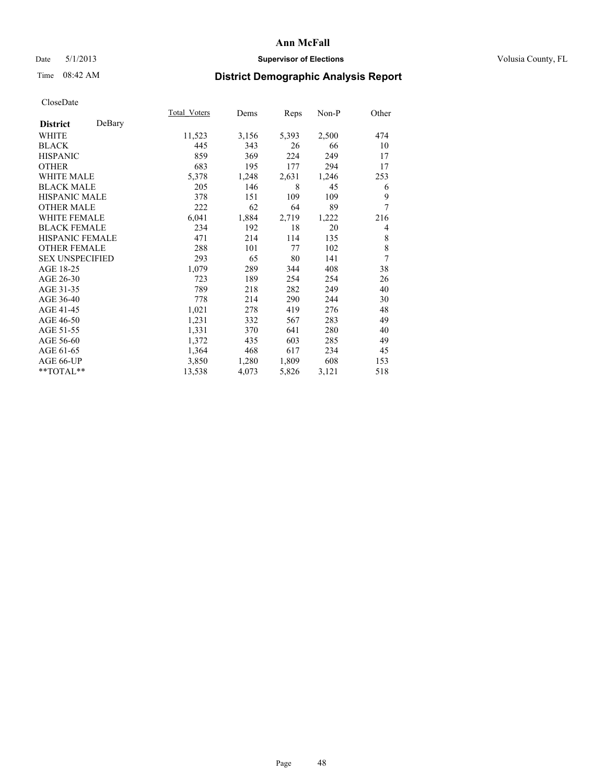# Date 5/1/2013 **Supervisor of Elections Supervisor of Elections** Volusia County, FL

# Time 08:42 AM **District Demographic Analysis Report**

|                        |        | Total Voters | Dems  | Reps  | Non-P | Other |
|------------------------|--------|--------------|-------|-------|-------|-------|
| <b>District</b>        | DeBary |              |       |       |       |       |
| WHITE                  |        | 11,523       | 3,156 | 5,393 | 2,500 | 474   |
| <b>BLACK</b>           |        | 445          | 343   | 26    | 66    | 10    |
| <b>HISPANIC</b>        |        | 859          | 369   | 224   | 249   | 17    |
| <b>OTHER</b>           |        | 683          | 195   | 177   | 294   | 17    |
| WHITE MALE             |        | 5,378        | 1,248 | 2,631 | 1,246 | 253   |
| <b>BLACK MALE</b>      |        | 205          | 146   | 8     | 45    | 6     |
| <b>HISPANIC MALE</b>   |        | 378          | 151   | 109   | 109   | 9     |
| <b>OTHER MALE</b>      |        | 222          | 62    | 64    | 89    | 7     |
| <b>WHITE FEMALE</b>    |        | 6,041        | 1,884 | 2,719 | 1,222 | 216   |
| <b>BLACK FEMALE</b>    |        | 234          | 192   | 18    | 20    | 4     |
| <b>HISPANIC FEMALE</b> |        | 471          | 214   | 114   | 135   | 8     |
| <b>OTHER FEMALE</b>    |        | 288          | 101   | 77    | 102   | 8     |
| <b>SEX UNSPECIFIED</b> |        | 293          | 65    | 80    | 141   | 7     |
| AGE 18-25              |        | 1,079        | 289   | 344   | 408   | 38    |
| AGE 26-30              |        | 723          | 189   | 254   | 254   | 26    |
| AGE 31-35              |        | 789          | 218   | 282   | 249   | 40    |
| AGE 36-40              |        | 778          | 214   | 290   | 244   | 30    |
| AGE 41-45              |        | 1,021        | 278   | 419   | 276   | 48    |
| AGE 46-50              |        | 1,231        | 332   | 567   | 283   | 49    |
| AGE 51-55              |        | 1,331        | 370   | 641   | 280   | 40    |
| AGE 56-60              |        | 1,372        | 435   | 603   | 285   | 49    |
| AGE 61-65              |        | 1,364        | 468   | 617   | 234   | 45    |
| AGE 66-UP              |        | 3,850        | 1,280 | 1,809 | 608   | 153   |
| **TOTAL**              |        | 13,538       | 4,073 | 5,826 | 3,121 | 518   |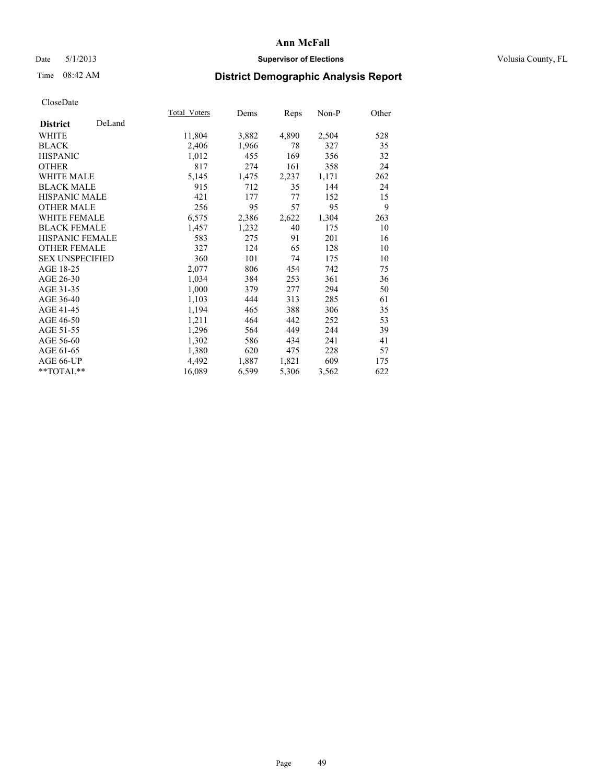# Date 5/1/2013 **Supervisor of Elections Supervisor of Elections** Volusia County, FL

# Time 08:42 AM **District Demographic Analysis Report**

|                           | Total Voters | Dems  | <b>Reps</b> | Non-P | Other |
|---------------------------|--------------|-------|-------------|-------|-------|
| DeLand<br><b>District</b> |              |       |             |       |       |
| <b>WHITE</b>              | 11,804       | 3,882 | 4,890       | 2,504 | 528   |
| <b>BLACK</b>              | 2,406        | 1,966 | 78          | 327   | 35    |
| <b>HISPANIC</b>           | 1,012        | 455   | 169         | 356   | 32    |
| <b>OTHER</b>              | 817          | 274   | 161         | 358   | 24    |
| <b>WHITE MALE</b>         | 5,145        | 1,475 | 2,237       | 1,171 | 262   |
| <b>BLACK MALE</b>         | 915          | 712   | 35          | 144   | 24    |
| HISPANIC MALE             | 421          | 177   | 77          | 152   | 15    |
| <b>OTHER MALE</b>         | 256          | 95    | 57          | 95    | 9     |
| <b>WHITE FEMALE</b>       | 6,575        | 2,386 | 2,622       | 1,304 | 263   |
| <b>BLACK FEMALE</b>       | 1,457        | 1,232 | 40          | 175   | 10    |
| <b>HISPANIC FEMALE</b>    | 583          | 275   | 91          | 201   | 16    |
| <b>OTHER FEMALE</b>       | 327          | 124   | 65          | 128   | 10    |
| <b>SEX UNSPECIFIED</b>    | 360          | 101   | 74          | 175   | 10    |
| AGE 18-25                 | 2,077        | 806   | 454         | 742   | 75    |
| AGE 26-30                 | 1,034        | 384   | 253         | 361   | 36    |
| AGE 31-35                 | 1,000        | 379   | 277         | 294   | 50    |
| AGE 36-40                 | 1,103        | 444   | 313         | 285   | 61    |
| AGE 41-45                 | 1,194        | 465   | 388         | 306   | 35    |
| AGE 46-50                 | 1,211        | 464   | 442         | 252   | 53    |
| AGE 51-55                 | 1,296        | 564   | 449         | 244   | 39    |
| AGE 56-60                 | 1,302        | 586   | 434         | 241   | 41    |
| AGE 61-65                 | 1,380        | 620   | 475         | 228   | 57    |
| AGE 66-UP                 | 4,492        | 1,887 | 1,821       | 609   | 175   |
| **TOTAL**                 | 16,089       | 6,599 | 5,306       | 3,562 | 622   |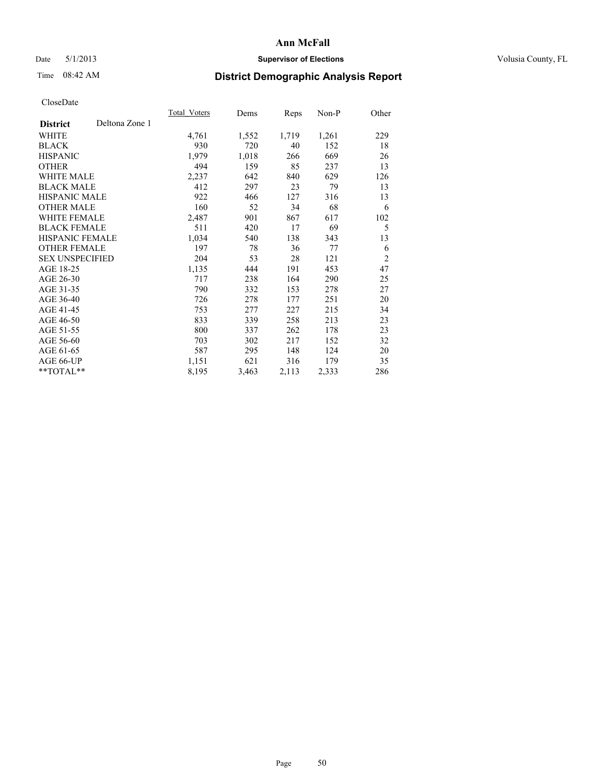# Date 5/1/2013 **Supervisor of Elections Supervisor of Elections** Volusia County, FL

# Time 08:42 AM **District Demographic Analysis Report**

|                        |                | Total Voters | Dems  | Reps  | $Non-P$ | Other          |
|------------------------|----------------|--------------|-------|-------|---------|----------------|
| <b>District</b>        | Deltona Zone 1 |              |       |       |         |                |
| WHITE                  |                | 4,761        | 1,552 | 1,719 | 1,261   | 229            |
| <b>BLACK</b>           |                | 930          | 720   | 40    | 152     | 18             |
| <b>HISPANIC</b>        |                | 1,979        | 1,018 | 266   | 669     | 26             |
| <b>OTHER</b>           |                | 494          | 159   | 85    | 237     | 13             |
| <b>WHITE MALE</b>      |                | 2,237        | 642   | 840   | 629     | 126            |
| <b>BLACK MALE</b>      |                | 412          | 297   | 23    | 79      | 13             |
| <b>HISPANIC MALE</b>   |                | 922          | 466   | 127   | 316     | 13             |
| <b>OTHER MALE</b>      |                | 160          | 52    | 34    | 68      | 6              |
| <b>WHITE FEMALE</b>    |                | 2,487        | 901   | 867   | 617     | 102            |
| <b>BLACK FEMALE</b>    |                | 511          | 420   | 17    | 69      | 5              |
| <b>HISPANIC FEMALE</b> |                | 1,034        | 540   | 138   | 343     | 13             |
| <b>OTHER FEMALE</b>    |                | 197          | 78    | 36    | 77      | 6              |
| <b>SEX UNSPECIFIED</b> |                | 204          | 53    | 28    | 121     | $\overline{2}$ |
| AGE 18-25              |                | 1,135        | 444   | 191   | 453     | 47             |
| AGE 26-30              |                | 717          | 238   | 164   | 290     | 25             |
| AGE 31-35              |                | 790          | 332   | 153   | 278     | 27             |
| AGE 36-40              |                | 726          | 278   | 177   | 251     | 20             |
| AGE 41-45              |                | 753          | 277   | 227   | 215     | 34             |
| AGE 46-50              |                | 833          | 339   | 258   | 213     | 23             |
| AGE 51-55              |                | 800          | 337   | 262   | 178     | 23             |
| AGE 56-60              |                | 703          | 302   | 217   | 152     | 32             |
| AGE 61-65              |                | 587          | 295   | 148   | 124     | 20             |
| AGE 66-UP              |                | 1,151        | 621   | 316   | 179     | 35             |
| **TOTAL**              |                | 8,195        | 3,463 | 2,113 | 2,333   | 286            |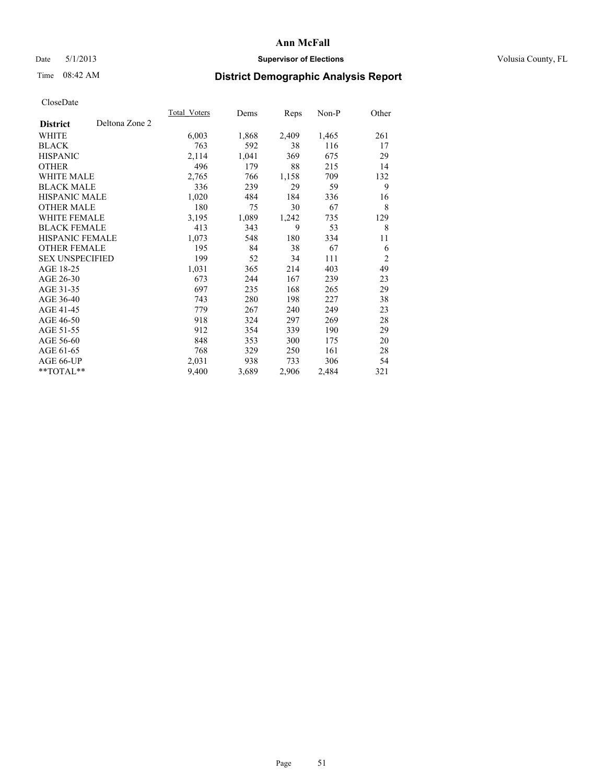# Date 5/1/2013 **Supervisor of Elections Supervisor of Elections** Volusia County, FL

# Time 08:42 AM **District Demographic Analysis Report**

|                                   | Total Voters | Dems  | <b>Reps</b> | Non-P | Other          |
|-----------------------------------|--------------|-------|-------------|-------|----------------|
| Deltona Zone 2<br><b>District</b> |              |       |             |       |                |
| WHITE                             | 6,003        | 1,868 | 2,409       | 1,465 | 261            |
| <b>BLACK</b>                      | 763          | 592   | 38          | 116   | 17             |
| <b>HISPANIC</b>                   | 2,114        | 1,041 | 369         | 675   | 29             |
| <b>OTHER</b>                      | 496          | 179   | 88          | 215   | 14             |
| <b>WHITE MALE</b>                 | 2,765        | 766   | 1,158       | 709   | 132            |
| <b>BLACK MALE</b>                 | 336          | 239   | 29          | 59    | 9              |
| <b>HISPANIC MALE</b>              | 1,020        | 484   | 184         | 336   | 16             |
| <b>OTHER MALE</b>                 | 180          | 75    | 30          | 67    | 8              |
| <b>WHITE FEMALE</b>               | 3,195        | 1,089 | 1,242       | 735   | 129            |
| <b>BLACK FEMALE</b>               | 413          | 343   | 9           | 53    | 8              |
| <b>HISPANIC FEMALE</b>            | 1,073        | 548   | 180         | 334   | 11             |
| <b>OTHER FEMALE</b>               | 195          | 84    | 38          | 67    | 6              |
| <b>SEX UNSPECIFIED</b>            | 199          | 52    | 34          | 111   | $\overline{2}$ |
| AGE 18-25                         | 1,031        | 365   | 214         | 403   | 49             |
| AGE 26-30                         | 673          | 244   | 167         | 239   | 23             |
| AGE 31-35                         | 697          | 235   | 168         | 265   | 29             |
| AGE 36-40                         | 743          | 280   | 198         | 227   | 38             |
| AGE 41-45                         | 779          | 267   | 240         | 249   | 23             |
| AGE 46-50                         | 918          | 324   | 297         | 269   | 28             |
| AGE 51-55                         | 912          | 354   | 339         | 190   | 29             |
| AGE 56-60                         | 848          | 353   | 300         | 175   | 20             |
| AGE 61-65                         | 768          | 329   | 250         | 161   | 28             |
| AGE 66-UP                         | 2,031        | 938   | 733         | 306   | 54             |
| **TOTAL**                         | 9,400        | 3,689 | 2,906       | 2,484 | 321            |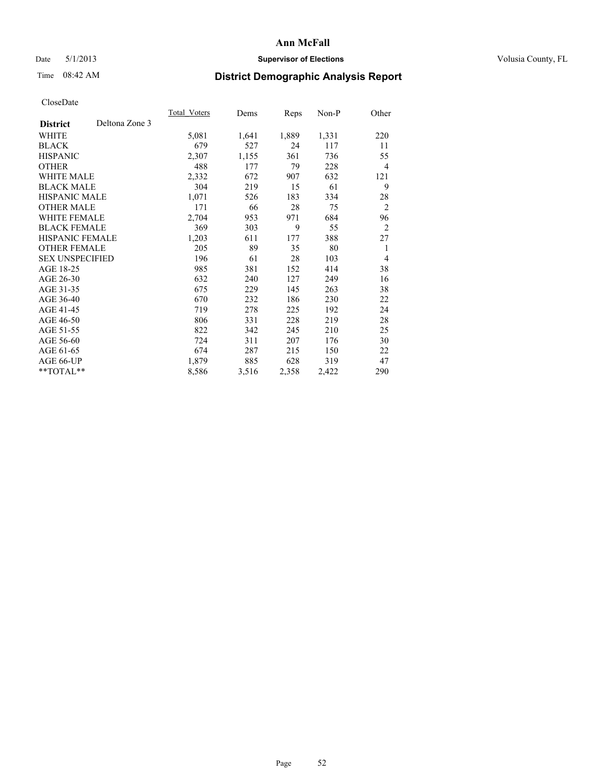## Date 5/1/2013 **Supervisor of Elections Supervisor of Elections** Volusia County, FL

# Time 08:42 AM **District Demographic Analysis Report**

|                        |                | Total Voters | Dems  | <b>Reps</b> | Non-P | Other          |
|------------------------|----------------|--------------|-------|-------------|-------|----------------|
| <b>District</b>        | Deltona Zone 3 |              |       |             |       |                |
| WHITE                  |                | 5,081        | 1,641 | 1,889       | 1,331 | 220            |
| <b>BLACK</b>           |                | 679          | 527   | 24          | 117   | 11             |
| <b>HISPANIC</b>        |                | 2,307        | 1,155 | 361         | 736   | 55             |
| <b>OTHER</b>           |                | 488          | 177   | 79          | 228   | $\overline{4}$ |
| WHITE MALE             |                | 2,332        | 672   | 907         | 632   | 121            |
| <b>BLACK MALE</b>      |                | 304          | 219   | 15          | 61    | 9              |
| <b>HISPANIC MALE</b>   |                | 1,071        | 526   | 183         | 334   | 28             |
| <b>OTHER MALE</b>      |                | 171          | 66    | 28          | 75    | $\overline{2}$ |
| <b>WHITE FEMALE</b>    |                | 2,704        | 953   | 971         | 684   | 96             |
| <b>BLACK FEMALE</b>    |                | 369          | 303   | 9           | 55    | $\overline{2}$ |
| <b>HISPANIC FEMALE</b> |                | 1,203        | 611   | 177         | 388   | 27             |
| <b>OTHER FEMALE</b>    |                | 205          | 89    | 35          | 80    | 1              |
| <b>SEX UNSPECIFIED</b> |                | 196          | 61    | 28          | 103   | $\overline{4}$ |
| AGE 18-25              |                | 985          | 381   | 152         | 414   | 38             |
| AGE 26-30              |                | 632          | 240   | 127         | 249   | 16             |
| AGE 31-35              |                | 675          | 229   | 145         | 263   | 38             |
| AGE 36-40              |                | 670          | 232   | 186         | 230   | 22             |
| AGE 41-45              |                | 719          | 278   | 225         | 192   | 24             |
| AGE 46-50              |                | 806          | 331   | 228         | 219   | 28             |
| AGE 51-55              |                | 822          | 342   | 245         | 210   | 25             |
| AGE 56-60              |                | 724          | 311   | 207         | 176   | 30             |
| AGE 61-65              |                | 674          | 287   | 215         | 150   | 22             |
| AGE 66-UP              |                | 1,879        | 885   | 628         | 319   | 47             |
| $*$ TOTAL $*$          |                | 8,586        | 3,516 | 2,358       | 2,422 | 290            |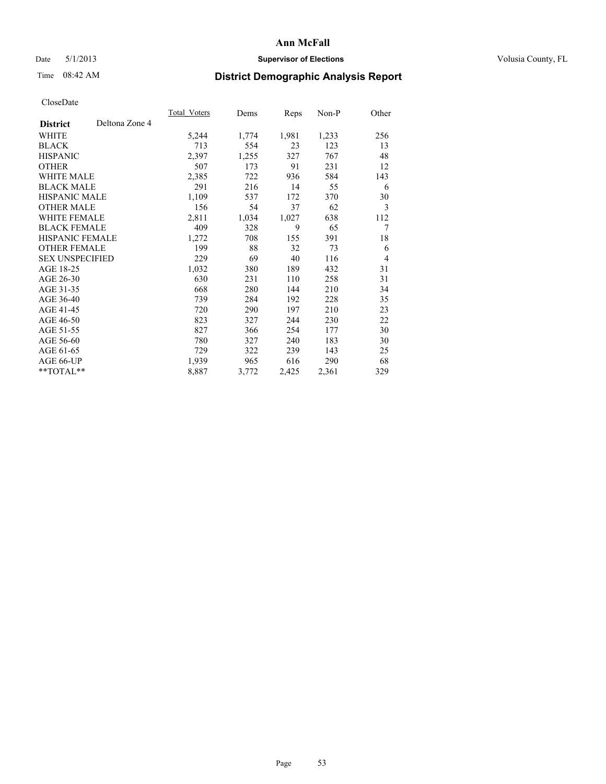# Date 5/1/2013 **Supervisor of Elections Supervisor of Elections** Volusia County, FL

# Time 08:42 AM **District Demographic Analysis Report**

|                                   | Total Voters | Dems  | <b>Reps</b> | Non-P | Other |
|-----------------------------------|--------------|-------|-------------|-------|-------|
| Deltona Zone 4<br><b>District</b> |              |       |             |       |       |
| WHITE                             | 5,244        | 1,774 | 1,981       | 1,233 | 256   |
| <b>BLACK</b>                      | 713          | 554   | 23          | 123   | 13    |
| <b>HISPANIC</b>                   | 2,397        | 1,255 | 327         | 767   | 48    |
| <b>OTHER</b>                      | 507          | 173   | 91          | 231   | 12    |
| <b>WHITE MALE</b>                 | 2,385        | 722   | 936         | 584   | 143   |
| <b>BLACK MALE</b>                 | 291          | 216   | 14          | 55    | 6     |
| HISPANIC MALE                     | 1,109        | 537   | 172         | 370   | 30    |
| <b>OTHER MALE</b>                 | 156          | 54    | 37          | 62    | 3     |
| WHITE FEMALE                      | 2,811        | 1,034 | 1,027       | 638   | 112   |
| <b>BLACK FEMALE</b>               | 409          | 328   | 9           | 65    | 7     |
| HISPANIC FEMALE                   | 1,272        | 708   | 155         | 391   | 18    |
| <b>OTHER FEMALE</b>               | 199          | 88    | 32          | 73    | 6     |
| <b>SEX UNSPECIFIED</b>            | 229          | 69    | 40          | 116   | 4     |
| AGE 18-25                         | 1,032        | 380   | 189         | 432   | 31    |
| AGE 26-30                         | 630          | 231   | 110         | 258   | 31    |
| AGE 31-35                         | 668          | 280   | 144         | 210   | 34    |
| AGE 36-40                         | 739          | 284   | 192         | 228   | 35    |
| AGE 41-45                         | 720          | 290   | 197         | 210   | 23    |
| AGE 46-50                         | 823          | 327   | 244         | 230   | 22    |
| AGE 51-55                         | 827          | 366   | 254         | 177   | 30    |
| AGE 56-60                         | 780          | 327   | 240         | 183   | 30    |
| AGE 61-65                         | 729          | 322   | 239         | 143   | 25    |
| AGE 66-UP                         | 1,939        | 965   | 616         | 290   | 68    |
| **TOTAL**                         | 8,887        | 3,772 | 2,425       | 2,361 | 329   |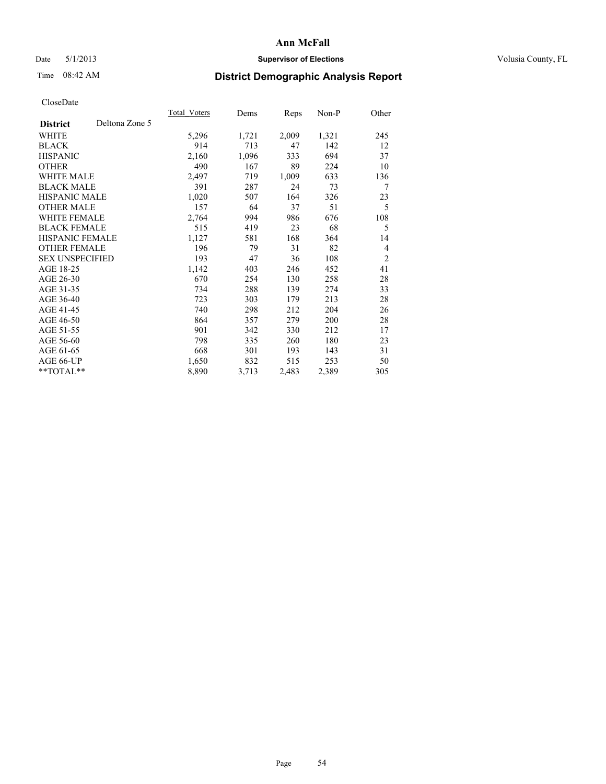# Date 5/1/2013 **Supervisor of Elections Supervisor of Elections** Volusia County, FL

# Time 08:42 AM **District Demographic Analysis Report**

|                        |                | Total Voters | Dems  | Reps  | Non-P | Other          |
|------------------------|----------------|--------------|-------|-------|-------|----------------|
| <b>District</b>        | Deltona Zone 5 |              |       |       |       |                |
| WHITE                  |                | 5,296        | 1,721 | 2,009 | 1,321 | 245            |
| <b>BLACK</b>           |                | 914          | 713   | 47    | 142   | 12             |
| <b>HISPANIC</b>        |                | 2,160        | 1,096 | 333   | 694   | 37             |
| <b>OTHER</b>           |                | 490          | 167   | 89    | 224   | 10             |
| <b>WHITE MALE</b>      |                | 2,497        | 719   | 1,009 | 633   | 136            |
| <b>BLACK MALE</b>      |                | 391          | 287   | 24    | 73    | 7              |
| <b>HISPANIC MALE</b>   |                | 1,020        | 507   | 164   | 326   | 23             |
| <b>OTHER MALE</b>      |                | 157          | 64    | 37    | 51    | 5              |
| <b>WHITE FEMALE</b>    |                | 2,764        | 994   | 986   | 676   | 108            |
| <b>BLACK FEMALE</b>    |                | 515          | 419   | 23    | 68    | 5              |
| HISPANIC FEMALE        |                | 1,127        | 581   | 168   | 364   | 14             |
| <b>OTHER FEMALE</b>    |                | 196          | 79    | 31    | 82    | $\overline{4}$ |
| <b>SEX UNSPECIFIED</b> |                | 193          | 47    | 36    | 108   | $\overline{2}$ |
| AGE 18-25              |                | 1,142        | 403   | 246   | 452   | 41             |
| AGE 26-30              |                | 670          | 254   | 130   | 258   | 28             |
| AGE 31-35              |                | 734          | 288   | 139   | 274   | 33             |
| AGE 36-40              |                | 723          | 303   | 179   | 213   | 28             |
| AGE 41-45              |                | 740          | 298   | 212   | 204   | 26             |
| AGE 46-50              |                | 864          | 357   | 279   | 200   | 28             |
| AGE 51-55              |                | 901          | 342   | 330   | 212   | 17             |
| AGE 56-60              |                | 798          | 335   | 260   | 180   | 23             |
| AGE 61-65              |                | 668          | 301   | 193   | 143   | 31             |
| AGE 66-UP              |                | 1,650        | 832   | 515   | 253   | 50             |
| **TOTAL**              |                | 8,890        | 3,713 | 2,483 | 2,389 | 305            |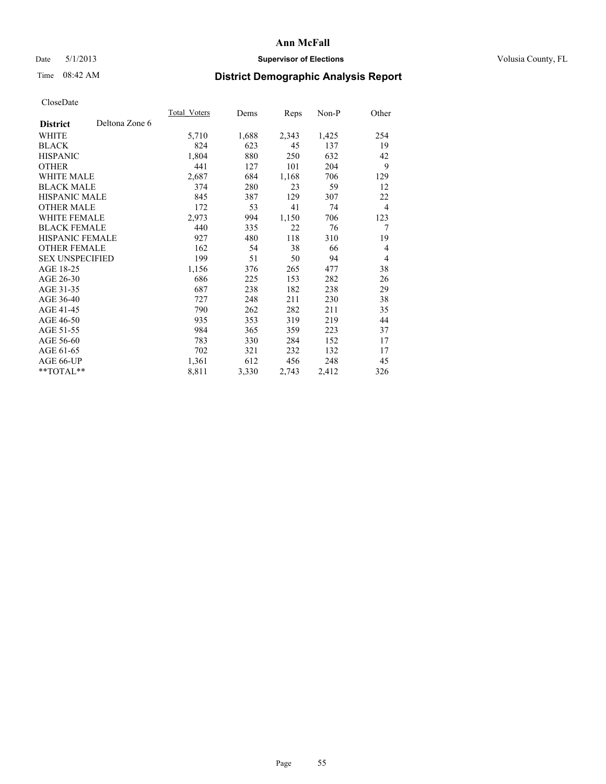# Date 5/1/2013 **Supervisor of Elections Supervisor of Elections** Volusia County, FL

# Time 08:42 AM **District Demographic Analysis Report**

|                        |                | <b>Total Voters</b> | Dems  | Reps  | $Non-P$ | Other |
|------------------------|----------------|---------------------|-------|-------|---------|-------|
| <b>District</b>        | Deltona Zone 6 |                     |       |       |         |       |
| WHITE                  |                | 5,710               | 1,688 | 2,343 | 1,425   | 254   |
| <b>BLACK</b>           |                | 824                 | 623   | 45    | 137     | 19    |
| <b>HISPANIC</b>        |                | 1,804               | 880   | 250   | 632     | 42    |
| <b>OTHER</b>           |                | 441                 | 127   | 101   | 204     | 9     |
| WHITE MALE             |                | 2,687               | 684   | 1,168 | 706     | 129   |
| <b>BLACK MALE</b>      |                | 374                 | 280   | 23    | 59      | 12    |
| <b>HISPANIC MALE</b>   |                | 845                 | 387   | 129   | 307     | 22    |
| <b>OTHER MALE</b>      |                | 172                 | 53    | 41    | 74      | 4     |
| <b>WHITE FEMALE</b>    |                | 2,973               | 994   | 1,150 | 706     | 123   |
| <b>BLACK FEMALE</b>    |                | 440                 | 335   | 22    | 76      | 7     |
| HISPANIC FEMALE        |                | 927                 | 480   | 118   | 310     | 19    |
| <b>OTHER FEMALE</b>    |                | 162                 | 54    | 38    | 66      | 4     |
| <b>SEX UNSPECIFIED</b> |                | 199                 | 51    | 50    | 94      | 4     |
| AGE 18-25              |                | 1,156               | 376   | 265   | 477     | 38    |
| AGE 26-30              |                | 686                 | 225   | 153   | 282     | 26    |
| AGE 31-35              |                | 687                 | 238   | 182   | 238     | 29    |
| AGE 36-40              |                | 727                 | 248   | 211   | 230     | 38    |
| AGE 41-45              |                | 790                 | 262   | 282   | 211     | 35    |
| AGE 46-50              |                | 935                 | 353   | 319   | 219     | 44    |
| AGE 51-55              |                | 984                 | 365   | 359   | 223     | 37    |
| AGE 56-60              |                | 783                 | 330   | 284   | 152     | 17    |
| AGE 61-65              |                | 702                 | 321   | 232   | 132     | 17    |
| AGE 66-UP              |                | 1,361               | 612   | 456   | 248     | 45    |
| **TOTAL**              |                | 8,811               | 3,330 | 2,743 | 2,412   | 326   |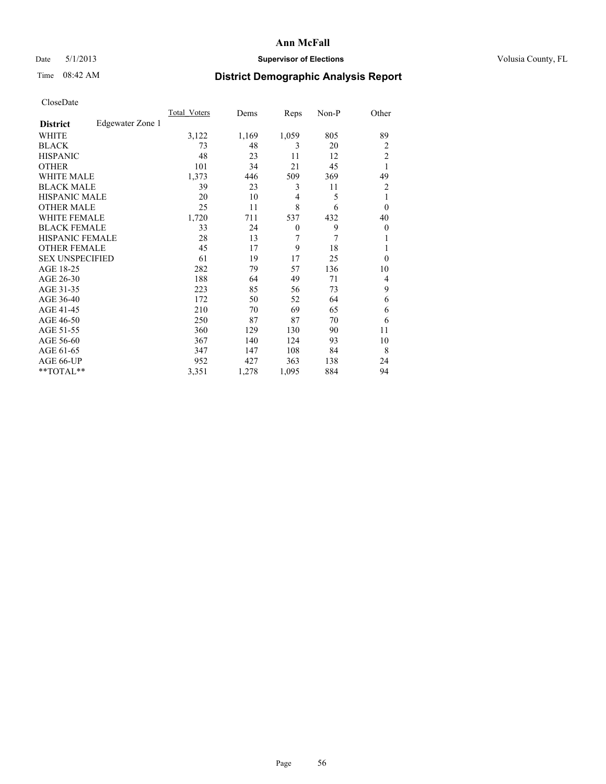# Date 5/1/2013 **Supervisor of Elections Supervisor of Elections** Volusia County, FL

# Time 08:42 AM **District Demographic Analysis Report**

|                        |                  | Total Voters | Dems  | Reps         | Non-P | Other          |
|------------------------|------------------|--------------|-------|--------------|-------|----------------|
| <b>District</b>        | Edgewater Zone 1 |              |       |              |       |                |
| WHITE                  |                  | 3,122        | 1,169 | 1,059        | 805   | 89             |
| <b>BLACK</b>           |                  | 73           | 48    | 3            | 20    | $\overline{2}$ |
| <b>HISPANIC</b>        |                  | 48           | 23    | 11           | 12    | $\overline{c}$ |
| <b>OTHER</b>           |                  | 101          | 34    | 21           | 45    | 1              |
| WHITE MALE             |                  | 1,373        | 446   | 509          | 369   | 49             |
| <b>BLACK MALE</b>      |                  | 39           | 23    | 3            | 11    | 2              |
| <b>HISPANIC MALE</b>   |                  | 20           | 10    | 4            | 5     | 1              |
| <b>OTHER MALE</b>      |                  | 25           | 11    | 8            | 6     | $\theta$       |
| <b>WHITE FEMALE</b>    |                  | 1,720        | 711   | 537          | 432   | 40             |
| <b>BLACK FEMALE</b>    |                  | 33           | 24    | $\mathbf{0}$ | 9     | $\overline{0}$ |
| <b>HISPANIC FEMALE</b> |                  | 28           | 13    | 7            | 7     | 1              |
| <b>OTHER FEMALE</b>    |                  | 45           | 17    | 9            | 18    | 1              |
| <b>SEX UNSPECIFIED</b> |                  | 61           | 19    | 17           | 25    | $\theta$       |
| AGE 18-25              |                  | 282          | 79    | 57           | 136   | 10             |
| AGE 26-30              |                  | 188          | 64    | 49           | 71    | 4              |
| AGE 31-35              |                  | 223          | 85    | 56           | 73    | 9              |
| AGE 36-40              |                  | 172          | 50    | 52           | 64    | 6              |
| AGE 41-45              |                  | 210          | 70    | 69           | 65    | 6              |
| AGE 46-50              |                  | 250          | 87    | 87           | 70    | 6              |
| AGE 51-55              |                  | 360          | 129   | 130          | 90    | 11             |
| AGE 56-60              |                  | 367          | 140   | 124          | 93    | 10             |
| AGE 61-65              |                  | 347          | 147   | 108          | 84    | 8              |
| AGE 66-UP              |                  | 952          | 427   | 363          | 138   | 24             |
| **TOTAL**              |                  | 3,351        | 1,278 | 1,095        | 884   | 94             |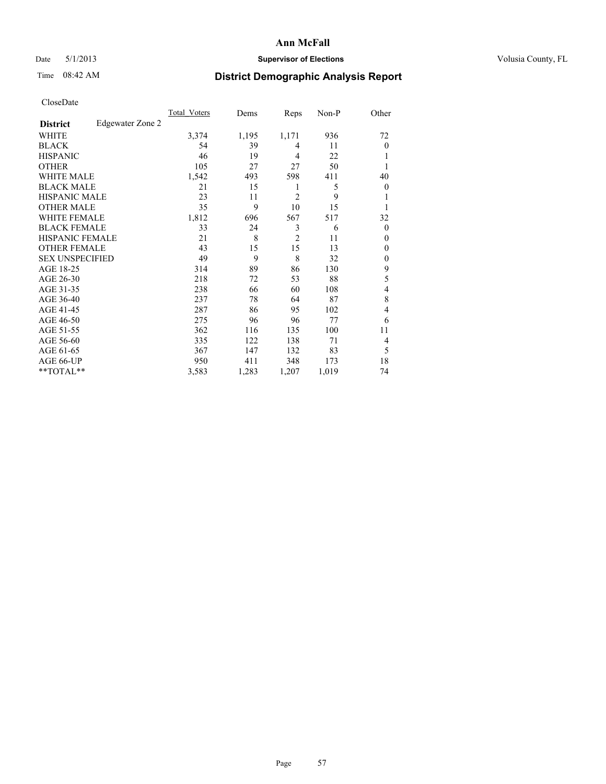## Date 5/1/2013 **Supervisor of Elections Supervisor of Elections** Volusia County, FL

# Time 08:42 AM **District Demographic Analysis Report**

| Cioscivate             |                  |                     |       |                |       |                |
|------------------------|------------------|---------------------|-------|----------------|-------|----------------|
|                        |                  | <b>Total Voters</b> | Dems  | Reps           | Non-P | Other          |
| <b>District</b>        | Edgewater Zone 2 |                     |       |                |       |                |
| <b>WHITE</b>           |                  | 3,374               | 1,195 | 1,171          | 936   | 72             |
| <b>BLACK</b>           |                  | 54                  | 39    | 4              | 11    | $\overline{0}$ |
| <b>HISPANIC</b>        |                  | 46                  | 19    | 4              | 22    |                |
| <b>OTHER</b>           |                  | 105                 | 27    | 27             | 50    |                |
| WHITE MALE             |                  | 1,542               | 493   | 598            | 411   | 40             |
| <b>BLACK MALE</b>      |                  | 21                  | 15    | 1              | 5     | $\overline{0}$ |
| <b>HISPANIC MALE</b>   |                  | 23                  | 11    | 2              | 9     |                |
| <b>OTHER MALE</b>      |                  | 35                  | 9     | 10             | 15    |                |
| WHITE FEMALE           |                  | 1,812               | 696   | 567            | 517   | 32             |
| <b>BLACK FEMALE</b>    |                  | 33                  | 24    | 3              | 6     | $\overline{0}$ |
| <b>HISPANIC FEMALE</b> |                  | 21                  | 8     | $\overline{2}$ | 11    | $\Omega$       |
| <b>OTHER FEMALE</b>    |                  | 43                  | 15    | 15             | 13    | $\overline{0}$ |
| <b>SEX UNSPECIFIED</b> |                  | 49                  | 9     | 8              | 32    | $\Omega$       |
| AGE 18-25              |                  | 314                 | 89    | 86             | 130   | 9              |
| AGE 26-30              |                  | 218                 | 72    | 53             | 88    | 5              |
| AGE 31-35              |                  | 238                 | 66    | 60             | 108   | $\overline{4}$ |
| AGE 36-40              |                  | 237                 | 78    | 64             | 87    | 8              |
| AGE 41-45              |                  | 287                 | 86    | 95             | 102   | 4              |
| AGE 46-50              |                  | 275                 | 96    | 96             | 77    | 6              |
| AGE 51-55              |                  | 362                 | 116   | 135            | 100   | 11             |
| AGE 56-60              |                  | 335                 | 122   | 138            | 71    | $\overline{4}$ |
| AGE 61-65              |                  | 367                 | 147   | 132            | 83    | 5              |
| AGE 66-UP              |                  | 950                 | 411   | 348            | 173   | 18             |
| **TOTAL**              |                  | 3,583               | 1,283 | 1,207          | 1,019 | 74             |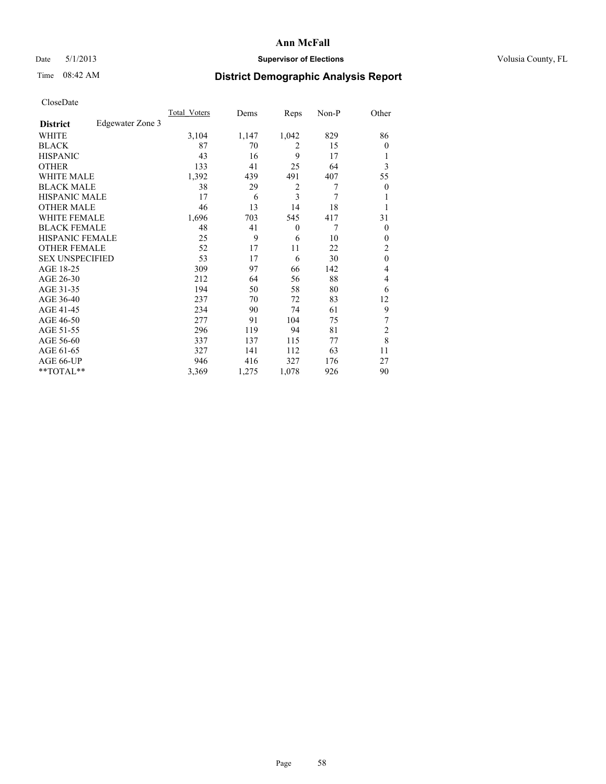# Date 5/1/2013 **Supervisor of Elections Supervisor of Elections** Volusia County, FL

# Time 08:42 AM **District Demographic Analysis Report**

| <b>Total Voters</b> | Dems  | Reps             | $Non-P$ | Other          |
|---------------------|-------|------------------|---------|----------------|
|                     |       |                  |         |                |
| 3,104               | 1,147 | 1,042            | 829     | 86             |
| 87                  | 70    | 2                | 15      | $\theta$       |
| 43                  | 16    | 9                | 17      | 1              |
| 133                 | 41    | 25               | 64      | 3              |
| 1,392               | 439   | 491              | 407     | 55             |
| 38                  | 29    | $\overline{c}$   | 7       | $\theta$       |
| 17                  | 6     | 3                | 7       | 1              |
| 46                  | 13    | 14               | 18      | 1              |
| 1,696               | 703   | 545              | 417     | 31             |
| 48                  | 41    | $\boldsymbol{0}$ | 7       | $\Omega$       |
| 25                  | 9     | 6                | 10      | $\theta$       |
| 52                  | 17    | 11               | 22      | $\overline{c}$ |
| 53                  | 17    | 6                | 30      | $\theta$       |
| 309                 | 97    | 66               | 142     | 4              |
| 212                 | 64    | 56               | 88      | 4              |
| 194                 | 50    | 58               | 80      | 6              |
| 237                 | 70    | 72               | 83      | 12             |
| 234                 | 90    | 74               | 61      | 9              |
| 277                 | 91    | 104              | 75      | 7              |
| 296                 | 119   | 94               | 81      | $\overline{2}$ |
| 337                 | 137   | 115              | 77      | 8              |
| 327                 | 141   | 112              | 63      | 11             |
| 946                 | 416   | 327              | 176     | 27             |
| 3,369               | 1,275 | 1,078            | 926     | 90             |
|                     |       |                  |         |                |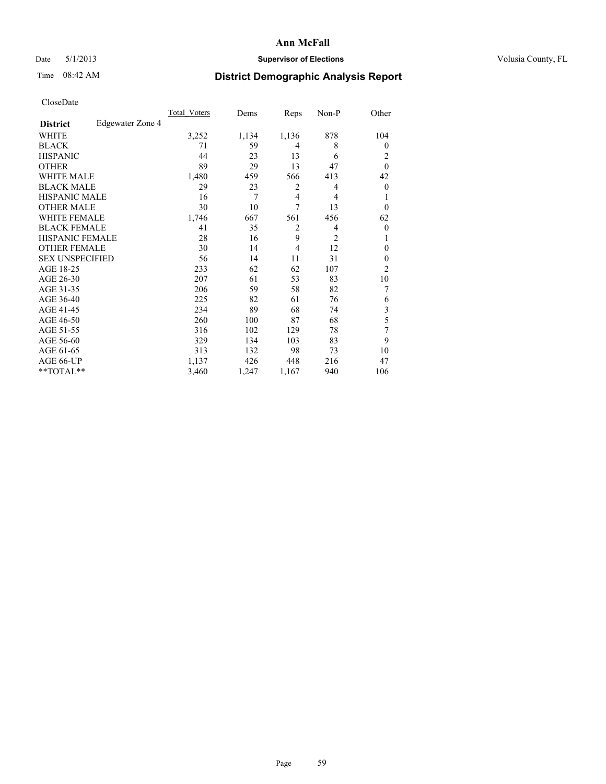# Date 5/1/2013 **Supervisor of Elections Supervisor of Elections** Volusia County, FL

# Time 08:42 AM **District Demographic Analysis Report**

|                        |                  | <b>Total Voters</b> | Dems  | Reps           | Non-P          | Other          |
|------------------------|------------------|---------------------|-------|----------------|----------------|----------------|
| <b>District</b>        | Edgewater Zone 4 |                     |       |                |                |                |
| WHITE                  |                  | 3,252               | 1,134 | 1,136          | 878            | 104            |
| <b>BLACK</b>           |                  | 71                  | 59    | 4              | 8              | $\theta$       |
| <b>HISPANIC</b>        |                  | 44                  | 23    | 13             | 6              | 2              |
| <b>OTHER</b>           |                  | 89                  | 29    | 13             | 47             | $\theta$       |
| WHITE MALE             |                  | 1,480               | 459   | 566            | 413            | 42             |
| <b>BLACK MALE</b>      |                  | 29                  | 23    | 2              | 4              | $\overline{0}$ |
| <b>HISPANIC MALE</b>   |                  | 16                  | 7     | 4              | 4              | 1              |
| <b>OTHER MALE</b>      |                  | 30                  | 10    | 7              | 13             | $\theta$       |
| <b>WHITE FEMALE</b>    |                  | 1,746               | 667   | 561            | 456            | 62             |
| <b>BLACK FEMALE</b>    |                  | 41                  | 35    | $\overline{c}$ | 4              | $\overline{0}$ |
| <b>HISPANIC FEMALE</b> |                  | 28                  | 16    | 9              | $\overline{2}$ | 1              |
| <b>OTHER FEMALE</b>    |                  | 30                  | 14    | 4              | 12             | $\theta$       |
| <b>SEX UNSPECIFIED</b> |                  | 56                  | 14    | 11             | 31             | $\mathbf{0}$   |
| AGE 18-25              |                  | 233                 | 62    | 62             | 107            | $\overline{2}$ |
| AGE 26-30              |                  | 207                 | 61    | 53             | 83             | 10             |
| AGE 31-35              |                  | 206                 | 59    | 58             | 82             | 7              |
| AGE 36-40              |                  | 225                 | 82    | 61             | 76             | 6              |
| AGE 41-45              |                  | 234                 | 89    | 68             | 74             | 3              |
| AGE 46-50              |                  | 260                 | 100   | 87             | 68             | 5              |
| AGE 51-55              |                  | 316                 | 102   | 129            | 78             | 7              |
| AGE 56-60              |                  | 329                 | 134   | 103            | 83             | 9              |
| AGE 61-65              |                  | 313                 | 132   | 98             | 73             | 10             |
| AGE 66-UP              |                  | 1,137               | 426   | 448            | 216            | 47             |
| **TOTAL**              |                  | 3,460               | 1,247 | 1,167          | 940            | 106            |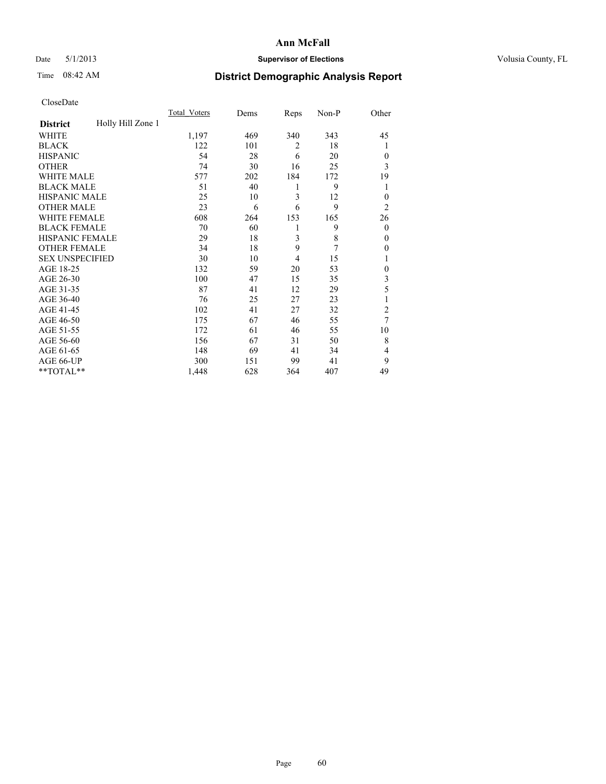# Date 5/1/2013 **Supervisor of Elections Supervisor of Elections** Volusia County, FL

# Time 08:42 AM **District Demographic Analysis Report**

|                        |                   | <b>Total Voters</b> | Dems | Reps           | Non-P | Other          |
|------------------------|-------------------|---------------------|------|----------------|-------|----------------|
| <b>District</b>        | Holly Hill Zone 1 |                     |      |                |       |                |
| WHITE                  |                   | 1,197               | 469  | 340            | 343   | 45             |
| <b>BLACK</b>           |                   | 122                 | 101  | $\overline{2}$ | 18    | 1              |
| <b>HISPANIC</b>        |                   | 54                  | 28   | 6              | 20    | $\Omega$       |
| <b>OTHER</b>           |                   | 74                  | 30   | 16             | 25    | 3              |
| WHITE MALE             |                   | 577                 | 202  | 184            | 172   | 19             |
| <b>BLACK MALE</b>      |                   | 51                  | 40   | 1              | 9     | 1              |
| <b>HISPANIC MALE</b>   |                   | 25                  | 10   | 3              | 12    | $\overline{0}$ |
| <b>OTHER MALE</b>      |                   | 23                  | 6    | 6              | 9     | $\overline{2}$ |
| WHITE FEMALE           |                   | 608                 | 264  | 153            | 165   | 26             |
| <b>BLACK FEMALE</b>    |                   | 70                  | 60   | 1              | 9     | $\overline{0}$ |
| <b>HISPANIC FEMALE</b> |                   | 29                  | 18   | 3              | 8     | $\Omega$       |
| <b>OTHER FEMALE</b>    |                   | 34                  | 18   | 9              | 7     | $\Omega$       |
| <b>SEX UNSPECIFIED</b> |                   | 30                  | 10   | 4              | 15    | 1              |
| AGE 18-25              |                   | 132                 | 59   | 20             | 53    | $\theta$       |
| AGE 26-30              |                   | 100                 | 47   | 15             | 35    | 3              |
| AGE 31-35              |                   | 87                  | 41   | 12             | 29    | 5              |
| AGE 36-40              |                   | 76                  | 25   | 27             | 23    | 1              |
| AGE 41-45              |                   | 102                 | 41   | 27             | 32    | $\overline{c}$ |
| AGE 46-50              |                   | 175                 | 67   | 46             | 55    | 7              |
| AGE 51-55              |                   | 172                 | 61   | 46             | 55    | 10             |
| AGE 56-60              |                   | 156                 | 67   | 31             | 50    | 8              |
| AGE 61-65              |                   | 148                 | 69   | 41             | 34    | 4              |
| AGE 66-UP              |                   | 300                 | 151  | 99             | 41    | 9              |
| **TOTAL**              |                   | 1,448               | 628  | 364            | 407   | 49             |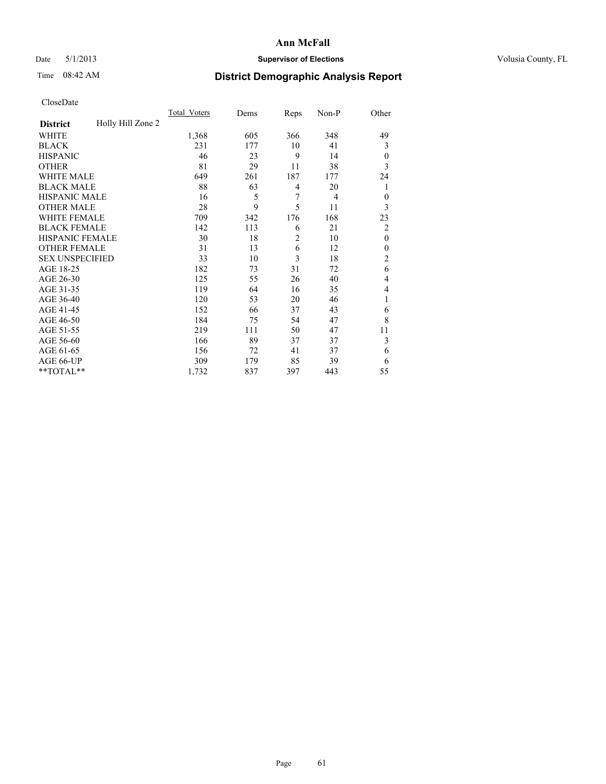# Date 5/1/2013 **Supervisor of Elections Supervisor of Elections** Volusia County, FL

# Time 08:42 AM **District Demographic Analysis Report**

|                        |                   | <b>Total Voters</b> | Dems | Reps           | Non-P          | Other          |
|------------------------|-------------------|---------------------|------|----------------|----------------|----------------|
| <b>District</b>        | Holly Hill Zone 2 |                     |      |                |                |                |
| WHITE                  |                   | 1,368               | 605  | 366            | 348            | 49             |
| <b>BLACK</b>           |                   | 231                 | 177  | 10             | 41             | 3              |
| <b>HISPANIC</b>        |                   | 46                  | 23   | 9              | 14             | $\overline{0}$ |
| <b>OTHER</b>           |                   | 81                  | 29   | 11             | 38             | 3              |
| WHITE MALE             |                   | 649                 | 261  | 187            | 177            | 24             |
| <b>BLACK MALE</b>      |                   | 88                  | 63   | 4              | 20             | 1              |
| <b>HISPANIC MALE</b>   |                   | 16                  | 5    | 7              | $\overline{4}$ | $\theta$       |
| <b>OTHER MALE</b>      |                   | 28                  | 9    | 5              | 11             | 3              |
| WHITE FEMALE           |                   | 709                 | 342  | 176            | 168            | 23             |
| <b>BLACK FEMALE</b>    |                   | 142                 | 113  | 6              | 21             | $\overline{2}$ |
| <b>HISPANIC FEMALE</b> |                   | 30                  | 18   | $\overline{2}$ | 10             | $\theta$       |
| <b>OTHER FEMALE</b>    |                   | 31                  | 13   | 6              | 12             | $\Omega$       |
| <b>SEX UNSPECIFIED</b> |                   | 33                  | 10   | 3              | 18             | $\overline{2}$ |
| AGE 18-25              |                   | 182                 | 73   | 31             | 72             | 6              |
| AGE 26-30              |                   | 125                 | 55   | 26             | 40             | 4              |
| AGE 31-35              |                   | 119                 | 64   | 16             | 35             | 4              |
| AGE 36-40              |                   | 120                 | 53   | 20             | 46             | 1              |
| AGE 41-45              |                   | 152                 | 66   | 37             | 43             | 6              |
| AGE 46-50              |                   | 184                 | 75   | 54             | 47             | 8              |
| AGE 51-55              |                   | 219                 | 111  | 50             | 47             | 11             |
| AGE 56-60              |                   | 166                 | 89   | 37             | 37             | 3              |
| AGE 61-65              |                   | 156                 | 72   | 41             | 37             | 6              |
| AGE 66-UP              |                   | 309                 | 179  | 85             | 39             | 6              |
| **TOTAL**              |                   | 1,732               | 837  | 397            | 443            | 55             |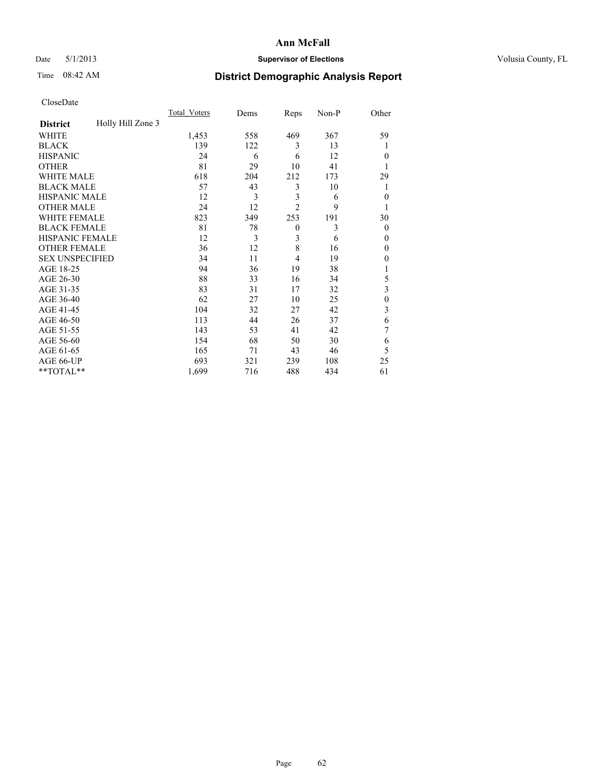# Date 5/1/2013 **Supervisor of Elections Supervisor of Elections** Volusia County, FL

# Time 08:42 AM **District Demographic Analysis Report**

|                        |                   | <b>Total Voters</b> | Dems | Reps           | Non-P | Other          |
|------------------------|-------------------|---------------------|------|----------------|-------|----------------|
| <b>District</b>        | Holly Hill Zone 3 |                     |      |                |       |                |
| WHITE                  |                   | 1,453               | 558  | 469            | 367   | 59             |
| <b>BLACK</b>           |                   | 139                 | 122  | 3              | 13    | 1              |
| <b>HISPANIC</b>        |                   | 24                  | 6    | 6              | 12    | $\Omega$       |
| <b>OTHER</b>           |                   | 81                  | 29   | 10             | 41    |                |
| WHITE MALE             |                   | 618                 | 204  | 212            | 173   | 29             |
| <b>BLACK MALE</b>      |                   | 57                  | 43   | 3              | 10    | 1              |
| <b>HISPANIC MALE</b>   |                   | 12                  | 3    | 3              | 6     | $\overline{0}$ |
| <b>OTHER MALE</b>      |                   | 24                  | 12   | $\overline{2}$ | 9     | 1              |
| WHITE FEMALE           |                   | 823                 | 349  | 253            | 191   | 30             |
| <b>BLACK FEMALE</b>    |                   | 81                  | 78   | $\mathbf{0}$   | 3     | $\overline{0}$ |
| <b>HISPANIC FEMALE</b> |                   | 12                  | 3    | 3              | 6     | $\Omega$       |
| <b>OTHER FEMALE</b>    |                   | 36                  | 12   | 8              | 16    | $\Omega$       |
| <b>SEX UNSPECIFIED</b> |                   | 34                  | 11   | 4              | 19    | $\Omega$       |
| AGE 18-25              |                   | 94                  | 36   | 19             | 38    |                |
| AGE 26-30              |                   | 88                  | 33   | 16             | 34    | 5              |
| AGE 31-35              |                   | 83                  | 31   | 17             | 32    | 3              |
| AGE 36-40              |                   | 62                  | 27   | 10             | 25    | $\theta$       |
| AGE 41-45              |                   | 104                 | 32   | 27             | 42    | 3              |
| AGE 46-50              |                   | 113                 | 44   | 26             | 37    | 6              |
| AGE 51-55              |                   | 143                 | 53   | 41             | 42    | 7              |
| AGE 56-60              |                   | 154                 | 68   | 50             | 30    | 6              |
| AGE 61-65              |                   | 165                 | 71   | 43             | 46    | 5              |
| AGE 66-UP              |                   | 693                 | 321  | 239            | 108   | 25             |
| **TOTAL**              |                   | 1,699               | 716  | 488            | 434   | 61             |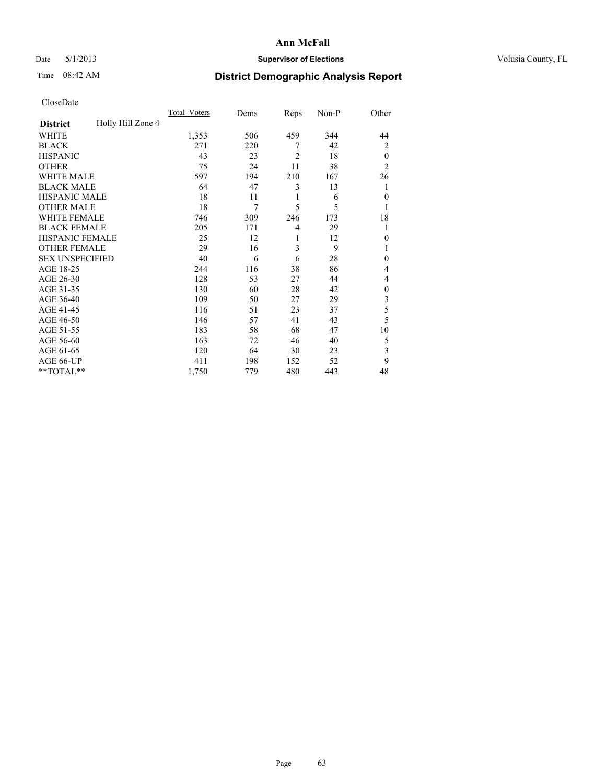# Date 5/1/2013 **Supervisor of Elections Supervisor of Elections** Volusia County, FL

# Time 08:42 AM **District Demographic Analysis Report**

|                        |                   | <b>Total Voters</b> | Dems | Reps           | Non-P | Other          |
|------------------------|-------------------|---------------------|------|----------------|-------|----------------|
| <b>District</b>        | Holly Hill Zone 4 |                     |      |                |       |                |
| WHITE                  |                   | 1,353               | 506  | 459            | 344   | 44             |
| <b>BLACK</b>           |                   | 271                 | 220  | 7              | 42    | $\overline{2}$ |
| <b>HISPANIC</b>        |                   | 43                  | 23   | $\overline{2}$ | 18    | $\theta$       |
| <b>OTHER</b>           |                   | 75                  | 24   | 11             | 38    | $\overline{2}$ |
| WHITE MALE             |                   | 597                 | 194  | 210            | 167   | 26             |
| <b>BLACK MALE</b>      |                   | 64                  | 47   | 3              | 13    | 1              |
| <b>HISPANIC MALE</b>   |                   | 18                  | 11   | 1              | 6     | $\overline{0}$ |
| <b>OTHER MALE</b>      |                   | 18                  | 7    | 5              | 5     | 1              |
| WHITE FEMALE           |                   | 746                 | 309  | 246            | 173   | 18             |
| <b>BLACK FEMALE</b>    |                   | 205                 | 171  | $\overline{4}$ | 29    | 1              |
| <b>HISPANIC FEMALE</b> |                   | 25                  | 12   | 1              | 12    | $\Omega$       |
| <b>OTHER FEMALE</b>    |                   | 29                  | 16   | 3              | 9     |                |
| <b>SEX UNSPECIFIED</b> |                   | 40                  | 6    | 6              | 28    | $\mathbf{0}$   |
| AGE 18-25              |                   | 244                 | 116  | 38             | 86    | 4              |
| AGE 26-30              |                   | 128                 | 53   | 27             | 44    | 4              |
| AGE 31-35              |                   | 130                 | 60   | 28             | 42    | $\theta$       |
| AGE 36-40              |                   | 109                 | 50   | 27             | 29    | 3              |
| AGE 41-45              |                   | 116                 | 51   | 23             | 37    | 5              |
| AGE 46-50              |                   | 146                 | 57   | 41             | 43    | 5              |
| AGE 51-55              |                   | 183                 | 58   | 68             | 47    | 10             |
| AGE 56-60              |                   | 163                 | 72   | 46             | 40    | 5              |
| AGE 61-65              |                   | 120                 | 64   | 30             | 23    | 3              |
| AGE 66-UP              |                   | 411                 | 198  | 152            | 52    | 9              |
| **TOTAL**              |                   | 1,750               | 779  | 480            | 443   | 48             |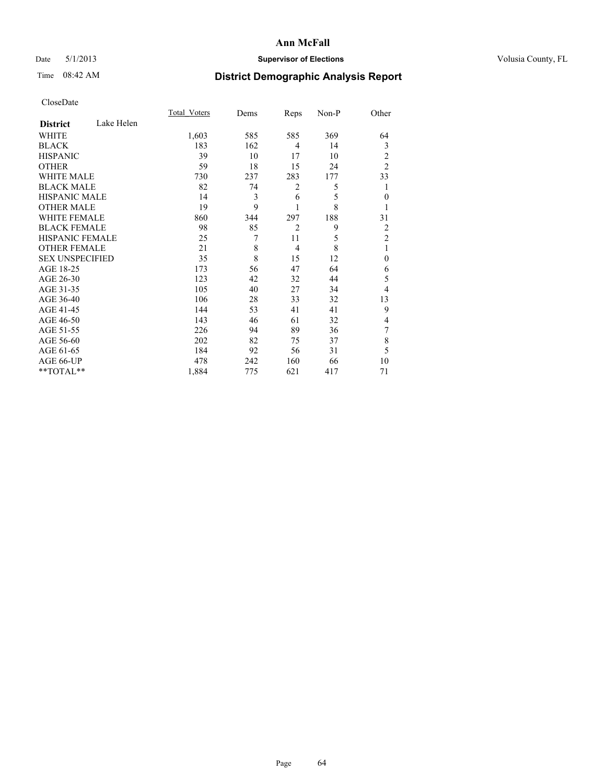# Date 5/1/2013 **Supervisor of Elections Supervisor of Elections** Volusia County, FL

# Time 08:42 AM **District Demographic Analysis Report**

|                        |            | Total Voters | Dems | Reps           | Non-P | Other          |
|------------------------|------------|--------------|------|----------------|-------|----------------|
| <b>District</b>        | Lake Helen |              |      |                |       |                |
| <b>WHITE</b>           |            | 1,603        | 585  | 585            | 369   | 64             |
| <b>BLACK</b>           |            | 183          | 162  | 4              | 14    | 3              |
| <b>HISPANIC</b>        |            | 39           | 10   | 17             | 10    | 2              |
| <b>OTHER</b>           |            | 59           | 18   | 15             | 24    | $\overline{2}$ |
| <b>WHITE MALE</b>      |            | 730          | 237  | 283            | 177   | 33             |
| <b>BLACK MALE</b>      |            | 82           | 74   | 2              | 5     | 1              |
| <b>HISPANIC MALE</b>   |            | 14           | 3    | 6              | 5     | $\theta$       |
| <b>OTHER MALE</b>      |            | 19           | 9    | 1              | 8     |                |
| <b>WHITE FEMALE</b>    |            | 860          | 344  | 297            | 188   | 31             |
| <b>BLACK FEMALE</b>    |            | 98           | 85   | $\overline{2}$ | 9     | $\overline{2}$ |
| HISPANIC FEMALE        |            | 25           | 7    | 11             | 5     | $\overline{2}$ |
| <b>OTHER FEMALE</b>    |            | 21           | 8    | $\overline{4}$ | 8     | 1              |
| <b>SEX UNSPECIFIED</b> |            | 35           | 8    | 15             | 12    | $\theta$       |
| AGE 18-25              |            | 173          | 56   | 47             | 64    | 6              |
| AGE 26-30              |            | 123          | 42   | 32             | 44    | 5              |
| AGE 31-35              |            | 105          | 40   | 27             | 34    | 4              |
| AGE 36-40              |            | 106          | 28   | 33             | 32    | 13             |
| AGE 41-45              |            | 144          | 53   | 41             | 41    | 9              |
| AGE 46-50              |            | 143          | 46   | 61             | 32    | 4              |
| AGE 51-55              |            | 226          | 94   | 89             | 36    | 7              |
| AGE 56-60              |            | 202          | 82   | 75             | 37    | 8              |
| AGE 61-65              |            | 184          | 92   | 56             | 31    | 5              |
| AGE 66-UP              |            | 478          | 242  | 160            | 66    | 10             |
| **TOTAL**              |            | 1,884        | 775  | 621            | 417   | 71             |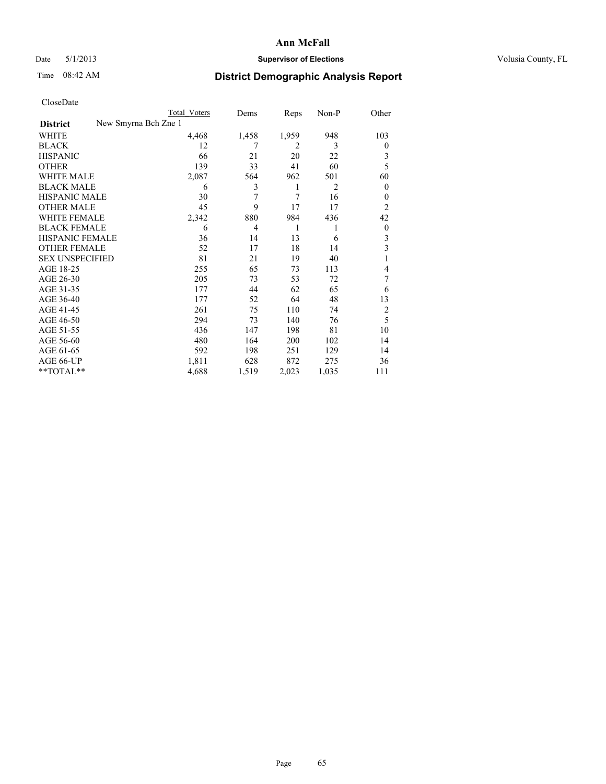# Date 5/1/2013 **Supervisor of Elections Supervisor of Elections** Volusia County, FL

# Time 08:42 AM **District Demographic Analysis Report**

|                        | <b>Total Voters</b>  | Dems           | Reps           | Non-P          | Other          |
|------------------------|----------------------|----------------|----------------|----------------|----------------|
| <b>District</b>        | New Smyrna Bch Zne 1 |                |                |                |                |
| WHITE                  | 4,468                | 1,458          | 1,959          | 948            | 103            |
| <b>BLACK</b>           | 12                   | 7              | $\overline{2}$ | 3              | $\overline{0}$ |
| <b>HISPANIC</b>        | 66                   | 21             | 20             | 22             | 3              |
| <b>OTHER</b>           | 139                  | 33             | 41             | 60             | 5              |
| WHITE MALE             | 2,087                | 564            | 962            | 501            | 60             |
| <b>BLACK MALE</b>      | 6                    | 3              | 1              | $\overline{2}$ | $\overline{0}$ |
| <b>HISPANIC MALE</b>   | 30                   | 7              | 7              | 16             | 0              |
| <b>OTHER MALE</b>      | 45                   | 9              | 17             | 17             | $\overline{2}$ |
| <b>WHITE FEMALE</b>    | 2,342                | 880            | 984            | 436            | 42             |
| <b>BLACK FEMALE</b>    | 6                    | $\overline{4}$ | 1              | 1              | $\overline{0}$ |
| <b>HISPANIC FEMALE</b> | 36                   | 14             | 13             | 6              | 3              |
| <b>OTHER FEMALE</b>    | 52                   | 17             | 18             | 14             | 3              |
| <b>SEX UNSPECIFIED</b> | 81                   | 21             | 19             | 40             | 1              |
| AGE 18-25              | 255                  | 65             | 73             | 113            | 4              |
| AGE 26-30              | 205                  | 73             | 53             | 72             | 7              |
| AGE 31-35              | 177                  | 44             | 62             | 65             | 6              |
| AGE 36-40              | 177                  | 52             | 64             | 48             | 13             |
| AGE 41-45              | 261                  | 75             | 110            | 74             | $\overline{2}$ |
| AGE 46-50              | 294                  | 73             | 140            | 76             | 5              |
| AGE 51-55              | 436                  | 147            | 198            | 81             | 10             |
| AGE 56-60              | 480                  | 164            | 200            | 102            | 14             |
| AGE 61-65              | 592                  | 198            | 251            | 129            | 14             |
| AGE 66-UP              | 1,811                | 628            | 872            | 275            | 36             |
| **TOTAL**              | 4,688                | 1,519          | 2,023          | 1,035          | 111            |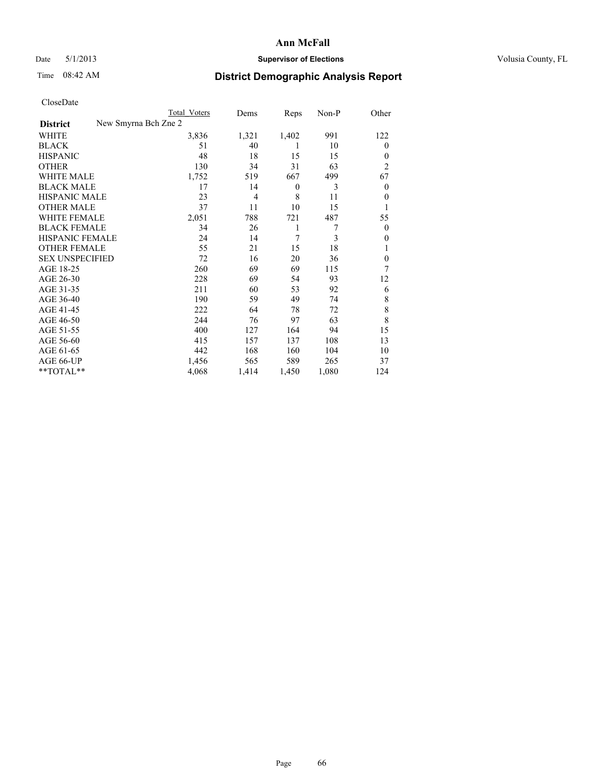# Date 5/1/2013 **Supervisor of Elections Supervisor of Elections** Volusia County, FL

# Time 08:42 AM **District Demographic Analysis Report**

|                                         | Total Voters | Dems           | Reps             | Non-P | Other          |
|-----------------------------------------|--------------|----------------|------------------|-------|----------------|
| New Smyrna Bch Zne 2<br><b>District</b> |              |                |                  |       |                |
| WHITE                                   | 3,836        | 1,321          | 1,402            | 991   | 122            |
| <b>BLACK</b>                            | 51           | 40             | 1                | 10    | $\mathbf{0}$   |
| <b>HISPANIC</b>                         | 48           | 18             | 15               | 15    | $\theta$       |
| <b>OTHER</b>                            | 130          | 34             | 31               | 63    | $\overline{2}$ |
| <b>WHITE MALE</b>                       | 1,752        | 519            | 667              | 499   | 67             |
| <b>BLACK MALE</b>                       | 17           | 14             | $\boldsymbol{0}$ | 3     | $\overline{0}$ |
| <b>HISPANIC MALE</b>                    | 23           | $\overline{4}$ | 8                | 11    | $\theta$       |
| <b>OTHER MALE</b>                       | 37           | 11             | 10               | 15    | 1              |
| <b>WHITE FEMALE</b>                     | 2,051        | 788            | 721              | 487   | 55             |
| <b>BLACK FEMALE</b>                     | 34           | 26             | 1                | 7     | $\overline{0}$ |
| HISPANIC FEMALE                         | 24           | 14             | $\overline{7}$   | 3     | $\Omega$       |
| <b>OTHER FEMALE</b>                     | 55           | 21             | 15               | 18    |                |
| <b>SEX UNSPECIFIED</b>                  | 72           | 16             | 20               | 36    | $\theta$       |
| AGE 18-25                               | 260          | 69             | 69               | 115   | 7              |
| AGE 26-30                               | 228          | 69             | 54               | 93    | 12             |
| AGE 31-35                               | 211          | 60             | 53               | 92    | 6              |
| AGE 36-40                               | 190          | 59             | 49               | 74    | 8              |
| AGE 41-45                               | 222          | 64             | 78               | 72    | 8              |
| AGE 46-50                               | 244          | 76             | 97               | 63    | 8              |
| AGE 51-55                               | 400          | 127            | 164              | 94    | 15             |
| AGE 56-60                               | 415          | 157            | 137              | 108   | 13             |
| AGE 61-65                               | 442          | 168            | 160              | 104   | 10             |
| AGE 66-UP                               | 1,456        | 565            | 589              | 265   | 37             |
| **TOTAL**                               | 4,068        | 1,414          | 1,450            | 1,080 | 124            |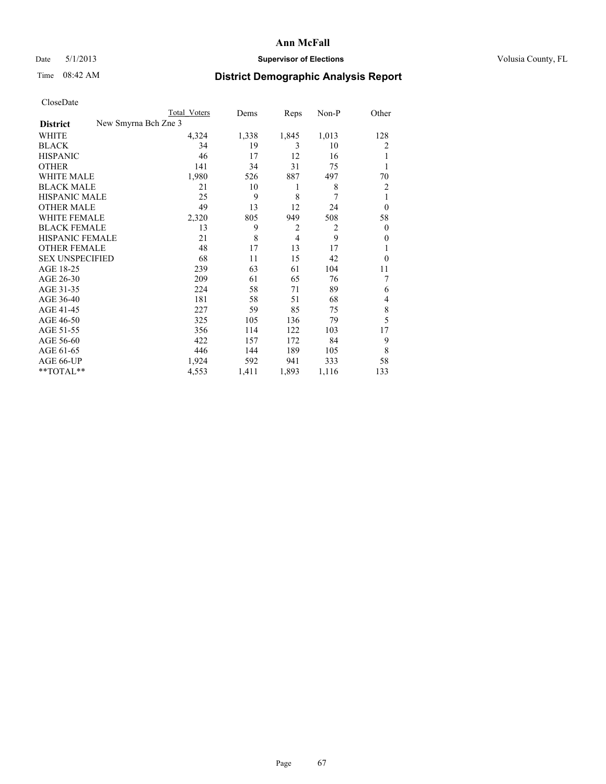# Date 5/1/2013 **Supervisor of Elections Supervisor of Elections** Volusia County, FL

# Time 08:42 AM **District Demographic Analysis Report**

|                                         | <b>Total Voters</b> | Dems  | Reps           | Non-P          | Other          |
|-----------------------------------------|---------------------|-------|----------------|----------------|----------------|
| New Smyrna Bch Zne 3<br><b>District</b> |                     |       |                |                |                |
| WHITE                                   | 4,324               | 1,338 | 1,845          | 1,013          | 128            |
| <b>BLACK</b>                            | 34                  | 19    | 3              | 10             | 2              |
| <b>HISPANIC</b>                         | 46                  | 17    | 12             | 16             |                |
| <b>OTHER</b>                            | 141                 | 34    | 31             | 75             |                |
| WHITE MALE                              | 1,980               | 526   | 887            | 497            | 70             |
| <b>BLACK MALE</b>                       | 21                  | 10    | 1              | 8              | $\overline{2}$ |
| <b>HISPANIC MALE</b>                    | 25                  | 9     | 8              | 7              | 1              |
| <b>OTHER MALE</b>                       | 49                  | 13    | 12             | 24             | $\overline{0}$ |
| <b>WHITE FEMALE</b>                     | 2,320               | 805   | 949            | 508            | 58             |
| <b>BLACK FEMALE</b>                     | 13                  | 9     | $\overline{2}$ | $\overline{2}$ | $\overline{0}$ |
| <b>HISPANIC FEMALE</b>                  | 21                  | 8     | $\overline{4}$ | 9              | $\Omega$       |
| <b>OTHER FEMALE</b>                     | 48                  | 17    | 13             | 17             |                |
| <b>SEX UNSPECIFIED</b>                  | 68                  | 11    | 15             | 42             | $\theta$       |
| AGE 18-25                               | 239                 | 63    | 61             | 104            | 11             |
| AGE 26-30                               | 209                 | 61    | 65             | 76             | 7              |
| AGE 31-35                               | 224                 | 58    | 71             | 89             | 6              |
| AGE 36-40                               | 181                 | 58    | 51             | 68             | 4              |
| AGE 41-45                               | 227                 | 59    | 85             | 75             | 8              |
| AGE 46-50                               | 325                 | 105   | 136            | 79             | 5              |
| AGE 51-55                               | 356                 | 114   | 122            | 103            | 17             |
| AGE 56-60                               | 422                 | 157   | 172            | 84             | 9              |
| AGE 61-65                               | 446                 | 144   | 189            | 105            | 8              |
| AGE 66-UP                               | 1,924               | 592   | 941            | 333            | 58             |
| **TOTAL**                               | 4,553               | 1,411 | 1,893          | 1,116          | 133            |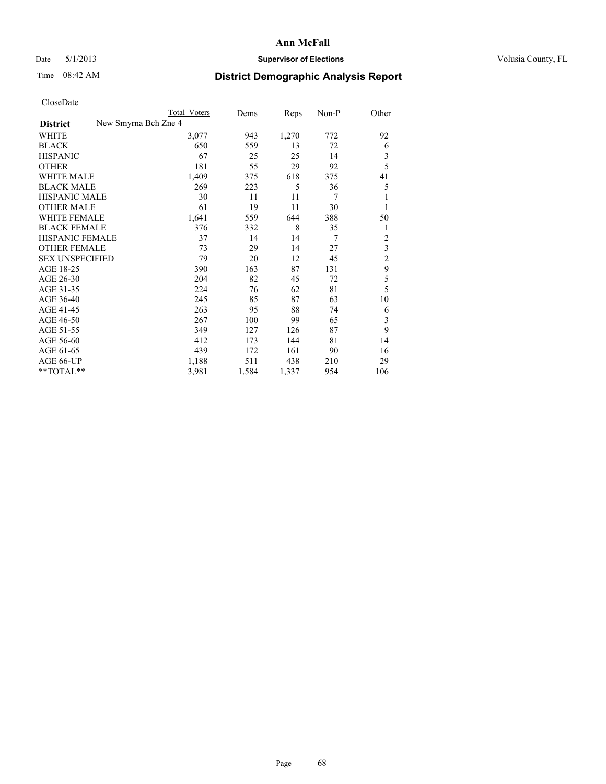## Date 5/1/2013 **Supervisor of Elections Supervisor of Elections** Volusia County, FL

# Time 08:42 AM **District Demographic Analysis Report**

| UTOSUDatu              |                      |              |       |       |       |                         |
|------------------------|----------------------|--------------|-------|-------|-------|-------------------------|
|                        |                      | Total Voters | Dems  | Reps  | Non-P | Other                   |
| <b>District</b>        | New Smyrna Bch Zne 4 |              |       |       |       |                         |
| <b>WHITE</b>           |                      | 3,077        | 943   | 1,270 | 772   | 92                      |
| <b>BLACK</b>           |                      | 650          | 559   | 13    | 72    | 6                       |
| <b>HISPANIC</b>        |                      | 67           | 25    | 25    | 14    | $\mathfrak{Z}$          |
| <b>OTHER</b>           |                      | 181          | 55    | 29    | 92    | 5                       |
| WHITE MALE             |                      | 1,409        | 375   | 618   | 375   | 41                      |
| <b>BLACK MALE</b>      |                      | 269          | 223   | 5     | 36    | 5                       |
| <b>HISPANIC MALE</b>   |                      | 30           | 11    | 11    | 7     | 1                       |
| <b>OTHER MALE</b>      |                      | 61           | 19    | 11    | 30    | 1                       |
| <b>WHITE FEMALE</b>    |                      | 1,641        | 559   | 644   | 388   | 50                      |
| <b>BLACK FEMALE</b>    |                      | 376          | 332   | 8     | 35    | 1                       |
| <b>HISPANIC FEMALE</b> |                      | 37           | 14    | 14    | 7     | $\overline{c}$          |
| <b>OTHER FEMALE</b>    |                      | 73           | 29    | 14    | 27    | $\overline{\mathbf{3}}$ |
| <b>SEX UNSPECIFIED</b> |                      | 79           | 20    | 12    | 45    | $\overline{c}$          |
| AGE 18-25              |                      | 390          | 163   | 87    | 131   | 9                       |
| AGE 26-30              |                      | 204          | 82    | 45    | 72    | 5                       |
| AGE 31-35              |                      | 224          | 76    | 62    | 81    | 5                       |
| AGE 36-40              |                      | 245          | 85    | 87    | 63    | 10                      |
| AGE 41-45              |                      | 263          | 95    | 88    | 74    | 6                       |
| AGE 46-50              |                      | 267          | 100   | 99    | 65    | $\mathfrak{Z}$          |
| AGE 51-55              |                      | 349          | 127   | 126   | 87    | 9                       |
| AGE 56-60              |                      | 412          | 173   | 144   | 81    | 14                      |
| AGE 61-65              |                      | 439          | 172   | 161   | 90    | 16                      |
| AGE 66-UP              |                      | 1,188        | 511   | 438   | 210   | 29                      |
| **TOTAL**              |                      | 3,981        | 1,584 | 1,337 | 954   | 106                     |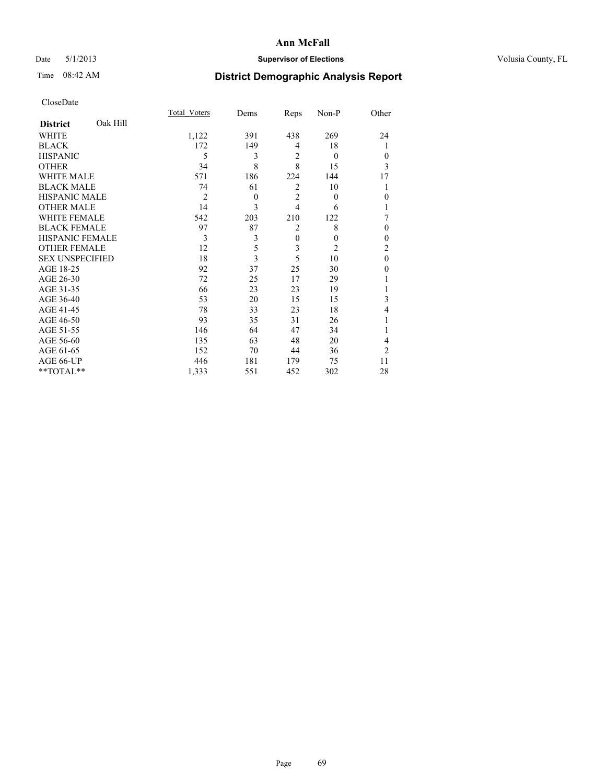# Date 5/1/2013 **Supervisor of Elections Supervisor of Elections** Volusia County, FL

# Time 08:42 AM **District Demographic Analysis Report**

|                        |          | <b>Total Voters</b> | Dems     | Reps           | Non-P          | Other          |
|------------------------|----------|---------------------|----------|----------------|----------------|----------------|
| <b>District</b>        | Oak Hill |                     |          |                |                |                |
| <b>WHITE</b>           |          | 1,122               | 391      | 438            | 269            | 24             |
| <b>BLACK</b>           |          | 172                 | 149      | 4              | 18             |                |
| <b>HISPANIC</b>        |          | 5                   | 3        | $\overline{2}$ | $\theta$       | $\theta$       |
| <b>OTHER</b>           |          | 34                  | 8        | 8              | 15             | 3              |
| <b>WHITE MALE</b>      |          | 571                 | 186      | 224            | 144            | 17             |
| <b>BLACK MALE</b>      |          | 74                  | 61       | $\overline{2}$ | 10             |                |
| <b>HISPANIC MALE</b>   |          | $\overline{2}$      | $\theta$ | $\overline{2}$ | $\overline{0}$ | $\mathbf{0}$   |
| <b>OTHER MALE</b>      |          | 14                  | 3        | $\overline{4}$ | 6              |                |
| WHITE FEMALE           |          | 542                 | 203      | 210            | 122            | 7              |
| <b>BLACK FEMALE</b>    |          | 97                  | 87       | $\overline{2}$ | 8              | $\theta$       |
| <b>HISPANIC FEMALE</b> |          | 3                   | 3        | $\mathbf{0}$   | $\theta$       | $\theta$       |
| <b>OTHER FEMALE</b>    |          | 12                  | 5        | 3              | $\overline{2}$ | $\overline{c}$ |
| <b>SEX UNSPECIFIED</b> |          | 18                  | 3        | 5              | 10             | $\mathbf{0}$   |
| AGE 18-25              |          | 92                  | 37       | 25             | 30             | $\theta$       |
| AGE 26-30              |          | 72                  | 25       | 17             | 29             |                |
| AGE 31-35              |          | 66                  | 23       | 23             | 19             |                |
| AGE 36-40              |          | 53                  | 20       | 15             | 15             | 3              |
| AGE 41-45              |          | 78                  | 33       | 23             | 18             | 4              |
| AGE 46-50              |          | 93                  | 35       | 31             | 26             | 1              |
| AGE 51-55              |          | 146                 | 64       | 47             | 34             |                |
| AGE 56-60              |          | 135                 | 63       | 48             | 20             | 4              |
| AGE 61-65              |          | 152                 | 70       | 44             | 36             | $\overline{2}$ |
| AGE 66-UP              |          | 446                 | 181      | 179            | 75             | 11             |
| **TOTAL**              |          | 1,333               | 551      | 452            | 302            | 28             |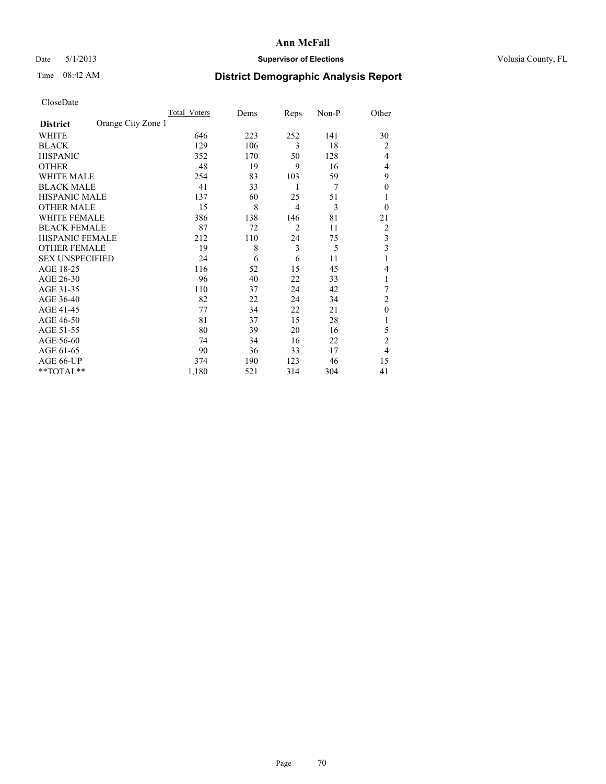# Date 5/1/2013 **Supervisor of Elections Supervisor of Elections** Volusia County, FL

# Time 08:42 AM **District Demographic Analysis Report**

|                        |                    | Total Voters | Dems | Reps           | Non-P | Other          |
|------------------------|--------------------|--------------|------|----------------|-------|----------------|
| <b>District</b>        | Orange City Zone 1 |              |      |                |       |                |
| WHITE                  |                    | 646          | 223  | 252            | 141   | 30             |
| <b>BLACK</b>           |                    | 129          | 106  | 3              | 18    | $\overline{2}$ |
| <b>HISPANIC</b>        |                    | 352          | 170  | 50             | 128   | $\overline{4}$ |
| <b>OTHER</b>           |                    | 48           | 19   | 9              | 16    | 4              |
| WHITE MALE             |                    | 254          | 83   | 103            | 59    | 9              |
| <b>BLACK MALE</b>      |                    | 41           | 33   | 1              | 7     | $\overline{0}$ |
| <b>HISPANIC MALE</b>   |                    | 137          | 60   | 25             | 51    |                |
| <b>OTHER MALE</b>      |                    | 15           | 8    | $\overline{4}$ | 3     | $\Omega$       |
| WHITE FEMALE           |                    | 386          | 138  | 146            | 81    | 21             |
| <b>BLACK FEMALE</b>    |                    | 87           | 72   | $\overline{2}$ | 11    | $\overline{2}$ |
| <b>HISPANIC FEMALE</b> |                    | 212          | 110  | 24             | 75    | 3              |
| <b>OTHER FEMALE</b>    |                    | 19           | 8    | 3              | 5     | 3              |
| <b>SEX UNSPECIFIED</b> |                    | 24           | 6    | 6              | 11    | 1              |
| AGE 18-25              |                    | 116          | 52   | 15             | 45    | 4              |
| AGE 26-30              |                    | 96           | 40   | 22             | 33    | 1              |
| AGE 31-35              |                    | 110          | 37   | 24             | 42    | 7              |
| AGE 36-40              |                    | 82           | 22   | 24             | 34    | $\overline{c}$ |
| AGE 41-45              |                    | 77           | 34   | 22             | 21    | $\theta$       |
| AGE 46-50              |                    | 81           | 37   | 15             | 28    | 1              |
| AGE 51-55              |                    | 80           | 39   | 20             | 16    | 5              |
| AGE 56-60              |                    | 74           | 34   | 16             | 22    | $\overline{c}$ |
| AGE 61-65              |                    | 90           | 36   | 33             | 17    | $\overline{4}$ |
| AGE 66-UP              |                    | 374          | 190  | 123            | 46    | 15             |
| **TOTAL**              |                    | 1,180        | 521  | 314            | 304   | 41             |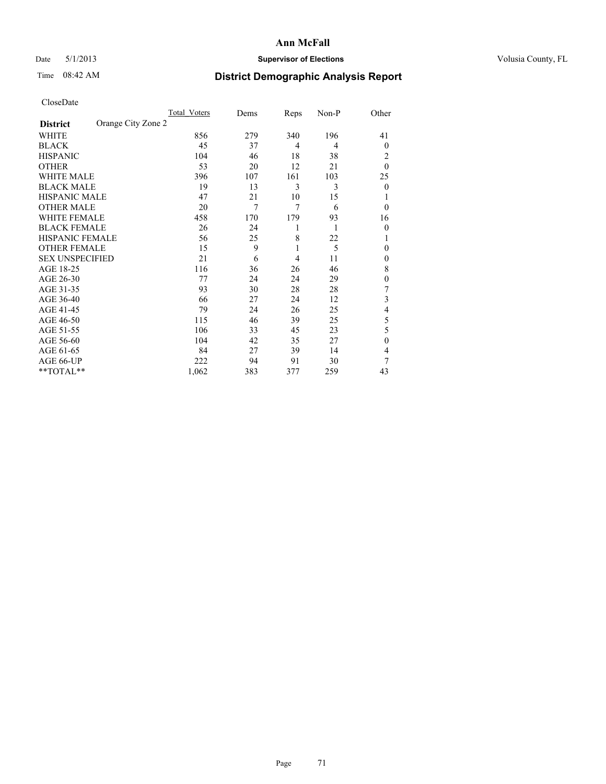# Date 5/1/2013 **Supervisor of Elections Supervisor of Elections** Volusia County, FL

# Time 08:42 AM **District Demographic Analysis Report**

|                        |                    | <b>Total Voters</b> | Dems | Reps | Non-P | Other          |
|------------------------|--------------------|---------------------|------|------|-------|----------------|
| <b>District</b>        | Orange City Zone 2 |                     |      |      |       |                |
| WHITE                  |                    | 856                 | 279  | 340  | 196   | 41             |
| <b>BLACK</b>           |                    | 45                  | 37   | 4    | 4     | $\Omega$       |
| <b>HISPANIC</b>        |                    | 104                 | 46   | 18   | 38    | 2              |
| <b>OTHER</b>           |                    | 53                  | 20   | 12   | 21    | $\theta$       |
| WHITE MALE             |                    | 396                 | 107  | 161  | 103   | 25             |
| <b>BLACK MALE</b>      |                    | 19                  | 13   | 3    | 3     | $\overline{0}$ |
| <b>HISPANIC MALE</b>   |                    | 47                  | 21   | 10   | 15    |                |
| <b>OTHER MALE</b>      |                    | 20                  | 7    | 7    | 6     | $\theta$       |
| <b>WHITE FEMALE</b>    |                    | 458                 | 170  | 179  | 93    | 16             |
| <b>BLACK FEMALE</b>    |                    | 26                  | 24   | 1    | 1     | $\theta$       |
| <b>HISPANIC FEMALE</b> |                    | 56                  | 25   | 8    | 22    | 1              |
| <b>OTHER FEMALE</b>    |                    | 15                  | 9    | 1    | 5     | $\theta$       |
| <b>SEX UNSPECIFIED</b> |                    | 21                  | 6    | 4    | 11    | $\mathbf{0}$   |
| AGE 18-25              |                    | 116                 | 36   | 26   | 46    | 8              |
| AGE 26-30              |                    | 77                  | 24   | 24   | 29    | $\mathbf{0}$   |
| AGE 31-35              |                    | 93                  | 30   | 28   | 28    | 7              |
| AGE 36-40              |                    | 66                  | 27   | 24   | 12    | 3              |
| AGE 41-45              |                    | 79                  | 24   | 26   | 25    | 4              |
| AGE 46-50              |                    | 115                 | 46   | 39   | 25    | 5              |
| AGE 51-55              |                    | 106                 | 33   | 45   | 23    | 5              |
| AGE 56-60              |                    | 104                 | 42   | 35   | 27    | $\theta$       |
| AGE 61-65              |                    | 84                  | 27   | 39   | 14    | 4              |
| AGE 66-UP              |                    | 222                 | 94   | 91   | 30    | 7              |
| **TOTAL**              |                    | 1,062               | 383  | 377  | 259   | 43             |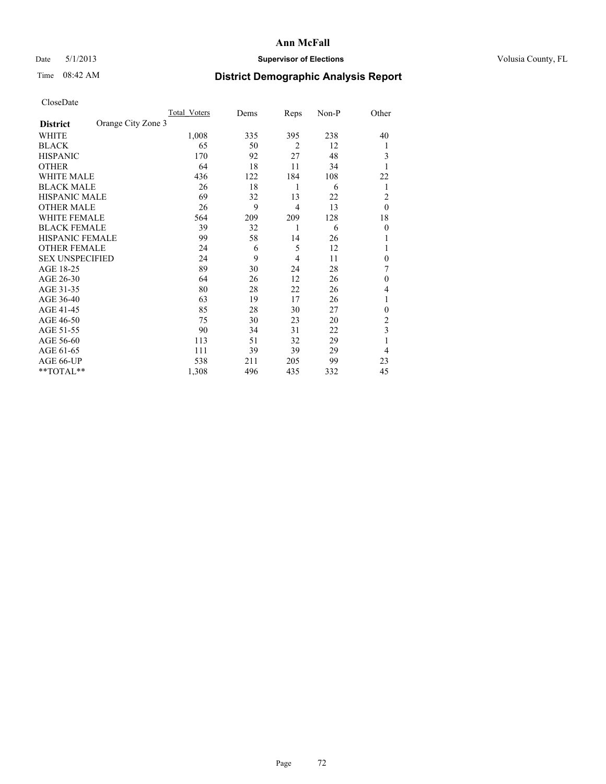# Date 5/1/2013 **Supervisor of Elections Supervisor of Elections** Volusia County, FL

# Time 08:42 AM **District Demographic Analysis Report**

|                        |                    | Total Voters | Dems | Reps           | Non-P | Other          |
|------------------------|--------------------|--------------|------|----------------|-------|----------------|
| <b>District</b>        | Orange City Zone 3 |              |      |                |       |                |
| WHITE                  |                    | 1,008        | 335  | 395            | 238   | 40             |
| <b>BLACK</b>           |                    | 65           | 50   | 2              | 12    | 1              |
| <b>HISPANIC</b>        |                    | 170          | 92   | 27             | 48    | 3              |
| <b>OTHER</b>           |                    | 64           | 18   | 11             | 34    |                |
| WHITE MALE             |                    | 436          | 122  | 184            | 108   | 22             |
| <b>BLACK MALE</b>      |                    | 26           | 18   | 1              | 6     | 1              |
| <b>HISPANIC MALE</b>   |                    | 69           | 32   | 13             | 22    | $\overline{2}$ |
| <b>OTHER MALE</b>      |                    | 26           | 9    | $\overline{4}$ | 13    | $\theta$       |
| WHITE FEMALE           |                    | 564          | 209  | 209            | 128   | 18             |
| <b>BLACK FEMALE</b>    |                    | 39           | 32   | 1              | 6     | $\overline{0}$ |
| <b>HISPANIC FEMALE</b> |                    | 99           | 58   | 14             | 26    |                |
| <b>OTHER FEMALE</b>    |                    | 24           | 6    | 5              | 12    |                |
| <b>SEX UNSPECIFIED</b> |                    | 24           | 9    | $\overline{4}$ | 11    | $\theta$       |
| AGE 18-25              |                    | 89           | 30   | 24             | 28    | 7              |
| AGE 26-30              |                    | 64           | 26   | 12             | 26    | $\mathbf{0}$   |
| AGE 31-35              |                    | 80           | 28   | 22             | 26    | 4              |
| AGE 36-40              |                    | 63           | 19   | 17             | 26    | 1              |
| AGE 41-45              |                    | 85           | 28   | 30             | 27    | $\theta$       |
| AGE 46-50              |                    | 75           | 30   | 23             | 20    | 2              |
| AGE 51-55              |                    | 90           | 34   | 31             | 22    | 3              |
| AGE 56-60              |                    | 113          | 51   | 32             | 29    |                |
| AGE 61-65              |                    | 111          | 39   | 39             | 29    | $\overline{4}$ |
| AGE 66-UP              |                    | 538          | 211  | 205            | 99    | 23             |
| $*$ TOTAL $*$          |                    | 1,308        | 496  | 435            | 332   | 45             |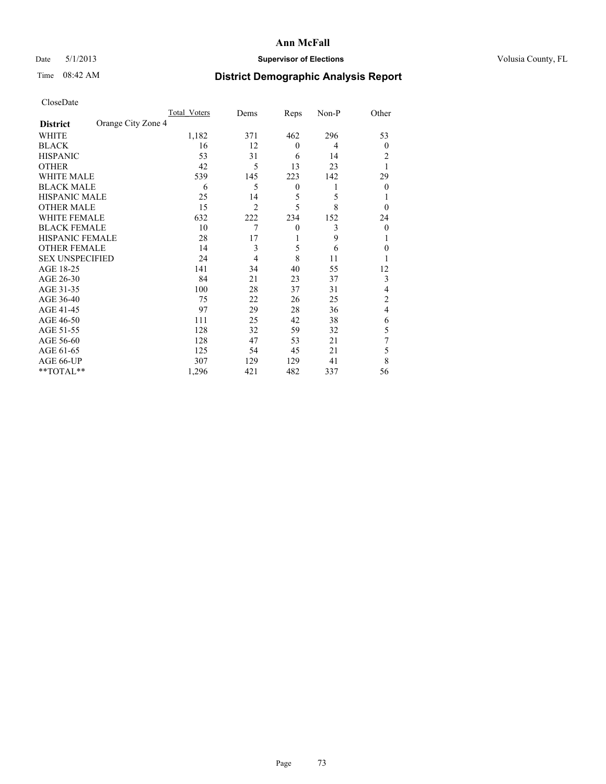# Date 5/1/2013 **Supervisor of Elections Supervisor of Elections** Volusia County, FL

# Time 08:42 AM **District Demographic Analysis Report**

|                        |                    | <b>Total Voters</b> | Dems           | Reps             | Non-P | Other          |
|------------------------|--------------------|---------------------|----------------|------------------|-------|----------------|
| <b>District</b>        | Orange City Zone 4 |                     |                |                  |       |                |
| <b>WHITE</b>           |                    | 1,182               | 371            | 462              | 296   | 53             |
| <b>BLACK</b>           |                    | 16                  | 12             | $\mathbf{0}$     | 4     | $\Omega$       |
| <b>HISPANIC</b>        |                    | 53                  | 31             | 6                | 14    | 2              |
| <b>OTHER</b>           |                    | 42                  | 5              | 13               | 23    |                |
| WHITE MALE             |                    | 539                 | 145            | 223              | 142   | 29             |
| <b>BLACK MALE</b>      |                    | 6                   | 5              | $\boldsymbol{0}$ | 1     | $\Omega$       |
| <b>HISPANIC MALE</b>   |                    | 25                  | 14             | 5                | 5     |                |
| <b>OTHER MALE</b>      |                    | 15                  | $\overline{2}$ | 5                | 8     | $\Omega$       |
| <b>WHITE FEMALE</b>    |                    | 632                 | 222            | 234              | 152   | 24             |
| <b>BLACK FEMALE</b>    |                    | 10                  | 7              | $\mathbf{0}$     | 3     | $\overline{0}$ |
| <b>HISPANIC FEMALE</b> |                    | 28                  | 17             | 1                | 9     |                |
| <b>OTHER FEMALE</b>    |                    | 14                  | 3              | 5                | 6     | $\theta$       |
| <b>SEX UNSPECIFIED</b> |                    | 24                  | 4              | 8                | 11    |                |
| AGE 18-25              |                    | 141                 | 34             | 40               | 55    | 12             |
| AGE 26-30              |                    | 84                  | 21             | 23               | 37    | 3              |
| AGE 31-35              |                    | 100                 | 28             | 37               | 31    | 4              |
| AGE 36-40              |                    | 75                  | 22             | 26               | 25    | $\overline{c}$ |
| AGE 41-45              |                    | 97                  | 29             | 28               | 36    | $\overline{4}$ |
| AGE 46-50              |                    | 111                 | 25             | 42               | 38    | 6              |
| AGE 51-55              |                    | 128                 | 32             | 59               | 32    | 5              |
| AGE 56-60              |                    | 128                 | 47             | 53               | 21    | 7              |
| AGE 61-65              |                    | 125                 | 54             | 45               | 21    | 5              |
| AGE 66-UP              |                    | 307                 | 129            | 129              | 41    | 8              |
| **TOTAL**              |                    | 1,296               | 421            | 482              | 337   | 56             |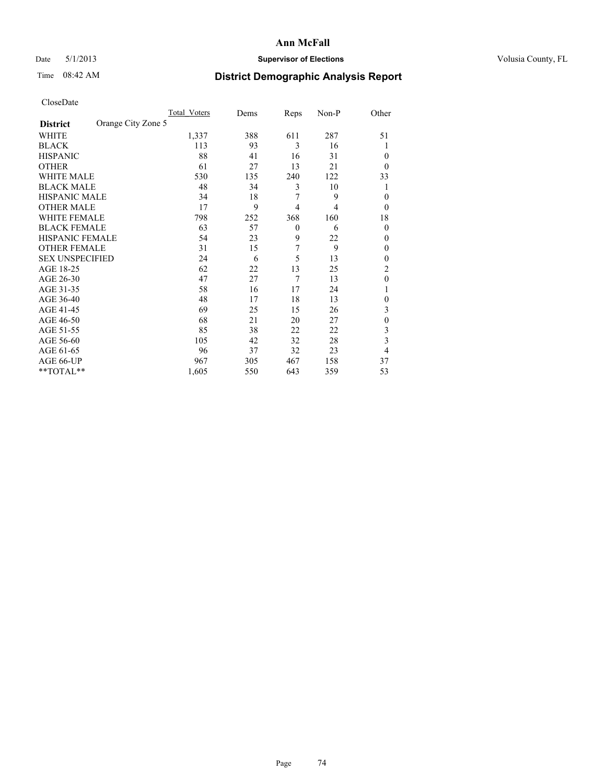# Date 5/1/2013 **Supervisor of Elections Supervisor of Elections** Volusia County, FL

# Time 08:42 AM **District Demographic Analysis Report**

|                        |                    | <b>Total Voters</b> | Dems | Reps           | Non-P | Other        |
|------------------------|--------------------|---------------------|------|----------------|-------|--------------|
| <b>District</b>        | Orange City Zone 5 |                     |      |                |       |              |
| WHITE                  |                    | 1,337               | 388  | 611            | 287   | 51           |
| <b>BLACK</b>           |                    | 113                 | 93   | 3              | 16    |              |
| <b>HISPANIC</b>        |                    | 88                  | 41   | 16             | 31    | $\theta$     |
| <b>OTHER</b>           |                    | 61                  | 27   | 13             | 21    | $\theta$     |
| WHITE MALE             |                    | 530                 | 135  | 240            | 122   | 33           |
| <b>BLACK MALE</b>      |                    | 48                  | 34   | 3              | 10    |              |
| <b>HISPANIC MALE</b>   |                    | 34                  | 18   | 7              | 9     | $\theta$     |
| <b>OTHER MALE</b>      |                    | 17                  | 9    | $\overline{4}$ | 4     | $\theta$     |
| <b>WHITE FEMALE</b>    |                    | 798                 | 252  | 368            | 160   | 18           |
| <b>BLACK FEMALE</b>    |                    | 63                  | 57   | $\theta$       | 6     | $\theta$     |
| <b>HISPANIC FEMALE</b> |                    | 54                  | 23   | 9              | 22    | $\theta$     |
| <b>OTHER FEMALE</b>    |                    | 31                  | 15   | 7              | 9     | $\theta$     |
| <b>SEX UNSPECIFIED</b> |                    | 24                  | 6    | 5              | 13    | $\mathbf{0}$ |
| AGE 18-25              |                    | 62                  | 22   | 13             | 25    | 2            |
| AGE 26-30              |                    | 47                  | 27   | 7              | 13    | $\mathbf{0}$ |
| AGE 31-35              |                    | 58                  | 16   | 17             | 24    |              |
| AGE 36-40              |                    | 48                  | 17   | 18             | 13    | 0            |
| AGE 41-45              |                    | 69                  | 25   | 15             | 26    | 3            |
| AGE 46-50              |                    | 68                  | 21   | 20             | 27    | $\mathbf{0}$ |
| AGE 51-55              |                    | 85                  | 38   | 22             | 22    | 3            |
| AGE 56-60              |                    | 105                 | 42   | 32             | 28    | 3            |
| AGE 61-65              |                    | 96                  | 37   | 32             | 23    | 4            |
| AGE 66-UP              |                    | 967                 | 305  | 467            | 158   | 37           |
| **TOTAL**              |                    | 1,605               | 550  | 643            | 359   | 53           |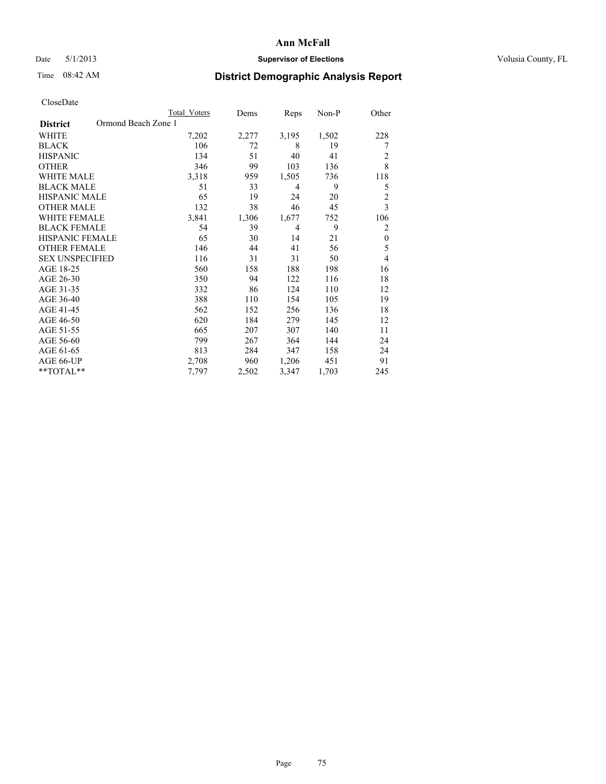# Date 5/1/2013 **Supervisor of Elections Supervisor of Elections** Volusia County, FL

# Time 08:42 AM **District Demographic Analysis Report**

|                        | <b>Total Voters</b> | Dems  | Reps  | Non-P | Other          |
|------------------------|---------------------|-------|-------|-------|----------------|
| <b>District</b>        | Ormond Beach Zone 1 |       |       |       |                |
| WHITE                  | 7,202               | 2,277 | 3,195 | 1,502 | 228            |
| <b>BLACK</b>           | 106                 | 72    | 8     | 19    | 7              |
| <b>HISPANIC</b>        | 134                 | 51    | 40    | 41    | 2              |
| <b>OTHER</b>           | 346                 | 99    | 103   | 136   | 8              |
| WHITE MALE             | 3,318               | 959   | 1,505 | 736   | 118            |
| <b>BLACK MALE</b>      | 51                  | 33    | 4     | 9     | 5              |
| <b>HISPANIC MALE</b>   | 65                  | 19    | 24    | 20    | $\overline{c}$ |
| <b>OTHER MALE</b>      | 132                 | 38    | 46    | 45    | 3              |
| WHITE FEMALE           | 3,841               | 1,306 | 1,677 | 752   | 106            |
| <b>BLACK FEMALE</b>    | 54                  | 39    | 4     | 9     | 2              |
| <b>HISPANIC FEMALE</b> | 65                  | 30    | 14    | 21    | $\theta$       |
| <b>OTHER FEMALE</b>    | 146                 | 44    | 41    | 56    | 5              |
| <b>SEX UNSPECIFIED</b> | 116                 | 31    | 31    | 50    | 4              |
| AGE 18-25              | 560                 | 158   | 188   | 198   | 16             |
| AGE 26-30              | 350                 | 94    | 122   | 116   | 18             |
| AGE 31-35              | 332                 | 86    | 124   | 110   | 12             |
| AGE 36-40              | 388                 | 110   | 154   | 105   | 19             |
| AGE 41-45              | 562                 | 152   | 256   | 136   | 18             |
| AGE 46-50              | 620                 | 184   | 279   | 145   | 12             |
| AGE 51-55              | 665                 | 207   | 307   | 140   | 11             |
| AGE 56-60              | 799                 | 267   | 364   | 144   | 24             |
| AGE 61-65              | 813                 | 284   | 347   | 158   | 24             |
| AGE 66-UP              | 2,708               | 960   | 1,206 | 451   | 91             |
| **TOTAL**              | 7,797               | 2,502 | 3,347 | 1,703 | 245            |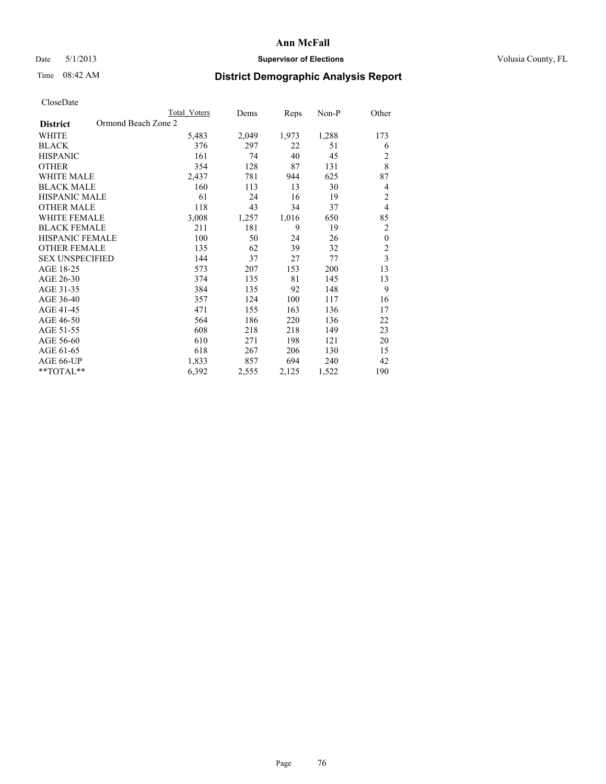# Date 5/1/2013 **Supervisor of Elections Supervisor of Elections** Volusia County, FL

# Time 08:42 AM **District Demographic Analysis Report**

|                                        | <b>Total Voters</b> | Dems  | Reps  | Non-P | Other                   |
|----------------------------------------|---------------------|-------|-------|-------|-------------------------|
| Ormond Beach Zone 2<br><b>District</b> |                     |       |       |       |                         |
| WHITE                                  | 5,483               | 2,049 | 1,973 | 1,288 | 173                     |
| <b>BLACK</b>                           | 376                 | 297   | 22    | 51    | 6                       |
| <b>HISPANIC</b>                        | 161                 | 74    | 40    | 45    | $\overline{c}$          |
| <b>OTHER</b>                           | 354                 | 128   | 87    | 131   | 8                       |
| <b>WHITE MALE</b>                      | 2,437               | 781   | 944   | 625   | 87                      |
| <b>BLACK MALE</b>                      | 160                 | 113   | 13    | 30    | 4                       |
| HISPANIC MALE                          | 61                  | 24    | 16    | 19    | $\overline{c}$          |
| <b>OTHER MALE</b>                      | 118                 | 43    | 34    | 37    | $\overline{4}$          |
| <b>WHITE FEMALE</b>                    | 3,008               | 1,257 | 1,016 | 650   | 85                      |
| <b>BLACK FEMALE</b>                    | 211                 | 181   | 9     | 19    | $\overline{c}$          |
| <b>HISPANIC FEMALE</b>                 | 100                 | 50    | 24    | 26    | $\theta$                |
| <b>OTHER FEMALE</b>                    | 135                 | 62    | 39    | 32    | $\overline{c}$          |
| <b>SEX UNSPECIFIED</b>                 | 144                 | 37    | 27    | 77    | $\overline{\mathbf{3}}$ |
| AGE 18-25                              | 573                 | 207   | 153   | 200   | 13                      |
| AGE 26-30                              | 374                 | 135   | 81    | 145   | 13                      |
| AGE 31-35                              | 384                 | 135   | 92    | 148   | 9                       |
| AGE 36-40                              | 357                 | 124   | 100   | 117   | 16                      |
| AGE 41-45                              | 471                 | 155   | 163   | 136   | 17                      |
| AGE 46-50                              | 564                 | 186   | 220   | 136   | 22                      |
| AGE 51-55                              | 608                 | 218   | 218   | 149   | 23                      |
| AGE 56-60                              | 610                 | 271   | 198   | 121   | 20                      |
| AGE 61-65                              | 618                 | 267   | 206   | 130   | 15                      |
| AGE 66-UP                              | 1,833               | 857   | 694   | 240   | 42                      |
| **TOTAL**                              | 6,392               | 2,555 | 2,125 | 1,522 | 190                     |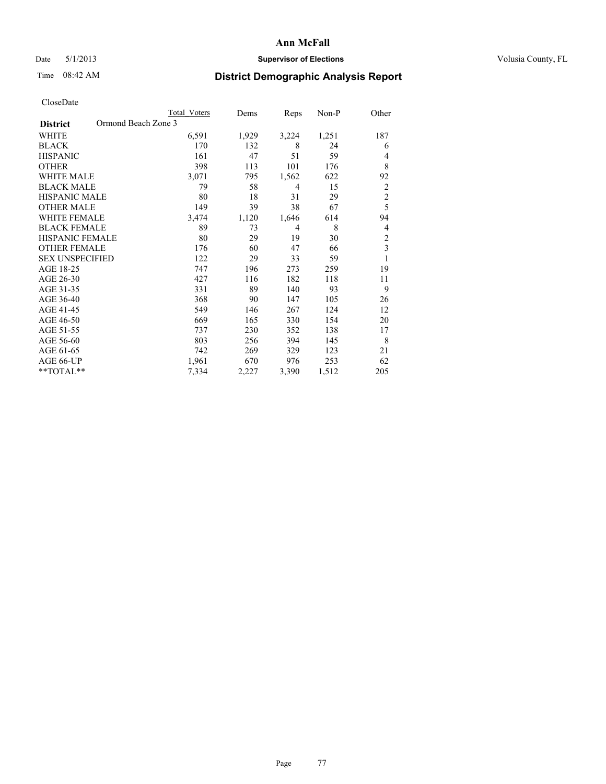## Date 5/1/2013 **Supervisor of Elections Supervisor of Elections** Volusia County, FL

# Time 08:42 AM **District Demographic Analysis Report**

|                                        | Total Voters | Dems  | Reps           | Non-P | Other          |
|----------------------------------------|--------------|-------|----------------|-------|----------------|
| Ormond Beach Zone 3<br><b>District</b> |              |       |                |       |                |
| WHITE                                  | 6,591        | 1,929 | 3,224          | 1,251 | 187            |
| <b>BLACK</b>                           | 170          | 132   | 8              | 24    | 6              |
| <b>HISPANIC</b>                        | 161          | 47    | 51             | 59    | 4              |
| <b>OTHER</b>                           | 398          | 113   | 101            | 176   | 8              |
| WHITE MALE                             | 3,071        | 795   | 1,562          | 622   | 92             |
| <b>BLACK MALE</b>                      | 79           | 58    | $\overline{4}$ | 15    | $\overline{2}$ |
| <b>HISPANIC MALE</b>                   | 80           | 18    | 31             | 29    | $\overline{c}$ |
| <b>OTHER MALE</b>                      | 149          | 39    | 38             | 67    | 5              |
| WHITE FEMALE                           | 3,474        | 1,120 | 1,646          | 614   | 94             |
| <b>BLACK FEMALE</b>                    | 89           | 73    | $\overline{4}$ | 8     | 4              |
| <b>HISPANIC FEMALE</b>                 | 80           | 29    | 19             | 30    | $\overline{c}$ |
| <b>OTHER FEMALE</b>                    | 176          | 60    | 47             | 66    | 3              |
| <b>SEX UNSPECIFIED</b>                 | 122          | 29    | 33             | 59    | 1              |
| AGE 18-25                              | 747          | 196   | 273            | 259   | 19             |
| AGE 26-30                              | 427          | 116   | 182            | 118   | 11             |
| AGE 31-35                              | 331          | 89    | 140            | 93    | 9              |
| AGE 36-40                              | 368          | 90    | 147            | 105   | 26             |
| AGE 41-45                              | 549          | 146   | 267            | 124   | 12             |
| AGE 46-50                              | 669          | 165   | 330            | 154   | 20             |
| AGE 51-55                              | 737          | 230   | 352            | 138   | 17             |
| AGE 56-60                              | 803          | 256   | 394            | 145   | 8              |
| AGE 61-65                              | 742          | 269   | 329            | 123   | 21             |
| AGE 66-UP                              | 1,961        | 670   | 976            | 253   | 62             |
| **TOTAL**                              | 7.334        | 2,227 | 3,390          | 1,512 | 205            |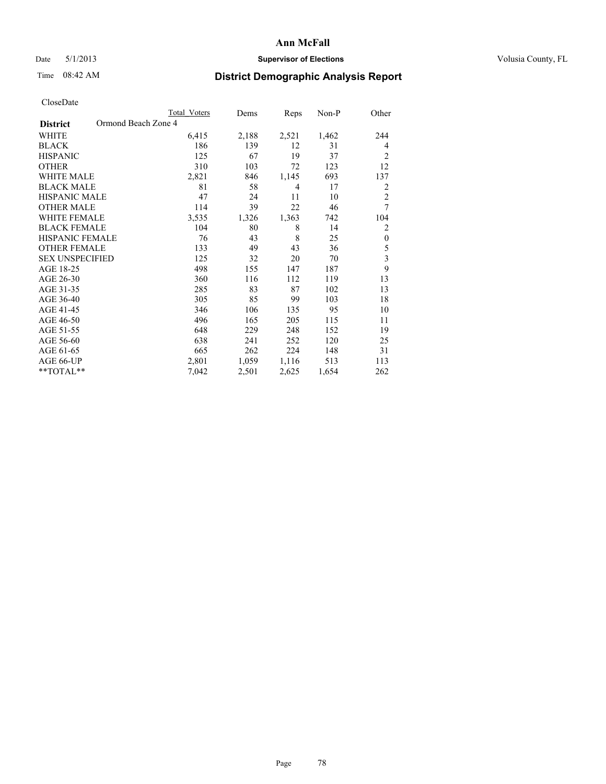# Date 5/1/2013 **Supervisor of Elections Supervisor of Elections** Volusia County, FL

# Time 08:42 AM **District Demographic Analysis Report**

|                        | Total Voters        | Dems  | Reps  | Non-P | Other                   |
|------------------------|---------------------|-------|-------|-------|-------------------------|
| <b>District</b>        | Ormond Beach Zone 4 |       |       |       |                         |
| WHITE                  | 6,415               | 2,188 | 2,521 | 1,462 | 244                     |
| <b>BLACK</b>           | 186                 | 139   | 12    | 31    | 4                       |
| <b>HISPANIC</b>        | 125                 | 67    | 19    | 37    | 2                       |
| <b>OTHER</b>           | 310                 | 103   | 72    | 123   | 12                      |
| <b>WHITE MALE</b>      | 2,821               | 846   | 1,145 | 693   | 137                     |
| <b>BLACK MALE</b>      | 81                  | 58    | 4     | 17    | $\overline{2}$          |
| <b>HISPANIC MALE</b>   | 47                  | 24    | 11    | 10    | $\overline{2}$          |
| <b>OTHER MALE</b>      | 114                 | 39    | 22    | 46    | 7                       |
| <b>WHITE FEMALE</b>    | 3,535               | 1,326 | 1,363 | 742   | 104                     |
| <b>BLACK FEMALE</b>    | 104                 | 80    | 8     | 14    | 2                       |
| HISPANIC FEMALE        | 76                  | 43    | 8     | 25    | $\mathbf{0}$            |
| <b>OTHER FEMALE</b>    | 133                 | 49    | 43    | 36    | 5                       |
| <b>SEX UNSPECIFIED</b> | 125                 | 32    | 20    | 70    | $\overline{\mathbf{3}}$ |
| AGE 18-25              | 498                 | 155   | 147   | 187   | 9                       |
| AGE 26-30              | 360                 | 116   | 112   | 119   | 13                      |
| AGE 31-35              | 285                 | 83    | 87    | 102   | 13                      |
| AGE 36-40              | 305                 | 85    | 99    | 103   | 18                      |
| AGE 41-45              | 346                 | 106   | 135   | 95    | 10                      |
| AGE 46-50              | 496                 | 165   | 205   | 115   | 11                      |
| AGE 51-55              | 648                 | 229   | 248   | 152   | 19                      |
| AGE 56-60              | 638                 | 241   | 252   | 120   | 25                      |
| AGE 61-65              | 665                 | 262   | 224   | 148   | 31                      |
| AGE 66-UP              | 2,801               | 1,059 | 1,116 | 513   | 113                     |
| **TOTAL**              | 7,042               | 2,501 | 2,625 | 1,654 | 262                     |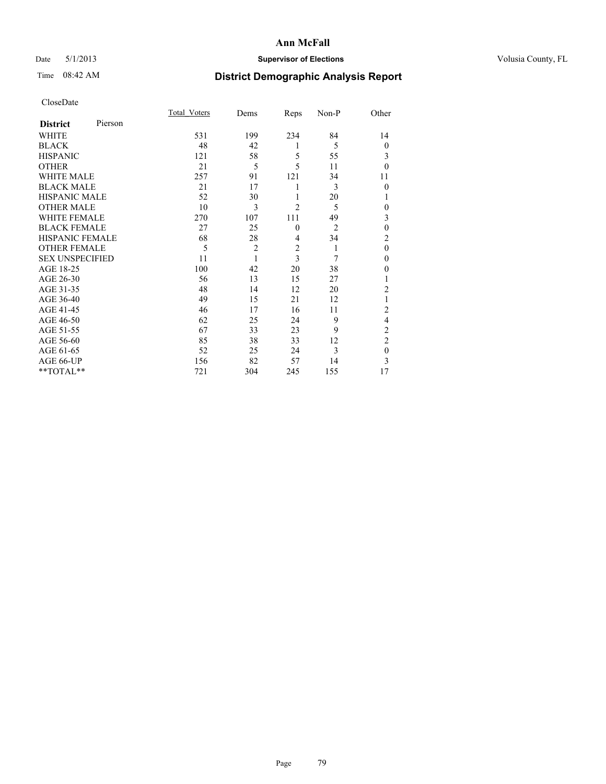## Date 5/1/2013 **Supervisor of Elections Supervisor of Elections** Volusia County, FL

# Time 08:42 AM **District Demographic Analysis Report**

|                        |         | <b>Total Voters</b> | Dems           | Reps           | Non-P          | Other          |
|------------------------|---------|---------------------|----------------|----------------|----------------|----------------|
| <b>District</b>        | Pierson |                     |                |                |                |                |
| WHITE                  |         | 531                 | 199            | 234            | 84             | 14             |
| <b>BLACK</b>           |         | 48                  | 42             | 1              | 5              | $\theta$       |
| <b>HISPANIC</b>        |         | 121                 | 58             | 5              | 55             | 3              |
| <b>OTHER</b>           |         | 21                  | 5              | 5              | 11             | $\theta$       |
| WHITE MALE             |         | 257                 | 91             | 121            | 34             | 11             |
| <b>BLACK MALE</b>      |         | 21                  | 17             | 1              | 3              | $\theta$       |
| <b>HISPANIC MALE</b>   |         | 52                  | 30             | 1              | 20             | 1              |
| <b>OTHER MALE</b>      |         | 10                  | 3              | $\overline{c}$ | 5              | 0              |
| <b>WHITE FEMALE</b>    |         | 270                 | 107            | 111            | 49             | 3              |
| <b>BLACK FEMALE</b>    |         | 27                  | 25             | $\mathbf{0}$   | $\overline{2}$ | $\mathbf{0}$   |
| <b>HISPANIC FEMALE</b> |         | 68                  | 28             | 4              | 34             | $\overline{c}$ |
| <b>OTHER FEMALE</b>    |         | 5                   | $\overline{c}$ | $\overline{c}$ | 1              | $\theta$       |
| <b>SEX UNSPECIFIED</b> |         | 11                  | 1              | $\overline{3}$ | 7              | $\mathbf{0}$   |
| AGE 18-25              |         | 100                 | 42             | 20             | 38             | $\theta$       |
| AGE 26-30              |         | 56                  | 13             | 15             | 27             | 1              |
| AGE 31-35              |         | 48                  | 14             | 12             | 20             | $\overline{c}$ |
| AGE 36-40              |         | 49                  | 15             | 21             | 12             |                |
| AGE 41-45              |         | 46                  | 17             | 16             | 11             | $\overline{c}$ |
| AGE 46-50              |         | 62                  | 25             | 24             | 9              | 4              |
| AGE 51-55              |         | 67                  | 33             | 23             | 9              | $\overline{c}$ |
| AGE 56-60              |         | 85                  | 38             | 33             | 12             | $\overline{c}$ |
| AGE 61-65              |         | 52                  | 25             | 24             | 3              | $\mathbf{0}$   |
| AGE 66-UP              |         | 156                 | 82             | 57             | 14             | 3              |
| **TOTAL**              |         | 721                 | 304            | 245            | 155            | 17             |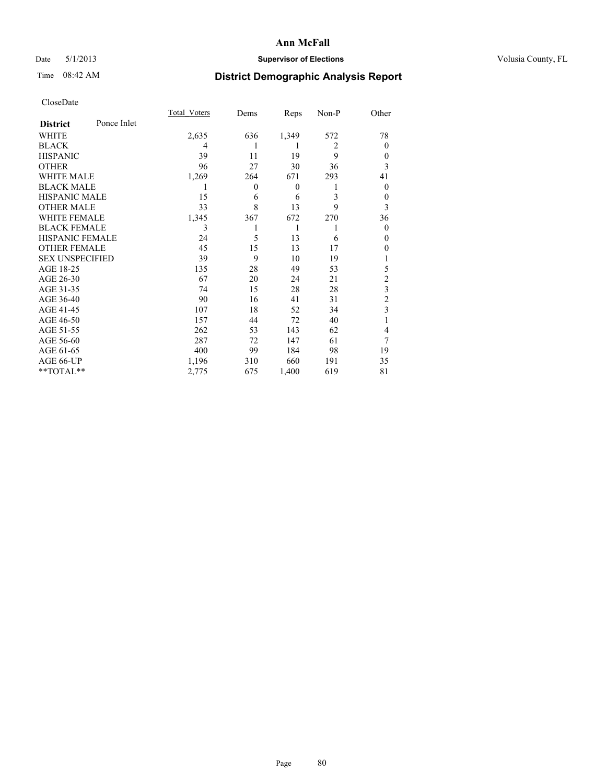# Date 5/1/2013 **Supervisor of Elections Supervisor of Elections** Volusia County, FL

# Time 08:42 AM **District Demographic Analysis Report**

|                        |             | <b>Total Voters</b> | Dems           | Reps         | Non-P          | Other                   |
|------------------------|-------------|---------------------|----------------|--------------|----------------|-------------------------|
| <b>District</b>        | Ponce Inlet |                     |                |              |                |                         |
| WHITE                  |             | 2,635               | 636            | 1,349        | 572            | 78                      |
| <b>BLACK</b>           |             | 4                   |                | 1            | $\overline{2}$ | $\Omega$                |
| <b>HISPANIC</b>        |             | 39                  | 11             | 19           | 9              | $\Omega$                |
| <b>OTHER</b>           |             | 96                  | 27             | 30           | 36             | 3                       |
| WHITE MALE             |             | 1,269               | 264            | 671          | 293            | 41                      |
| <b>BLACK MALE</b>      |             | 1                   | $\overline{0}$ | $\mathbf{0}$ | 1              | $\overline{0}$          |
| <b>HISPANIC MALE</b>   |             | 15                  | 6              | 6            | 3              | 0                       |
| <b>OTHER MALE</b>      |             | 33                  | 8              | 13           | 9              | 3                       |
| <b>WHITE FEMALE</b>    |             | 1,345               | 367            | 672          | 270            | 36                      |
| <b>BLACK FEMALE</b>    |             | 3                   |                | 1            | 1              | $\overline{0}$          |
| <b>HISPANIC FEMALE</b> |             | 24                  | 5              | 13           | 6              | $\Omega$                |
| <b>OTHER FEMALE</b>    |             | 45                  | 15             | 13           | 17             | $\theta$                |
| <b>SEX UNSPECIFIED</b> |             | 39                  | 9              | 10           | 19             |                         |
| AGE 18-25              |             | 135                 | 28             | 49           | 53             | 5                       |
| AGE 26-30              |             | 67                  | 20             | 24           | 21             | $\overline{c}$          |
| AGE 31-35              |             | 74                  | 15             | 28           | 28             | $\overline{\mathbf{3}}$ |
| AGE 36-40              |             | 90                  | 16             | 41           | 31             | $\overline{c}$          |
| AGE 41-45              |             | 107                 | 18             | 52           | 34             | 3                       |
| AGE 46-50              |             | 157                 | 44             | 72           | 40             | 1                       |
| AGE 51-55              |             | 262                 | 53             | 143          | 62             | $\overline{4}$          |
| AGE 56-60              |             | 287                 | 72             | 147          | 61             | 7                       |
| AGE 61-65              |             | 400                 | 99             | 184          | 98             | 19                      |
| AGE 66-UP              |             | 1,196               | 310            | 660          | 191            | 35                      |
| **TOTAL**              |             | 2,775               | 675            | 1,400        | 619            | 81                      |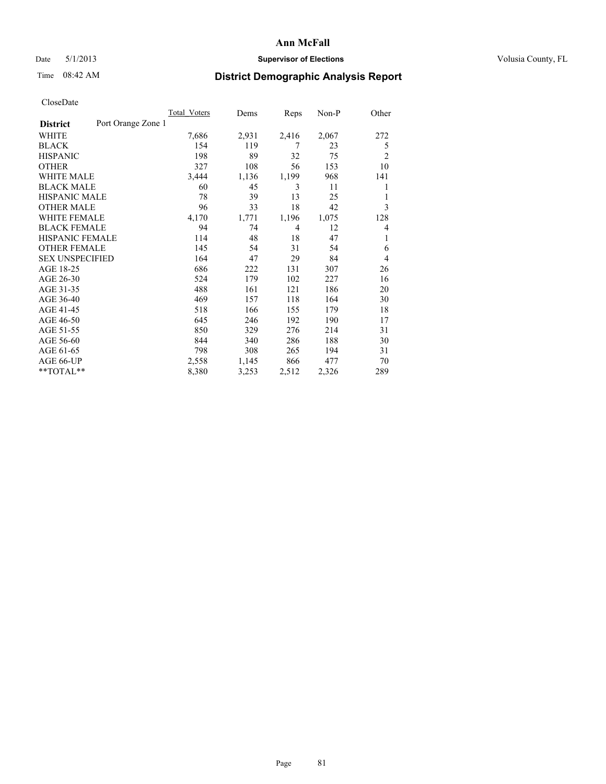## Date 5/1/2013 **Supervisor of Elections Supervisor of Elections** Volusia County, FL

# Time 08:42 AM **District Demographic Analysis Report**

|                                       | <b>Total Voters</b> | Dems  | Reps  | $Non-P$ | Other          |
|---------------------------------------|---------------------|-------|-------|---------|----------------|
| Port Orange Zone 1<br><b>District</b> |                     |       |       |         |                |
| WHITE                                 | 7,686               | 2,931 | 2,416 | 2,067   | 272            |
| <b>BLACK</b>                          | 154                 | 119   | 7     | 23      | 5              |
| <b>HISPANIC</b>                       | 198                 | 89    | 32    | 75      | $\overline{2}$ |
| <b>OTHER</b>                          | 327                 | 108   | 56    | 153     | 10             |
| <b>WHITE MALE</b>                     | 3,444               | 1,136 | 1,199 | 968     | 141            |
| <b>BLACK MALE</b>                     | 60                  | 45    | 3     | 11      | 1              |
| <b>HISPANIC MALE</b>                  | 78                  | 39    | 13    | 25      | 1              |
| <b>OTHER MALE</b>                     | 96                  | 33    | 18    | 42      | 3              |
| <b>WHITE FEMALE</b>                   | 4,170               | 1,771 | 1,196 | 1,075   | 128            |
| <b>BLACK FEMALE</b>                   | 94                  | 74    | 4     | 12      | $\overline{4}$ |
| <b>HISPANIC FEMALE</b>                | 114                 | 48    | 18    | 47      | 1              |
| <b>OTHER FEMALE</b>                   | 145                 | 54    | 31    | 54      | 6              |
| <b>SEX UNSPECIFIED</b>                | 164                 | 47    | 29    | 84      | $\overline{4}$ |
| AGE 18-25                             | 686                 | 222   | 131   | 307     | 26             |
| AGE 26-30                             | 524                 | 179   | 102   | 227     | 16             |
| AGE 31-35                             | 488                 | 161   | 121   | 186     | 20             |
| AGE 36-40                             | 469                 | 157   | 118   | 164     | 30             |
| AGE 41-45                             | 518                 | 166   | 155   | 179     | 18             |
| AGE 46-50                             | 645                 | 246   | 192   | 190     | 17             |
| AGE 51-55                             | 850                 | 329   | 276   | 214     | 31             |
| AGE 56-60                             | 844                 | 340   | 286   | 188     | 30             |
| AGE 61-65                             | 798                 | 308   | 265   | 194     | 31             |
| AGE 66-UP                             | 2,558               | 1,145 | 866   | 477     | 70             |
| **TOTAL**                             | 8,380               | 3,253 | 2,512 | 2,326   | 289            |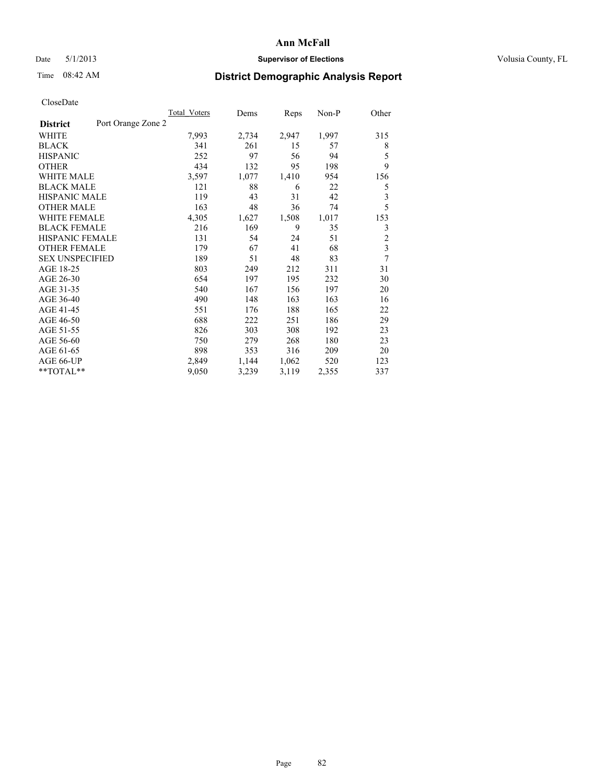## Date 5/1/2013 **Supervisor of Elections Supervisor of Elections** Volusia County, FL

# Time 08:42 AM **District Demographic Analysis Report**

|                                       | <b>Total Voters</b> | Dems  | Reps  | Non-P | Other                   |
|---------------------------------------|---------------------|-------|-------|-------|-------------------------|
| Port Orange Zone 2<br><b>District</b> |                     |       |       |       |                         |
| WHITE                                 | 7,993               | 2,734 | 2,947 | 1,997 | 315                     |
| <b>BLACK</b>                          | 341                 | 261   | 15    | 57    | 8                       |
| <b>HISPANIC</b>                       | 252                 | 97    | 56    | 94    | 5                       |
| <b>OTHER</b>                          | 434                 | 132   | 95    | 198   | 9                       |
| <b>WHITE MALE</b>                     | 3,597               | 1,077 | 1,410 | 954   | 156                     |
| <b>BLACK MALE</b>                     | 121                 | 88    | 6     | 22    | 5                       |
| <b>HISPANIC MALE</b>                  | 119                 | 43    | 31    | 42    | 3                       |
| <b>OTHER MALE</b>                     | 163                 | 48    | 36    | 74    | 5                       |
| <b>WHITE FEMALE</b>                   | 4,305               | 1,627 | 1,508 | 1,017 | 153                     |
| <b>BLACK FEMALE</b>                   | 216                 | 169   | 9     | 35    | 3                       |
| <b>HISPANIC FEMALE</b>                | 131                 | 54    | 24    | 51    | $\overline{c}$          |
| <b>OTHER FEMALE</b>                   | 179                 | 67    | 41    | 68    | $\overline{\mathbf{3}}$ |
| <b>SEX UNSPECIFIED</b>                | 189                 | 51    | 48    | 83    | 7                       |
| AGE 18-25                             | 803                 | 249   | 212   | 311   | 31                      |
| AGE 26-30                             | 654                 | 197   | 195   | 232   | 30                      |
| AGE 31-35                             | 540                 | 167   | 156   | 197   | 20                      |
| AGE 36-40                             | 490                 | 148   | 163   | 163   | 16                      |
| AGE 41-45                             | 551                 | 176   | 188   | 165   | 22                      |
| AGE 46-50                             | 688                 | 222   | 251   | 186   | 29                      |
| AGE 51-55                             | 826                 | 303   | 308   | 192   | 23                      |
| AGE 56-60                             | 750                 | 279   | 268   | 180   | 23                      |
| AGE 61-65                             | 898                 | 353   | 316   | 209   | 20                      |
| AGE 66-UP                             | 2,849               | 1,144 | 1,062 | 520   | 123                     |
| **TOTAL**                             | 9,050               | 3,239 | 3,119 | 2,355 | 337                     |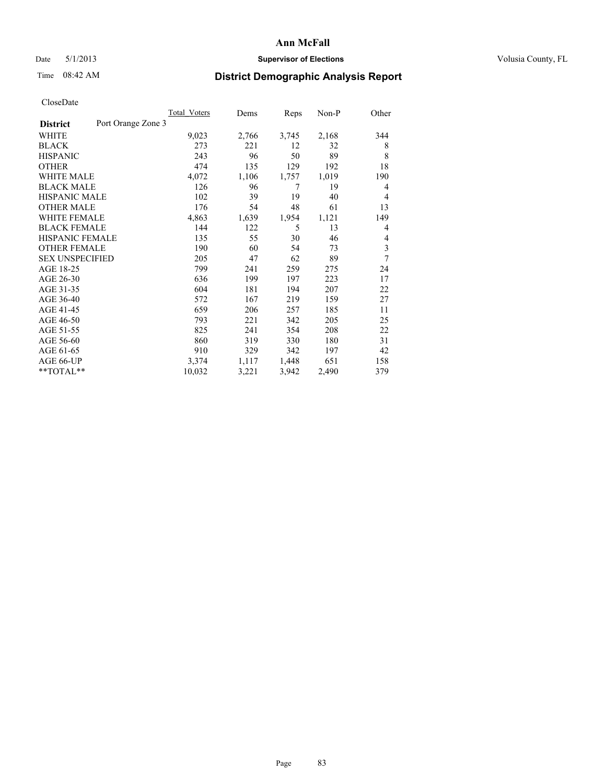## Date 5/1/2013 **Supervisor of Elections Supervisor of Elections** Volusia County, FL

# Time 08:42 AM **District Demographic Analysis Report**

|                                       | <b>Total Voters</b> | Dems  | Reps  | Non-P | Other |
|---------------------------------------|---------------------|-------|-------|-------|-------|
| Port Orange Zone 3<br><b>District</b> |                     |       |       |       |       |
| WHITE                                 | 9,023               | 2,766 | 3,745 | 2,168 | 344   |
| <b>BLACK</b>                          | 273                 | 221   | 12    | 32    | 8     |
| <b>HISPANIC</b>                       | 243                 | 96    | 50    | 89    | 8     |
| <b>OTHER</b>                          | 474                 | 135   | 129   | 192   | 18    |
| <b>WHITE MALE</b>                     | 4,072               | 1,106 | 1,757 | 1,019 | 190   |
| <b>BLACK MALE</b>                     | 126                 | 96    | 7     | 19    | 4     |
| HISPANIC MALE                         | 102                 | 39    | 19    | 40    | 4     |
| <b>OTHER MALE</b>                     | 176                 | 54    | 48    | 61    | 13    |
| <b>WHITE FEMALE</b>                   | 4,863               | 1,639 | 1,954 | 1,121 | 149   |
| <b>BLACK FEMALE</b>                   | 144                 | 122   | 5     | 13    | 4     |
| <b>HISPANIC FEMALE</b>                | 135                 | 55    | 30    | 46    | 4     |
| <b>OTHER FEMALE</b>                   | 190                 | 60    | 54    | 73    | 3     |
| <b>SEX UNSPECIFIED</b>                | 205                 | 47    | 62    | 89    | 7     |
| AGE 18-25                             | 799                 | 241   | 259   | 275   | 24    |
| AGE 26-30                             | 636                 | 199   | 197   | 223   | 17    |
| AGE 31-35                             | 604                 | 181   | 194   | 207   | 22    |
| AGE 36-40                             | 572                 | 167   | 219   | 159   | 27    |
| AGE 41-45                             | 659                 | 206   | 257   | 185   | 11    |
| AGE 46-50                             | 793                 | 221   | 342   | 205   | 25    |
| AGE 51-55                             | 825                 | 241   | 354   | 208   | 22    |
| AGE 56-60                             | 860                 | 319   | 330   | 180   | 31    |
| AGE 61-65                             | 910                 | 329   | 342   | 197   | 42    |
| AGE 66-UP                             | 3,374               | 1,117 | 1,448 | 651   | 158   |
| **TOTAL**                             | 10,032              | 3,221 | 3,942 | 2,490 | 379   |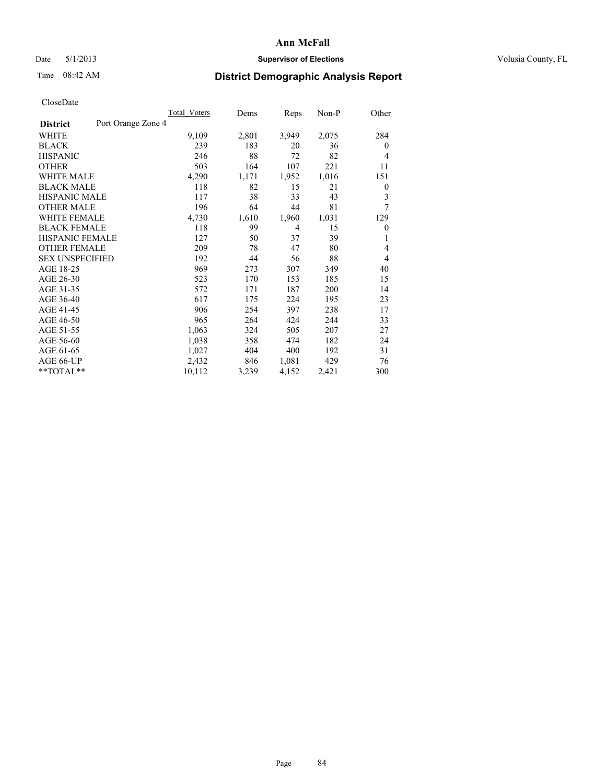## Date 5/1/2013 **Supervisor of Elections Supervisor of Elections** Volusia County, FL

# Time 08:42 AM **District Demographic Analysis Report**

|                                       | <b>Total Voters</b> | Dems  | Reps  | Non-P | Other            |
|---------------------------------------|---------------------|-------|-------|-------|------------------|
| Port Orange Zone 4<br><b>District</b> |                     |       |       |       |                  |
| WHITE                                 | 9,109               | 2,801 | 3,949 | 2,075 | 284              |
| <b>BLACK</b>                          | 239                 | 183   | 20    | 36    | $\overline{0}$   |
| <b>HISPANIC</b>                       | 246                 | 88    | 72    | 82    | $\overline{4}$   |
| <b>OTHER</b>                          | 503                 | 164   | 107   | 221   | 11               |
| <b>WHITE MALE</b>                     | 4,290               | 1,171 | 1,952 | 1,016 | 151              |
| <b>BLACK MALE</b>                     | 118                 | 82    | 15    | 21    | $\boldsymbol{0}$ |
| <b>HISPANIC MALE</b>                  | 117                 | 38    | 33    | 43    | 3                |
| <b>OTHER MALE</b>                     | 196                 | 64    | 44    | 81    | 7                |
| <b>WHITE FEMALE</b>                   | 4,730               | 1,610 | 1,960 | 1,031 | 129              |
| <b>BLACK FEMALE</b>                   | 118                 | 99    | 4     | 15    | $\mathbf{0}$     |
| HISPANIC FEMALE                       | 127                 | 50    | 37    | 39    | 1                |
| <b>OTHER FEMALE</b>                   | 209                 | 78    | 47    | 80    | 4                |
| <b>SEX UNSPECIFIED</b>                | 192                 | 44    | 56    | 88    | 4                |
| AGE 18-25                             | 969                 | 273   | 307   | 349   | 40               |
| AGE 26-30                             | 523                 | 170   | 153   | 185   | 15               |
| AGE 31-35                             | 572                 | 171   | 187   | 200   | 14               |
| AGE 36-40                             | 617                 | 175   | 224   | 195   | 23               |
| AGE 41-45                             | 906                 | 254   | 397   | 238   | 17               |
| AGE 46-50                             | 965                 | 264   | 424   | 244   | 33               |
| AGE 51-55                             | 1,063               | 324   | 505   | 207   | 27               |
| AGE 56-60                             | 1,038               | 358   | 474   | 182   | 24               |
| AGE 61-65                             | 1,027               | 404   | 400   | 192   | 31               |
| AGE 66-UP                             | 2,432               | 846   | 1,081 | 429   | 76               |
| **TOTAL**                             | 10,112              | 3,239 | 4,152 | 2,421 | 300              |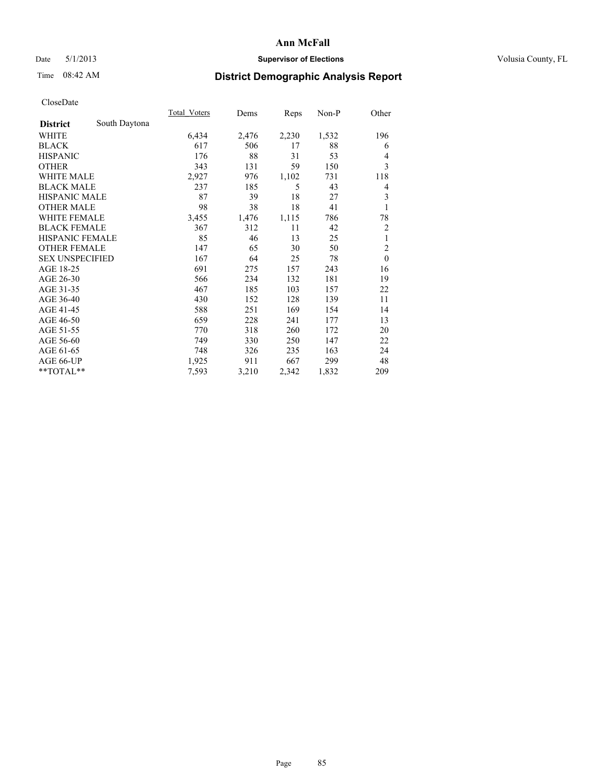# Date 5/1/2013 **Supervisor of Elections Supervisor of Elections** Volusia County, FL

# Time 08:42 AM **District Demographic Analysis Report**

|                        |               | <b>Total Voters</b> | Dems  | Reps  | $Non-P$ | Other          |
|------------------------|---------------|---------------------|-------|-------|---------|----------------|
| <b>District</b>        | South Daytona |                     |       |       |         |                |
| WHITE                  |               | 6,434               | 2,476 | 2,230 | 1,532   | 196            |
| <b>BLACK</b>           |               | 617                 | 506   | 17    | 88      | 6              |
| <b>HISPANIC</b>        |               | 176                 | 88    | 31    | 53      | 4              |
| <b>OTHER</b>           |               | 343                 | 131   | 59    | 150     | 3              |
| <b>WHITE MALE</b>      |               | 2,927               | 976   | 1,102 | 731     | 118            |
| <b>BLACK MALE</b>      |               | 237                 | 185   | 5     | 43      | 4              |
| <b>HISPANIC MALE</b>   |               | 87                  | 39    | 18    | 27      | 3              |
| <b>OTHER MALE</b>      |               | 98                  | 38    | 18    | 41      | 1              |
| <b>WHITE FEMALE</b>    |               | 3,455               | 1,476 | 1,115 | 786     | 78             |
| <b>BLACK FEMALE</b>    |               | 367                 | 312   | 11    | 42      | $\overline{c}$ |
| <b>HISPANIC FEMALE</b> |               | 85                  | 46    | 13    | 25      | $\mathbf{1}$   |
| <b>OTHER FEMALE</b>    |               | 147                 | 65    | 30    | 50      | $\overline{c}$ |
| <b>SEX UNSPECIFIED</b> |               | 167                 | 64    | 25    | 78      | $\mathbf{0}$   |
| AGE 18-25              |               | 691                 | 275   | 157   | 243     | 16             |
| AGE 26-30              |               | 566                 | 234   | 132   | 181     | 19             |
| AGE 31-35              |               | 467                 | 185   | 103   | 157     | 22             |
| AGE 36-40              |               | 430                 | 152   | 128   | 139     | 11             |
| AGE 41-45              |               | 588                 | 251   | 169   | 154     | 14             |
| AGE 46-50              |               | 659                 | 228   | 241   | 177     | 13             |
| AGE 51-55              |               | 770                 | 318   | 260   | 172     | 20             |
| AGE 56-60              |               | 749                 | 330   | 250   | 147     | 22             |
| AGE 61-65              |               | 748                 | 326   | 235   | 163     | 24             |
| AGE 66-UP              |               | 1,925               | 911   | 667   | 299     | 48             |
| **TOTAL**              |               | 7,593               | 3,210 | 2,342 | 1,832   | 209            |